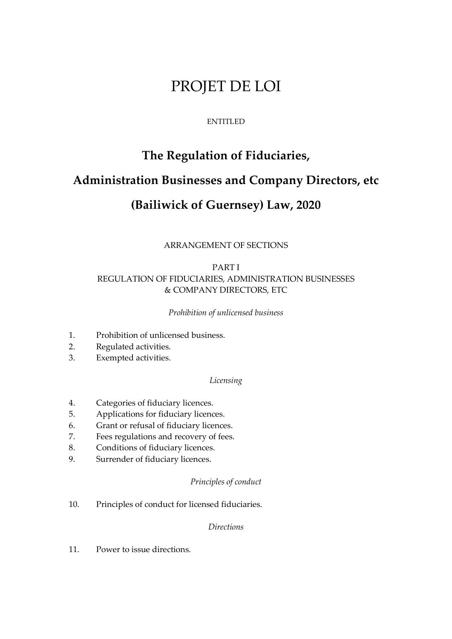# PROJET DE LOI

# ENTITLED

# **The Regulation of Fiduciaries,**

# **Administration Businesses and Company Directors, etc**

# **(Bailiwick of Guernsey) Law, 2020**

# ARRANGEMENT OF SECTIONS

# PART I REGULATION OF FIDUCIARIES, ADMINISTRATION BUSINESSES & COMPANY DIRECTORS, ETC

#### *Prohibition of unlicensed business*

- 1. Prohibition of unlicensed business.
- 2. Regulated activities.
- 3. Exempted activities.

#### *Licensing*

- 4. Categories of fiduciary licences.
- 5. Applications for fiduciary licences.
- 6. Grant or refusal of fiduciary licences.
- 7. Fees regulations and recovery of fees.
- 8. Conditions of fiduciary licences.
- 9. Surrender of fiduciary licences.

# *Principles of conduct*

10. Principles of conduct for licensed fiduciaries.

# *Directions*

11. Power to issue directions.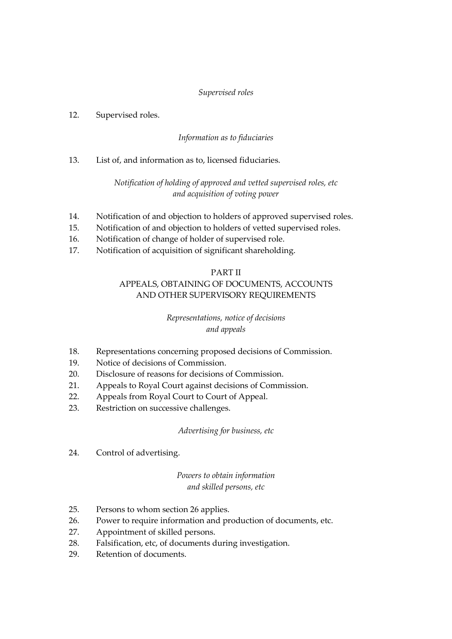# *Supervised roles*

## 12. Supervised roles.

# *Information as to fiduciaries*

13. List of, and information as to, licensed fiduciaries.

# *Notification of holding of approved and vetted supervised roles, etc and acquisition of voting power*

- 14. Notification of and objection to holders of approved supervised roles.
- 15. Notification of and objection to holders of vetted supervised roles.
- 16. Notification of change of holder of supervised role.
- 17. Notification of acquisition of significant shareholding.

#### PART II

# APPEALS, OBTAINING OF DOCUMENTS, ACCOUNTS AND OTHER SUPERVISORY REQUIREMENTS

# *Representations, notice of decisions and appeals*

- 18. Representations concerning proposed decisions of Commission.
- 19. Notice of decisions of Commission.
- 20. Disclosure of reasons for decisions of Commission.
- 21. Appeals to Royal Court against decisions of Commission.
- 22. Appeals from Royal Court to Court of Appeal.
- 23. Restriction on successive challenges.

#### *Advertising for business, etc*

24. Control of advertising.

# *Powers to obtain information and skilled persons, etc*

- 25. Persons to whom section 26 applies.
- 26. Power to require information and production of documents, etc.
- 27. Appointment of skilled persons.
- 28. Falsification, etc, of documents during investigation.
- 29. Retention of documents.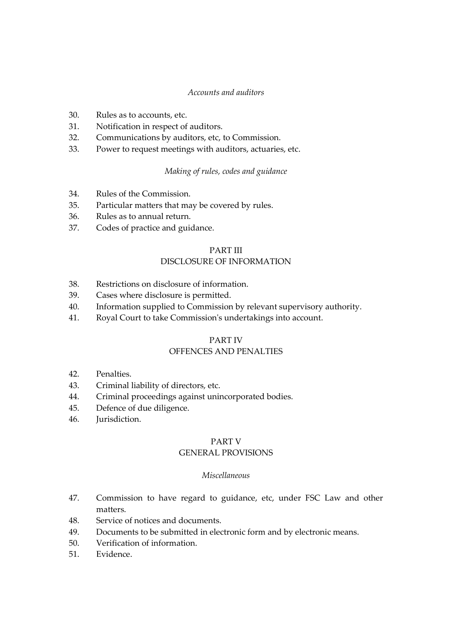#### *Accounts and auditors*

- 30. Rules as to accounts, etc.
- 31. Notification in respect of auditors.
- 32. Communications by auditors, etc, to Commission.
- 33. Power to request meetings with auditors, actuaries, etc.

#### *Making of rules, codes and guidance*

- 34. Rules of the Commission.
- 35. Particular matters that may be covered by rules.
- 36. Rules as to annual return.
- 37. Codes of practice and guidance.

#### PART III

#### DISCLOSURE OF INFORMATION

- 38. Restrictions on disclosure of information.
- 39. Cases where disclosure is permitted.
- 40. Information supplied to Commission by relevant supervisory authority.
- 41. Royal Court to take Commission's undertakings into account.

#### PART IV

#### OFFENCES AND PENALTIES

- 42. Penalties.
- 43. Criminal liability of directors, etc.
- 44. Criminal proceedings against unincorporated bodies.
- 45. Defence of due diligence.
- 46. Jurisdiction.

## PART V

# GENERAL PROVISIONS

#### *Miscellaneous*

- 47. Commission to have regard to guidance, etc, under FSC Law and other matters.
- 48. Service of notices and documents.
- 49. Documents to be submitted in electronic form and by electronic means.
- 50. Verification of information.
- 51. Evidence.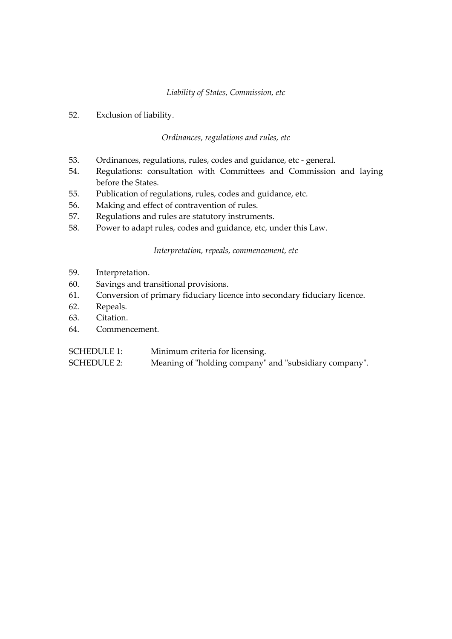#### *Liability of States, Commission, etc*

52. Exclusion of liability.

#### *Ordinances, regulations and rules, etc*

- 53. Ordinances, regulations, rules, codes and guidance, etc general.
- 54. Regulations: consultation with Committees and Commission and laying before the States.
- 55. Publication of regulations, rules, codes and guidance, etc.
- 56. Making and effect of contravention of rules.
- 57. Regulations and rules are statutory instruments.
- 58. Power to adapt rules, codes and guidance, etc, under this Law.

*Interpretation, repeals, commencement, etc*

- 59. Interpretation.
- 60. Savings and transitional provisions.
- 61. Conversion of primary fiduciary licence into secondary fiduciary licence.
- 62. Repeals.
- 63. Citation.
- 64. Commencement.

SCHEDULE 1: Minimum criteria for licensing.

SCHEDULE 2: Meaning of "holding company" and "subsidiary company".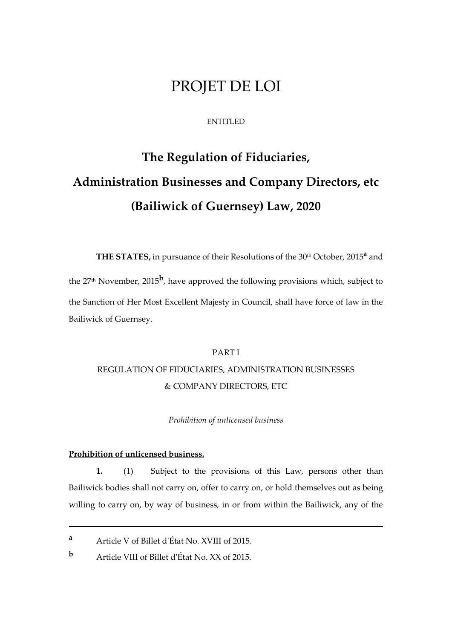# PROJET DE LOI

#### ENTITLED

# **The Regulation of Fiduciaries, Administration Businesses and Company Directors, etc (Bailiwick of Guernsey) Law, 2020**

**THE STATES,** in pursuance of their Resolutions of the 30th October, 2015**<sup>a</sup>** and the 27<sup>th</sup> November, 2015<sup>b</sup>, have approved the following provisions which, subject to the Sanction of Her Most Excellent Majesty in Council, shall have force of law in the Bailiwick of Guernsey.

# PART I

# REGULATION OF FIDUCIARIES, ADMINISTRATION BUSINESSES & COMPANY DIRECTORS, ETC

#### *Prohibition of unlicensed business*

#### **Prohibition of unlicensed business.**

1

**1.** (1) Subject to the provisions of this Law, persons other than Bailiwick bodies shall not carry on, offer to carry on, or hold themselves out as being willing to carry on, by way of business, in or from within the Bailiwick, any of the

**<sup>a</sup>** Article V of Billet d'État No. XVIII of 2015.

**<sup>b</sup>** Article VIII of Billet d'État No. XX of 2015.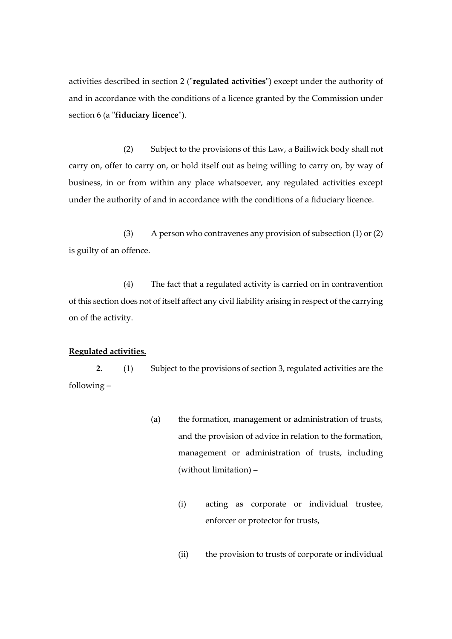activities described in section 2 ("**regulated activities**") except under the authority of and in accordance with the conditions of a licence granted by the Commission under section 6 (a "**fiduciary licence**").

(2) Subject to the provisions of this Law, a Bailiwick body shall not carry on, offer to carry on, or hold itself out as being willing to carry on, by way of business, in or from within any place whatsoever, any regulated activities except under the authority of and in accordance with the conditions of a fiduciary licence.

(3) A person who contravenes any provision of subsection (1) or (2) is guilty of an offence.

(4) The fact that a regulated activity is carried on in contravention of this section does not of itself affect any civil liability arising in respect of the carrying on of the activity.

#### **Regulated activities.**

**2.** (1) Subject to the provisions of section 3, regulated activities are the following –

- (a) the formation, management or administration of trusts, and the provision of advice in relation to the formation, management or administration of trusts, including (without limitation) –
	- (i) acting as corporate or individual trustee, enforcer or protector for trusts,
	- (ii) the provision to trusts of corporate or individual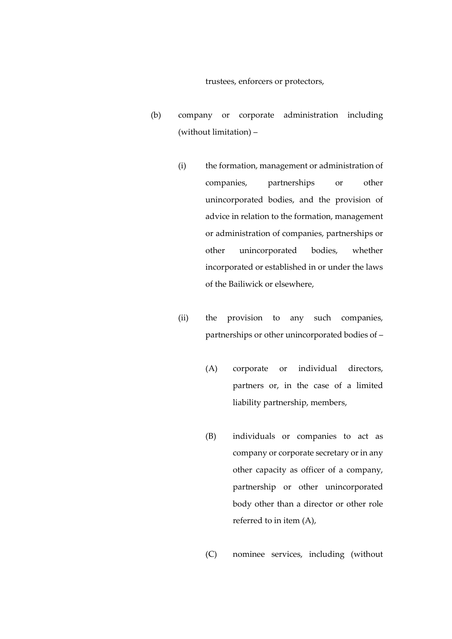trustees, enforcers or protectors,

- (b) company or corporate administration including (without limitation) –
	- (i) the formation, management or administration of companies, partnerships or other unincorporated bodies, and the provision of advice in relation to the formation, management or administration of companies, partnerships or other unincorporated bodies, whether incorporated or established in or under the laws of the Bailiwick or elsewhere,
	- (ii) the provision to any such companies, partnerships or other unincorporated bodies of –
		- (A) corporate or individual directors, partners or, in the case of a limited liability partnership, members,
		- (B) individuals or companies to act as company or corporate secretary or in any other capacity as officer of a company, partnership or other unincorporated body other than a director or other role referred to in item (A),

(C) nominee services, including (without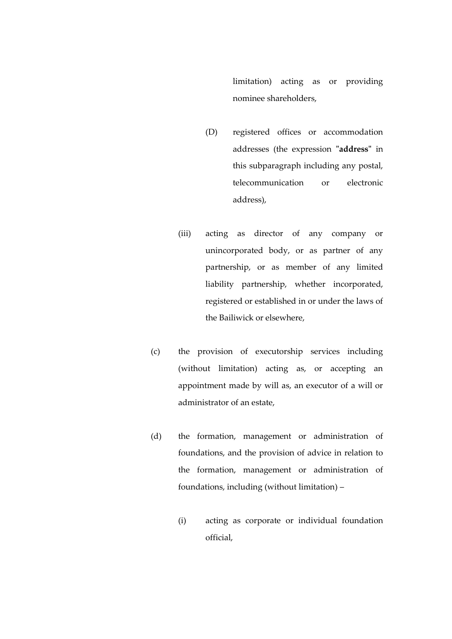limitation) acting as or providing nominee shareholders,

- (D) registered offices or accommodation addresses (the expression **"address"** in this subparagraph including any postal, telecommunication or electronic address),
- (iii) acting as director of any company or unincorporated body, or as partner of any partnership, or as member of any limited liability partnership, whether incorporated, registered or established in or under the laws of the Bailiwick or elsewhere,
- (c) the provision of executorship services including (without limitation) acting as, or accepting an appointment made by will as, an executor of a will or administrator of an estate,
- (d) the formation, management or administration of foundations, and the provision of advice in relation to the formation, management or administration of foundations, including (without limitation) –
	- (i) acting as corporate or individual foundation official,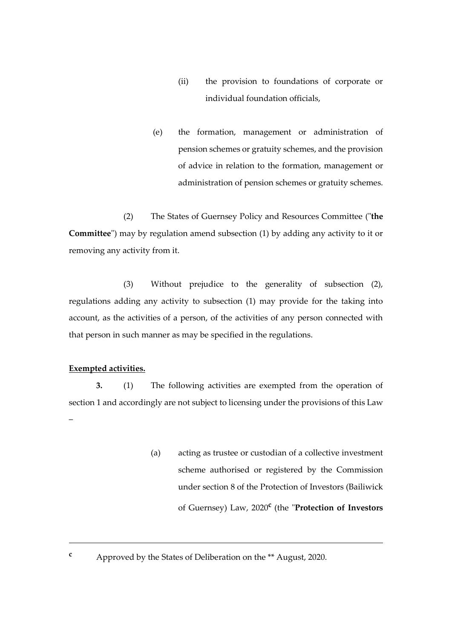- (ii) the provision to foundations of corporate or individual foundation officials,
- (e) the formation, management or administration of pension schemes or gratuity schemes, and the provision of advice in relation to the formation, management or administration of pension schemes or gratuity schemes.

(2) The States of Guernsey Policy and Resources Committee ("**the Committee**") may by regulation amend subsection (1) by adding any activity to it or removing any activity from it.

(3) Without prejudice to the generality of subsection (2), regulations adding any activity to subsection (1) may provide for the taking into account, as the activities of a person, of the activities of any person connected with that person in such manner as may be specified in the regulations.

#### **Exempted activities.**

<u>.</u>

**3.** (1) The following activities are exempted from the operation of section 1 and accordingly are not subject to licensing under the provisions of this Law –

- (a) acting as trustee or custodian of a collective investment scheme authorised or registered by the Commission under section 8 of the Protection of Investors (Bailiwick of Guernsey) Law, 2020**<sup>c</sup>** (the "**Protection of Investors**
- **<sup>c</sup>** Approved by the States of Deliberation on the \*\* August, 2020.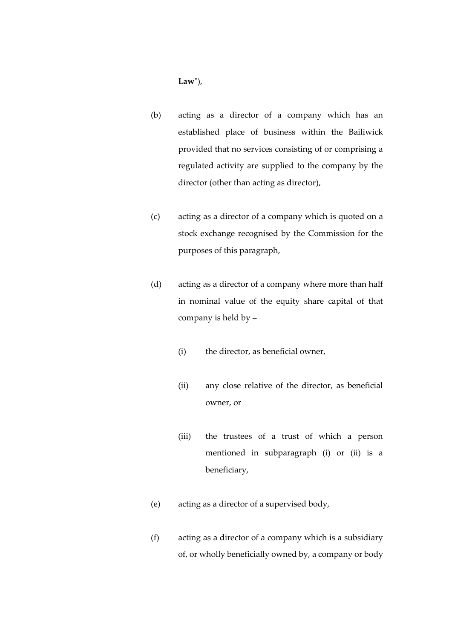**Law**"),

- (b) acting as a director of a company which has an established place of business within the Bailiwick provided that no services consisting of or comprising a regulated activity are supplied to the company by the director (other than acting as director),
- (c) acting as a director of a company which is quoted on a stock exchange recognised by the Commission for the purposes of this paragraph,
- (d) acting as a director of a company where more than half in nominal value of the equity share capital of that company is held by –
	- (i) the director, as beneficial owner,
	- (ii) any close relative of the director, as beneficial owner, or
	- (iii) the trustees of a trust of which a person mentioned in subparagraph (i) or (ii) is a beneficiary,
- (e) acting as a director of a supervised body,
- (f) acting as a director of a company which is a subsidiary of, or wholly beneficially owned by, a company or body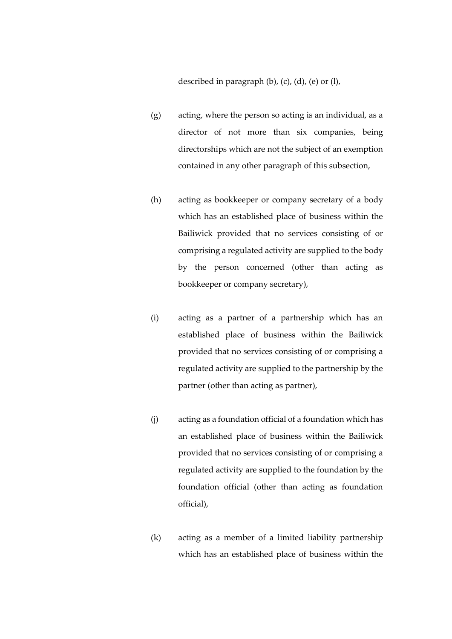described in paragraph  $(b)$ ,  $(c)$ ,  $(d)$ ,  $(e)$  or  $(l)$ ,

- (g) acting, where the person so acting is an individual, as a director of not more than six companies, being directorships which are not the subject of an exemption contained in any other paragraph of this subsection,
- (h) acting as bookkeeper or company secretary of a body which has an established place of business within the Bailiwick provided that no services consisting of or comprising a regulated activity are supplied to the body by the person concerned (other than acting as bookkeeper or company secretary),
- (i) acting as a partner of a partnership which has an established place of business within the Bailiwick provided that no services consisting of or comprising a regulated activity are supplied to the partnership by the partner (other than acting as partner),
- (j) acting as a foundation official of a foundation which has an established place of business within the Bailiwick provided that no services consisting of or comprising a regulated activity are supplied to the foundation by the foundation official (other than acting as foundation official),
- (k) acting as a member of a limited liability partnership which has an established place of business within the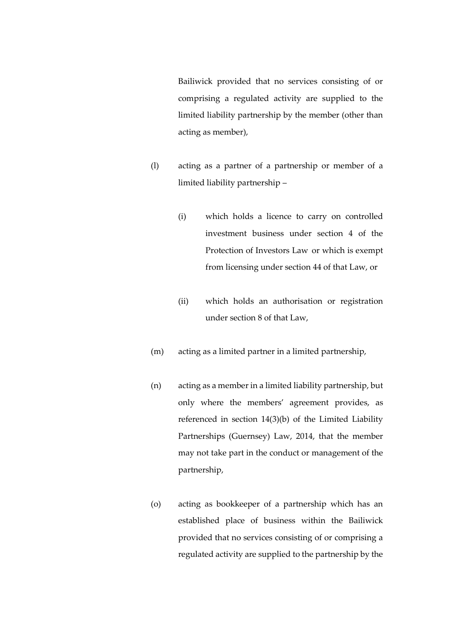Bailiwick provided that no services consisting of or comprising a regulated activity are supplied to the limited liability partnership by the member (other than acting as member),

- (l) acting as a partner of a partnership or member of a limited liability partnership –
	- (i) which holds a licence to carry on controlled investment business under section 4 of the Protection of Investors Law or which is exempt from licensing under section 44 of that Law, or
	- (ii) which holds an authorisation or registration under section 8 of that Law,
- (m) acting as a limited partner in a limited partnership,
- (n) acting as a member in a limited liability partnership, but only where the members' agreement provides, as referenced in section 14(3)(b) of the Limited Liability Partnerships (Guernsey) Law, 2014, that the member may not take part in the conduct or management of the partnership,
- (o) acting as bookkeeper of a partnership which has an established place of business within the Bailiwick provided that no services consisting of or comprising a regulated activity are supplied to the partnership by the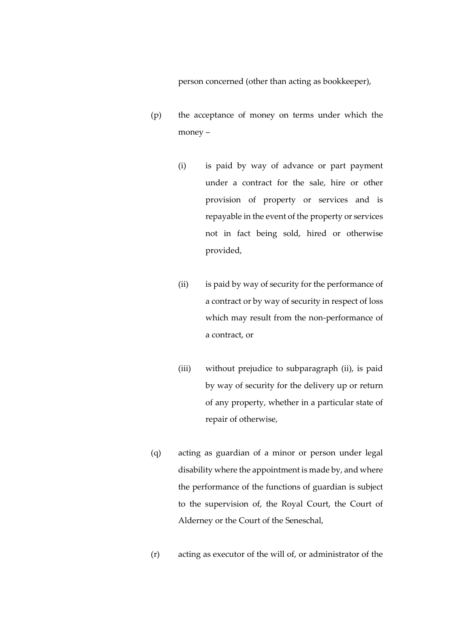person concerned (other than acting as bookkeeper),

- (p) the acceptance of money on terms under which the money –
	- (i) is paid by way of advance or part payment under a contract for the sale, hire or other provision of property or services and is repayable in the event of the property or services not in fact being sold, hired or otherwise provided,
	- (ii) is paid by way of security for the performance of a contract or by way of security in respect of loss which may result from the non-performance of a contract, or
	- (iii) without prejudice to subparagraph (ii), is paid by way of security for the delivery up or return of any property, whether in a particular state of repair of otherwise,
- (q) acting as guardian of a minor or person under legal disability where the appointment is made by, and where the performance of the functions of guardian is subject to the supervision of, the Royal Court, the Court of Alderney or the Court of the Seneschal,
- (r) acting as executor of the will of, or administrator of the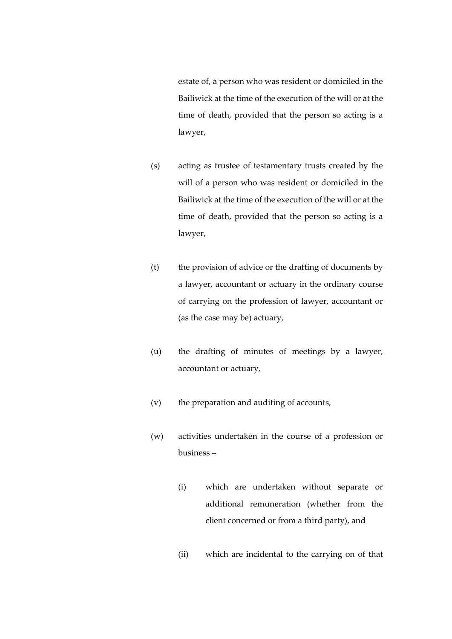estate of, a person who was resident or domiciled in the Bailiwick at the time of the execution of the will or at the time of death, provided that the person so acting is a lawyer,

- (s) acting as trustee of testamentary trusts created by the will of a person who was resident or domiciled in the Bailiwick at the time of the execution of the will or at the time of death, provided that the person so acting is a lawyer,
- (t) the provision of advice or the drafting of documents by a lawyer, accountant or actuary in the ordinary course of carrying on the profession of lawyer, accountant or (as the case may be) actuary,
- (u) the drafting of minutes of meetings by a lawyer, accountant or actuary,
- (v) the preparation and auditing of accounts,
- (w) activities undertaken in the course of a profession or business –
	- (i) which are undertaken without separate or additional remuneration (whether from the client concerned or from a third party), and
	- (ii) which are incidental to the carrying on of that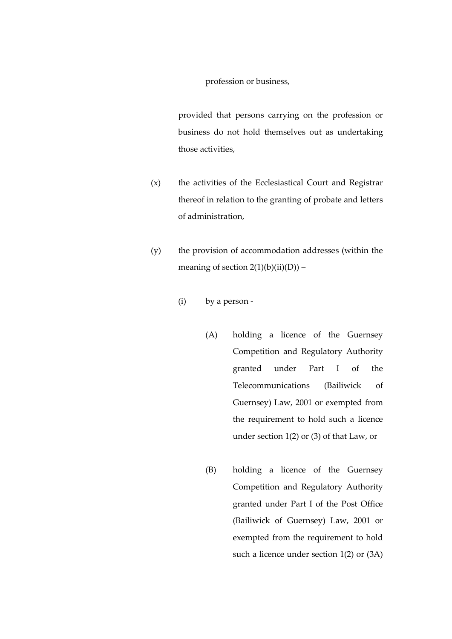profession or business,

provided that persons carrying on the profession or business do not hold themselves out as undertaking those activities,

- (x) the activities of the Ecclesiastical Court and Registrar thereof in relation to the granting of probate and letters of administration,
- (y) the provision of accommodation addresses (within the meaning of section  $2(1)(b)(ii)(D)) -$ 
	- (i) by a person
		- (A) holding a licence of the Guernsey Competition and Regulatory Authority granted under Part I of the Telecommunications (Bailiwick of Guernsey) Law, 2001 or exempted from the requirement to hold such a licence under section 1(2) or (3) of that Law, or
		- (B) holding a licence of the Guernsey Competition and Regulatory Authority granted under Part I of the Post Office (Bailiwick of Guernsey) Law, 2001 or exempted from the requirement to hold such a licence under section 1(2) or (3A)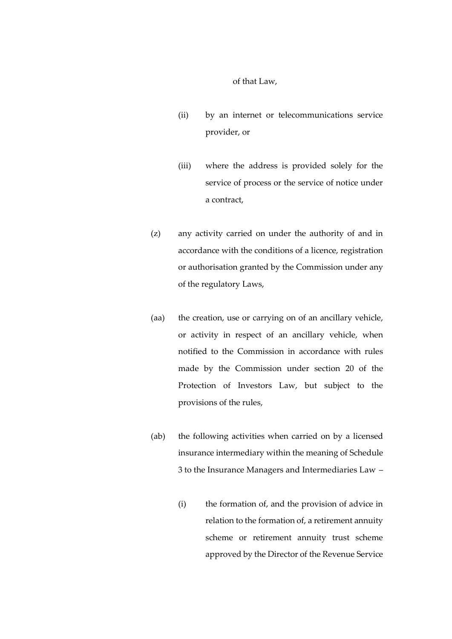of that Law,

- (ii) by an internet or telecommunications service provider, or
- (iii) where the address is provided solely for the service of process or the service of notice under a contract,
- (z) any activity carried on under the authority of and in accordance with the conditions of a licence, registration or authorisation granted by the Commission under any of the regulatory Laws,
- (aa) the creation, use or carrying on of an ancillary vehicle, or activity in respect of an ancillary vehicle, when notified to the Commission in accordance with rules made by the Commission under section 20 of the Protection of Investors Law, but subject to the provisions of the rules,
- (ab) the following activities when carried on by a licensed insurance intermediary within the meaning of Schedule 3 to the Insurance Managers and Intermediaries Law –
	- (i) the formation of, and the provision of advice in relation to the formation of, a retirement annuity scheme or retirement annuity trust scheme approved by the Director of the Revenue Service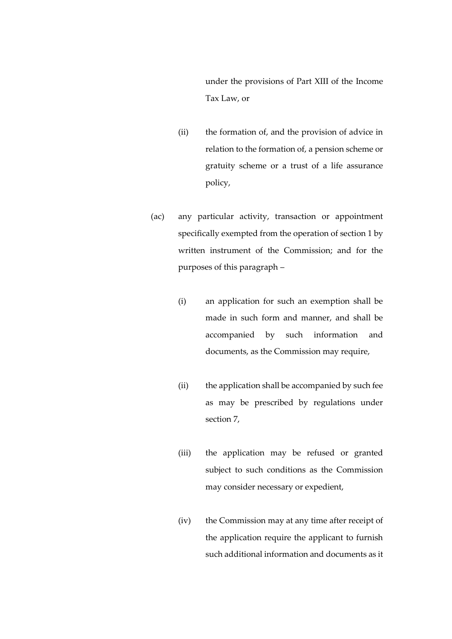under the provisions of Part XIII of the Income Tax Law, or

- (ii) the formation of, and the provision of advice in relation to the formation of, a pension scheme or gratuity scheme or a trust of a life assurance policy,
- (ac) any particular activity, transaction or appointment specifically exempted from the operation of section 1 by written instrument of the Commission; and for the purposes of this paragraph –
	- (i) an application for such an exemption shall be made in such form and manner, and shall be accompanied by such information and documents, as the Commission may require,
	- (ii) the application shall be accompanied by such fee as may be prescribed by regulations under section 7,
	- (iii) the application may be refused or granted subject to such conditions as the Commission may consider necessary or expedient,
	- (iv) the Commission may at any time after receipt of the application require the applicant to furnish such additional information and documents as it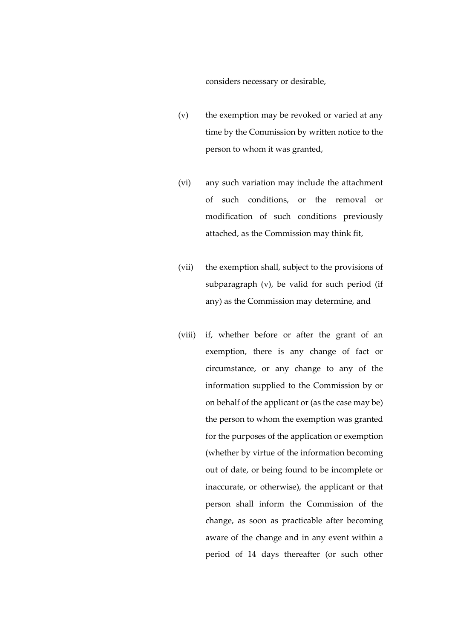considers necessary or desirable,

- (v) the exemption may be revoked or varied at any time by the Commission by written notice to the person to whom it was granted,
- (vi) any such variation may include the attachment of such conditions, or the removal or modification of such conditions previously attached, as the Commission may think fit,
- (vii) the exemption shall, subject to the provisions of subparagraph (v), be valid for such period (if any) as the Commission may determine, and
- (viii) if, whether before or after the grant of an exemption, there is any change of fact or circumstance, or any change to any of the information supplied to the Commission by or on behalf of the applicant or (as the case may be) the person to whom the exemption was granted for the purposes of the application or exemption (whether by virtue of the information becoming out of date, or being found to be incomplete or inaccurate, or otherwise), the applicant or that person shall inform the Commission of the change, as soon as practicable after becoming aware of the change and in any event within a period of 14 days thereafter (or such other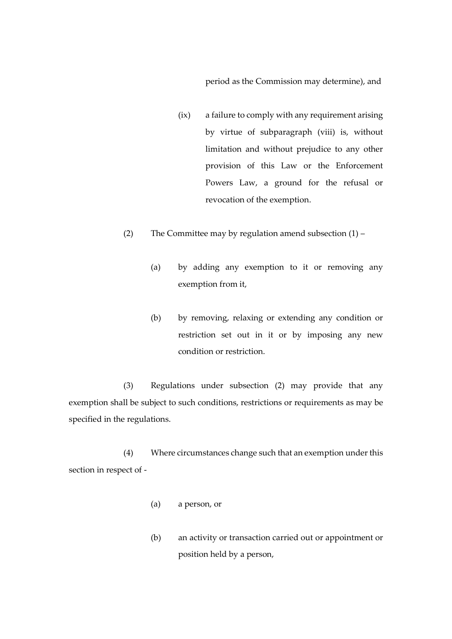period as the Commission may determine), and

- (ix) a failure to comply with any requirement arising by virtue of subparagraph (viii) is, without limitation and without prejudice to any other provision of this Law or the Enforcement Powers Law, a ground for the refusal or revocation of the exemption.
- (2) The Committee may by regulation amend subsection  $(1)$ 
	- (a) by adding any exemption to it or removing any exemption from it,
	- (b) by removing, relaxing or extending any condition or restriction set out in it or by imposing any new condition or restriction.

(3) Regulations under subsection (2) may provide that any exemption shall be subject to such conditions, restrictions or requirements as may be specified in the regulations.

(4) Where circumstances change such that an exemption under this section in respect of -

- (a) a person, or
- (b) an activity or transaction carried out or appointment or position held by a person,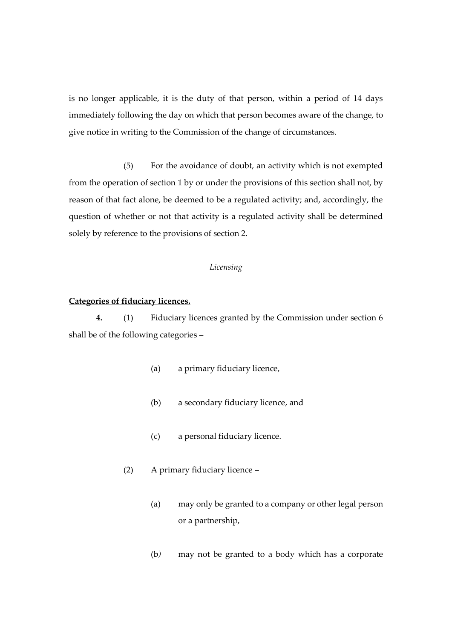is no longer applicable, it is the duty of that person, within a period of 14 days immediately following the day on which that person becomes aware of the change, to give notice in writing to the Commission of the change of circumstances.

(5) For the avoidance of doubt, an activity which is not exempted from the operation of section 1 by or under the provisions of this section shall not, by reason of that fact alone, be deemed to be a regulated activity; and, accordingly, the question of whether or not that activity is a regulated activity shall be determined solely by reference to the provisions of section 2.

#### *Licensing*

#### **Categories of fiduciary licences.**

**4.** (1) Fiduciary licences granted by the Commission under section 6 shall be of the following categories –

- (a) a primary fiduciary licence,
- (b) a secondary fiduciary licence, and
- (c) a personal fiduciary licence.
- (2) A primary fiduciary licence
	- (a) may only be granted to a company or other legal person or a partnership,
	- (b*)* may not be granted to a body which has a corporate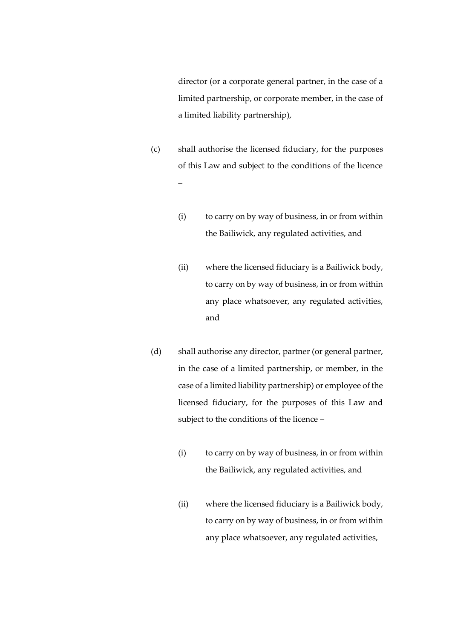director (or a corporate general partner, in the case of a limited partnership, or corporate member, in the case of a limited liability partnership),

- (c) shall authorise the licensed fiduciary, for the purposes of this Law and subject to the conditions of the licence –
	- (i) to carry on by way of business, in or from within the Bailiwick, any regulated activities, and
	- (ii) where the licensed fiduciary is a Bailiwick body, to carry on by way of business, in or from within any place whatsoever, any regulated activities, and
- (d) shall authorise any director, partner (or general partner, in the case of a limited partnership, or member, in the case of a limited liability partnership) or employee of the licensed fiduciary, for the purposes of this Law and subject to the conditions of the licence –
	- (i) to carry on by way of business, in or from within the Bailiwick, any regulated activities, and
	- (ii) where the licensed fiduciary is a Bailiwick body, to carry on by way of business, in or from within any place whatsoever, any regulated activities,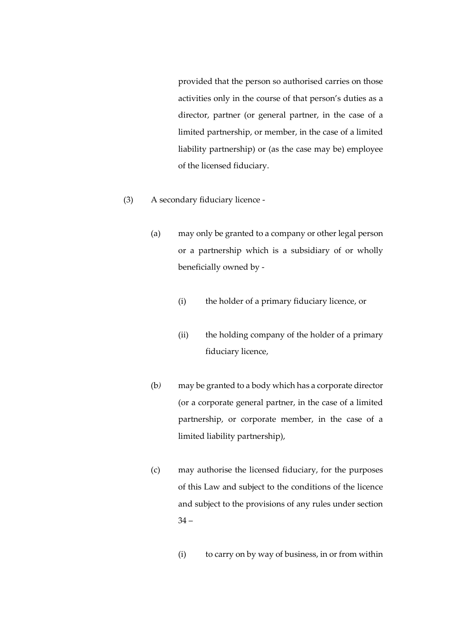provided that the person so authorised carries on those activities only in the course of that person's duties as a director, partner (or general partner, in the case of a limited partnership, or member, in the case of a limited liability partnership) or (as the case may be) employee of the licensed fiduciary.

- (3) A secondary fiduciary licence
	- (a) may only be granted to a company or other legal person or a partnership which is a subsidiary of or wholly beneficially owned by -
		- (i) the holder of a primary fiduciary licence, or
		- (ii) the holding company of the holder of a primary fiduciary licence,
	- (b*)* may be granted to a body which has a corporate director (or a corporate general partner, in the case of a limited partnership, or corporate member, in the case of a limited liability partnership),
	- (c) may authorise the licensed fiduciary, for the purposes of this Law and subject to the conditions of the licence and subject to the provisions of any rules under section  $34 -$ 
		- (i) to carry on by way of business, in or from within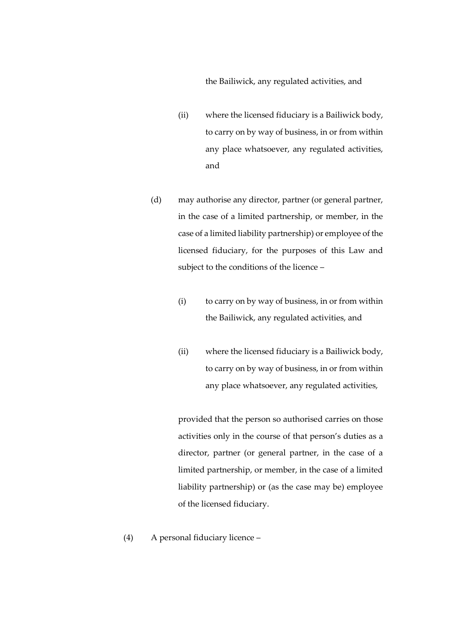the Bailiwick, any regulated activities, and

- (ii) where the licensed fiduciary is a Bailiwick body, to carry on by way of business, in or from within any place whatsoever, any regulated activities, and
- (d) may authorise any director, partner (or general partner, in the case of a limited partnership, or member, in the case of a limited liability partnership) or employee of the licensed fiduciary, for the purposes of this Law and subject to the conditions of the licence –
	- (i) to carry on by way of business, in or from within the Bailiwick, any regulated activities, and
	- (ii) where the licensed fiduciary is a Bailiwick body, to carry on by way of business, in or from within any place whatsoever, any regulated activities,

provided that the person so authorised carries on those activities only in the course of that person's duties as a director, partner (or general partner, in the case of a limited partnership, or member, in the case of a limited liability partnership) or (as the case may be) employee of the licensed fiduciary.

(4) A personal fiduciary licence –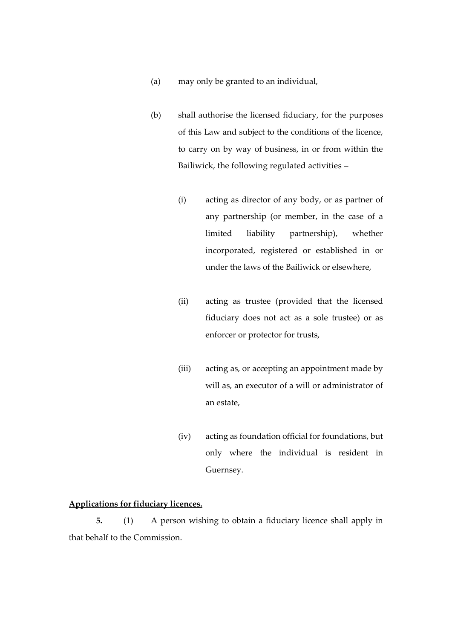- (a) may only be granted to an individual,
- (b) shall authorise the licensed fiduciary, for the purposes of this Law and subject to the conditions of the licence, to carry on by way of business, in or from within the Bailiwick, the following regulated activities –
	- (i) acting as director of any body, or as partner of any partnership (or member, in the case of a limited liability partnership), whether incorporated, registered or established in or under the laws of the Bailiwick or elsewhere,
	- (ii) acting as trustee (provided that the licensed fiduciary does not act as a sole trustee) or as enforcer or protector for trusts,
	- (iii) acting as, or accepting an appointment made by will as, an executor of a will or administrator of an estate,
	- (iv) acting as foundation official for foundations, but only where the individual is resident in Guernsey.

# **Applications for fiduciary licences.**

**5.** (1) A person wishing to obtain a fiduciary licence shall apply in that behalf to the Commission.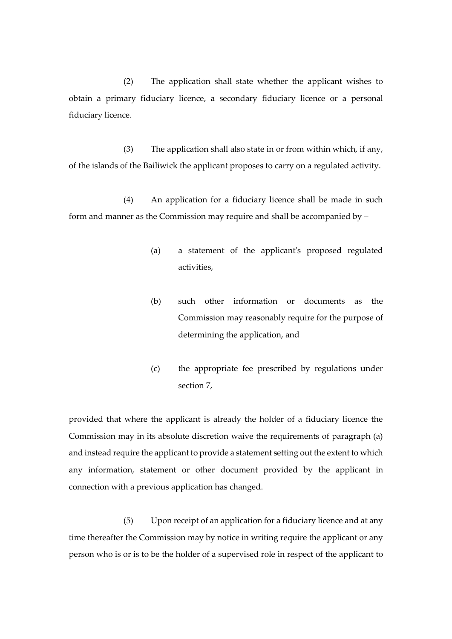(2) The application shall state whether the applicant wishes to obtain a primary fiduciary licence, a secondary fiduciary licence or a personal fiduciary licence.

(3) The application shall also state in or from within which, if any, of the islands of the Bailiwick the applicant proposes to carry on a regulated activity.

(4) An application for a fiduciary licence shall be made in such form and manner as the Commission may require and shall be accompanied by –

- (a) a statement of the applicant's proposed regulated activities,
- (b) such other information or documents as the Commission may reasonably require for the purpose of determining the application, and
- (c) the appropriate fee prescribed by regulations under section 7,

provided that where the applicant is already the holder of a fiduciary licence the Commission may in its absolute discretion waive the requirements of paragraph (a) and instead require the applicant to provide a statement setting out the extent to which any information, statement or other document provided by the applicant in connection with a previous application has changed.

(5) Upon receipt of an application for a fiduciary licence and at any time thereafter the Commission may by notice in writing require the applicant or any person who is or is to be the holder of a supervised role in respect of the applicant to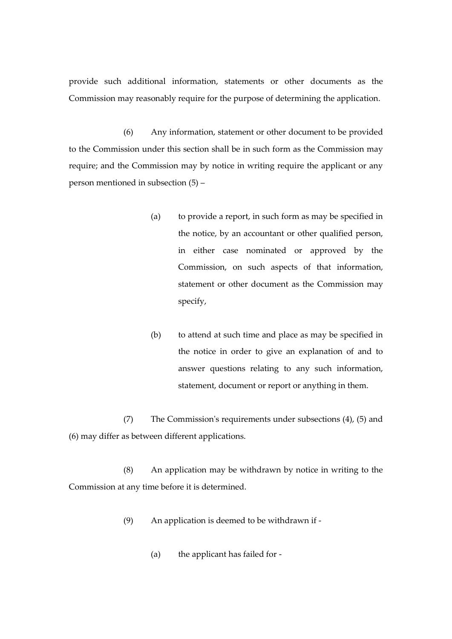provide such additional information, statements or other documents as the Commission may reasonably require for the purpose of determining the application.

(6) Any information, statement or other document to be provided to the Commission under this section shall be in such form as the Commission may require; and the Commission may by notice in writing require the applicant or any person mentioned in subsection (5) –

- (a) to provide a report, in such form as may be specified in the notice, by an accountant or other qualified person, in either case nominated or approved by the Commission, on such aspects of that information, statement or other document as the Commission may specify,
- (b) to attend at such time and place as may be specified in the notice in order to give an explanation of and to answer questions relating to any such information, statement, document or report or anything in them.

(7) The Commission's requirements under subsections (4), (5) and (6) may differ as between different applications.

(8) An application may be withdrawn by notice in writing to the Commission at any time before it is determined.

- (9) An application is deemed to be withdrawn if
	- (a) the applicant has failed for -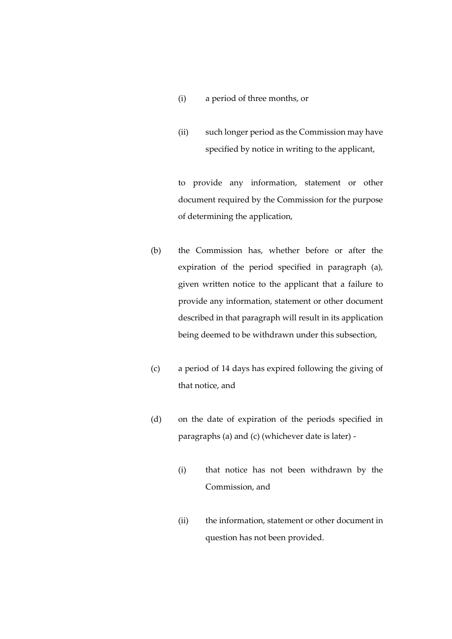- (i) a period of three months, or
- (ii) such longer period as the Commission may have specified by notice in writing to the applicant,

to provide any information, statement or other document required by the Commission for the purpose of determining the application,

- (b) the Commission has, whether before or after the expiration of the period specified in paragraph (a), given written notice to the applicant that a failure to provide any information, statement or other document described in that paragraph will result in its application being deemed to be withdrawn under this subsection,
- (c) a period of 14 days has expired following the giving of that notice, and
- (d) on the date of expiration of the periods specified in paragraphs (a) and (c) (whichever date is later) -
	- (i) that notice has not been withdrawn by the Commission, and
	- (ii) the information, statement or other document in question has not been provided.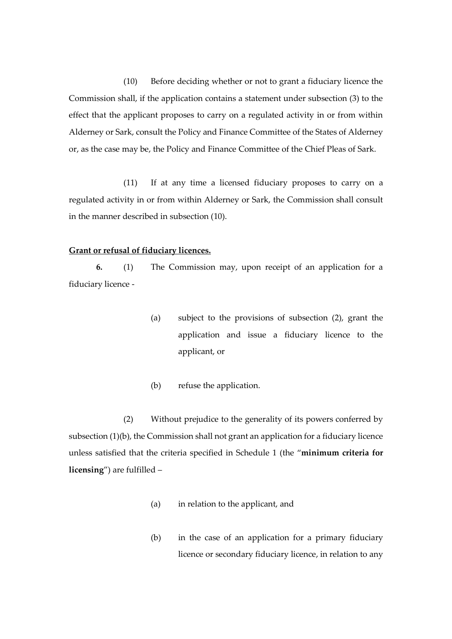(10) Before deciding whether or not to grant a fiduciary licence the Commission shall, if the application contains a statement under subsection (3) to the effect that the applicant proposes to carry on a regulated activity in or from within Alderney or Sark, consult the Policy and Finance Committee of the States of Alderney or, as the case may be, the Policy and Finance Committee of the Chief Pleas of Sark.

(11) If at any time a licensed fiduciary proposes to carry on a regulated activity in or from within Alderney or Sark, the Commission shall consult in the manner described in subsection (10).

# **Grant or refusal of fiduciary licences.**

**6.** (1) The Commission may, upon receipt of an application for a fiduciary licence -

- (a) subject to the provisions of subsection (2), grant the application and issue a fiduciary licence to the applicant, or
- (b) refuse the application.

(2) Without prejudice to the generality of its powers conferred by subsection (1)(b), the Commission shall not grant an application for a fiduciary licence unless satisfied that the criteria specified in Schedule 1 (the "**minimum criteria for licensing**") are fulfilled –

- (a) in relation to the applicant, and
- (b) in the case of an application for a primary fiduciary licence or secondary fiduciary licence, in relation to any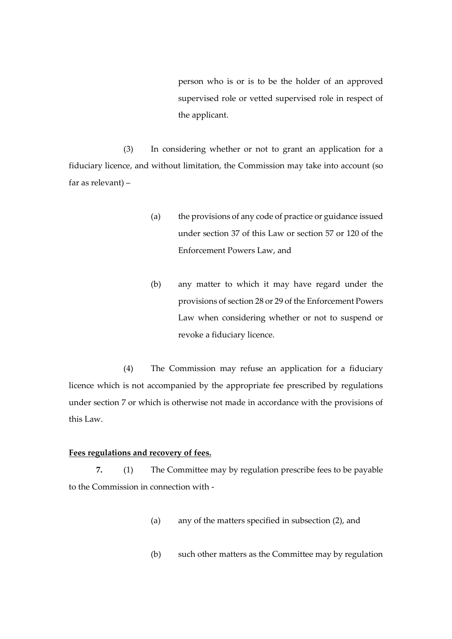person who is or is to be the holder of an approved supervised role or vetted supervised role in respect of the applicant.

(3) In considering whether or not to grant an application for a fiduciary licence, and without limitation, the Commission may take into account (so far as relevant) –

- (a) the provisions of any code of practice or guidance issued under section 37 of this Law or section 57 or 120 of the Enforcement Powers Law, and
- (b) any matter to which it may have regard under the provisions of section 28 or 29 of the Enforcement Powers Law when considering whether or not to suspend or revoke a fiduciary licence.

(4) The Commission may refuse an application for a fiduciary licence which is not accompanied by the appropriate fee prescribed by regulations under section 7 or which is otherwise not made in accordance with the provisions of this Law.

#### **Fees regulations and recovery of fees.**

**7.** (1) The Committee may by regulation prescribe fees to be payable to the Commission in connection with -

- (a) any of the matters specified in subsection (2), and
- (b) such other matters as the Committee may by regulation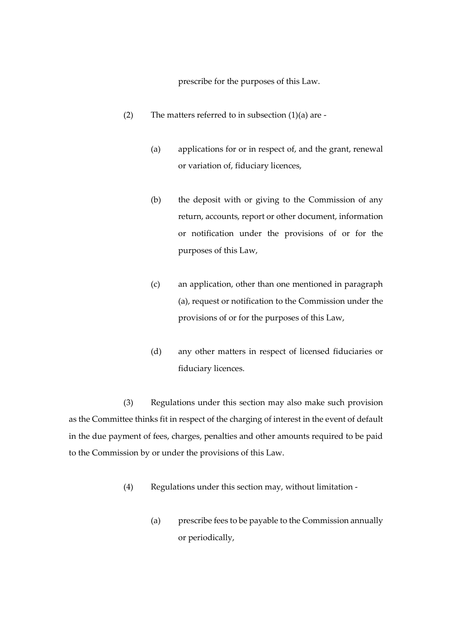prescribe for the purposes of this Law.

- (2) The matters referred to in subsection  $(1)(a)$  are -
	- (a) applications for or in respect of, and the grant, renewal or variation of, fiduciary licences,
	- (b) the deposit with or giving to the Commission of any return, accounts, report or other document, information or notification under the provisions of or for the purposes of this Law,
	- (c) an application, other than one mentioned in paragraph (a), request or notification to the Commission under the provisions of or for the purposes of this Law,
	- (d) any other matters in respect of licensed fiduciaries or fiduciary licences.

(3) Regulations under this section may also make such provision as the Committee thinks fit in respect of the charging of interest in the event of default in the due payment of fees, charges, penalties and other amounts required to be paid to the Commission by or under the provisions of this Law.

- (4) Regulations under this section may, without limitation
	- (a) prescribe fees to be payable to the Commission annually or periodically,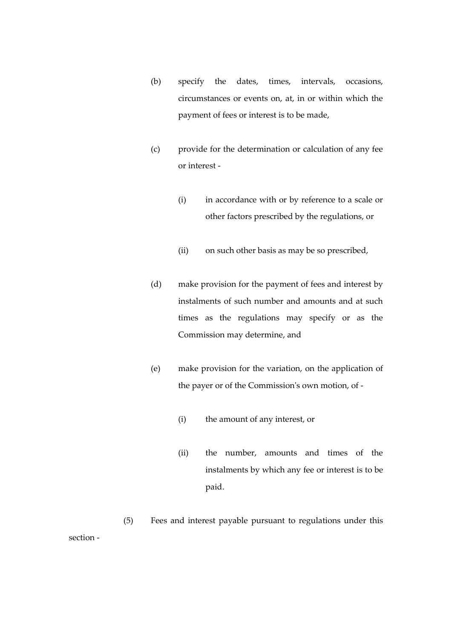- (b) specify the dates, times, intervals, occasions, circumstances or events on, at, in or within which the payment of fees or interest is to be made,
- (c) provide for the determination or calculation of any fee or interest -
	- (i) in accordance with or by reference to a scale or other factors prescribed by the regulations, or
	- (ii) on such other basis as may be so prescribed,
- (d) make provision for the payment of fees and interest by instalments of such number and amounts and at such times as the regulations may specify or as the Commission may determine, and
- (e) make provision for the variation, on the application of the payer or of the Commission's own motion, of -
	- (i) the amount of any interest, or
	- (ii) the number, amounts and times of the instalments by which any fee or interest is to be paid.

(5) Fees and interest payable pursuant to regulations under this section -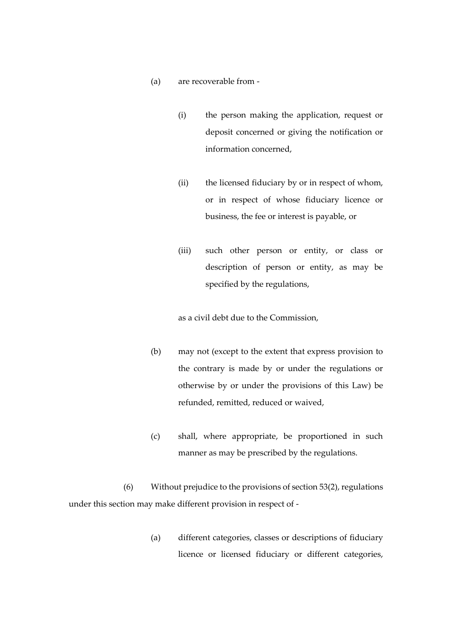- (a) are recoverable from
	- (i) the person making the application, request or deposit concerned or giving the notification or information concerned,
	- (ii) the licensed fiduciary by or in respect of whom, or in respect of whose fiduciary licence or business, the fee or interest is payable, or
	- (iii) such other person or entity, or class or description of person or entity, as may be specified by the regulations,

as a civil debt due to the Commission,

- (b) may not (except to the extent that express provision to the contrary is made by or under the regulations or otherwise by or under the provisions of this Law) be refunded, remitted, reduced or waived,
- (c) shall, where appropriate, be proportioned in such manner as may be prescribed by the regulations.

(6) Without prejudice to the provisions of section 53(2), regulations under this section may make different provision in respect of -

> (a) different categories, classes or descriptions of fiduciary licence or licensed fiduciary or different categories,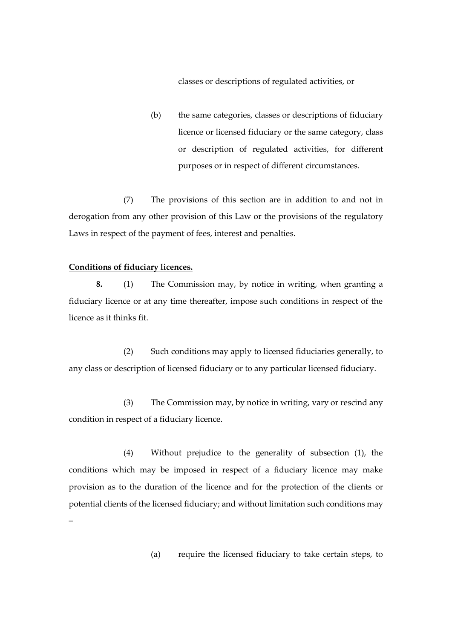classes or descriptions of regulated activities, or

(b) the same categories, classes or descriptions of fiduciary licence or licensed fiduciary or the same category, class or description of regulated activities, for different purposes or in respect of different circumstances.

(7) The provisions of this section are in addition to and not in derogation from any other provision of this Law or the provisions of the regulatory Laws in respect of the payment of fees, interest and penalties.

#### **Conditions of fiduciary licences.**

**8.** (1) The Commission may, by notice in writing, when granting a fiduciary licence or at any time thereafter, impose such conditions in respect of the licence as it thinks fit.

(2) Such conditions may apply to licensed fiduciaries generally, to any class or description of licensed fiduciary or to any particular licensed fiduciary.

(3) The Commission may, by notice in writing, vary or rescind any condition in respect of a fiduciary licence.

(4) Without prejudice to the generality of subsection (1), the conditions which may be imposed in respect of a fiduciary licence may make provision as to the duration of the licence and for the protection of the clients or potential clients of the licensed fiduciary; and without limitation such conditions may –

(a) require the licensed fiduciary to take certain steps, to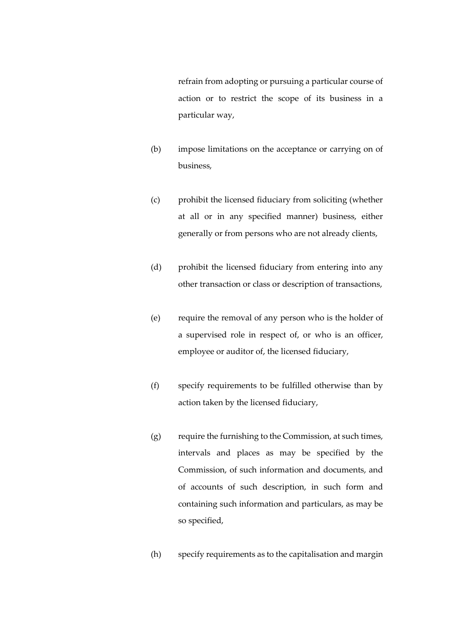refrain from adopting or pursuing a particular course of action or to restrict the scope of its business in a particular way,

- (b) impose limitations on the acceptance or carrying on of business,
- (c) prohibit the licensed fiduciary from soliciting (whether at all or in any specified manner) business, either generally or from persons who are not already clients,
- (d) prohibit the licensed fiduciary from entering into any other transaction or class or description of transactions,
- (e) require the removal of any person who is the holder of a supervised role in respect of, or who is an officer, employee or auditor of, the licensed fiduciary,
- (f) specify requirements to be fulfilled otherwise than by action taken by the licensed fiduciary,
- (g) require the furnishing to the Commission, at such times, intervals and places as may be specified by the Commission, of such information and documents, and of accounts of such description, in such form and containing such information and particulars, as may be so specified,
- (h) specify requirements as to the capitalisation and margin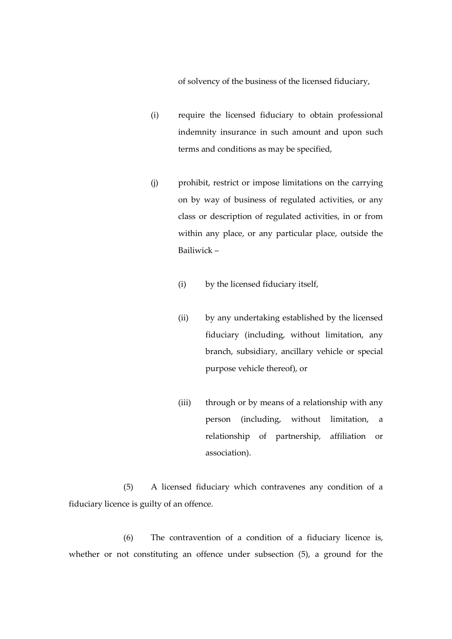of solvency of the business of the licensed fiduciary,

- (i) require the licensed fiduciary to obtain professional indemnity insurance in such amount and upon such terms and conditions as may be specified,
- (j) prohibit, restrict or impose limitations on the carrying on by way of business of regulated activities, or any class or description of regulated activities, in or from within any place, or any particular place, outside the Bailiwick –
	- (i) by the licensed fiduciary itself,
	- (ii) by any undertaking established by the licensed fiduciary (including, without limitation, any branch, subsidiary, ancillary vehicle or special purpose vehicle thereof), or
	- (iii) through or by means of a relationship with any person (including, without limitation, a relationship of partnership, affiliation or association).

(5) A licensed fiduciary which contravenes any condition of a fiduciary licence is guilty of an offence.

(6) The contravention of a condition of a fiduciary licence is, whether or not constituting an offence under subsection (5), a ground for the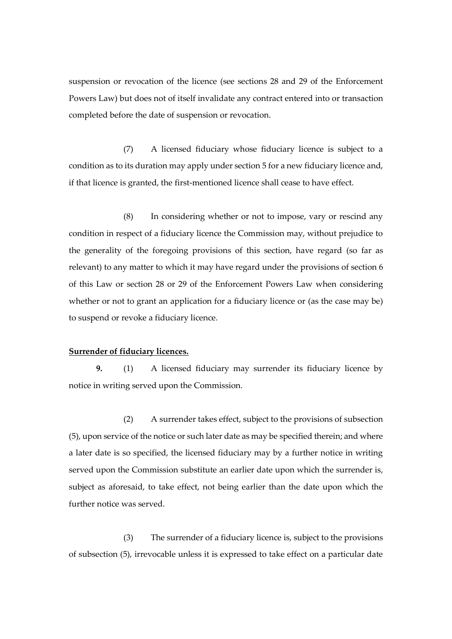suspension or revocation of the licence (see sections 28 and 29 of the Enforcement Powers Law) but does not of itself invalidate any contract entered into or transaction completed before the date of suspension or revocation.

(7) A licensed fiduciary whose fiduciary licence is subject to a condition as to its duration may apply under section 5 for a new fiduciary licence and, if that licence is granted, the first-mentioned licence shall cease to have effect.

(8) In considering whether or not to impose, vary or rescind any condition in respect of a fiduciary licence the Commission may, without prejudice to the generality of the foregoing provisions of this section, have regard (so far as relevant) to any matter to which it may have regard under the provisions of section 6 of this Law or section 28 or 29 of the Enforcement Powers Law when considering whether or not to grant an application for a fiduciary licence or (as the case may be) to suspend or revoke a fiduciary licence.

#### **Surrender of fiduciary licences.**

**9.** (1) A licensed fiduciary may surrender its fiduciary licence by notice in writing served upon the Commission.

(2) A surrender takes effect, subject to the provisions of subsection (5), upon service of the notice or such later date as may be specified therein; and where a later date is so specified, the licensed fiduciary may by a further notice in writing served upon the Commission substitute an earlier date upon which the surrender is, subject as aforesaid, to take effect, not being earlier than the date upon which the further notice was served.

(3) The surrender of a fiduciary licence is, subject to the provisions of subsection (5), irrevocable unless it is expressed to take effect on a particular date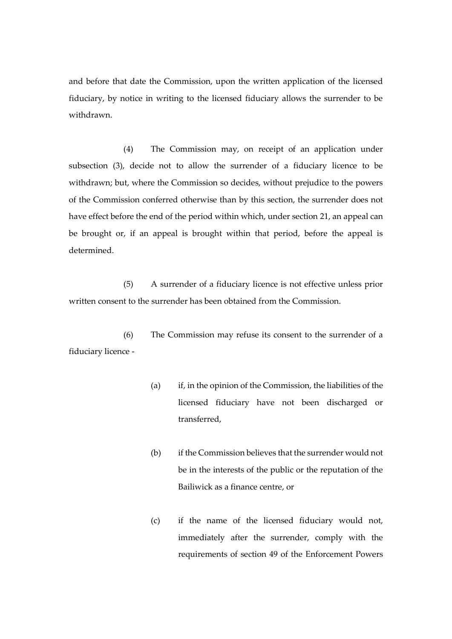and before that date the Commission, upon the written application of the licensed fiduciary, by notice in writing to the licensed fiduciary allows the surrender to be withdrawn.

(4) The Commission may, on receipt of an application under subsection (3), decide not to allow the surrender of a fiduciary licence to be withdrawn; but, where the Commission so decides, without prejudice to the powers of the Commission conferred otherwise than by this section, the surrender does not have effect before the end of the period within which, under section 21, an appeal can be brought or, if an appeal is brought within that period, before the appeal is determined.

(5) A surrender of a fiduciary licence is not effective unless prior written consent to the surrender has been obtained from the Commission.

(6) The Commission may refuse its consent to the surrender of a fiduciary licence -

- (a) if, in the opinion of the Commission, the liabilities of the licensed fiduciary have not been discharged or transferred,
- (b) if the Commission believes that the surrender would not be in the interests of the public or the reputation of the Bailiwick as a finance centre, or
- (c) if the name of the licensed fiduciary would not, immediately after the surrender, comply with the requirements of section 49 of the Enforcement Powers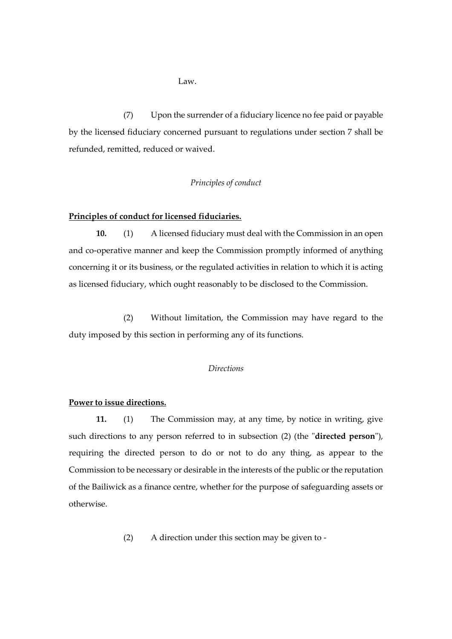Law.

(7) Upon the surrender of a fiduciary licence no fee paid or payable by the licensed fiduciary concerned pursuant to regulations under section 7 shall be refunded, remitted, reduced or waived.

## *Principles of conduct*

#### **Principles of conduct for licensed fiduciaries.**

**10.** (1) A licensed fiduciary must deal with the Commission in an open and co-operative manner and keep the Commission promptly informed of anything concerning it or its business, or the regulated activities in relation to which it is acting as licensed fiduciary, which ought reasonably to be disclosed to the Commission.

(2) Without limitation, the Commission may have regard to the duty imposed by this section in performing any of its functions.

#### *Directions*

## **Power to issue directions.**

**11.** (1) The Commission may, at any time, by notice in writing, give such directions to any person referred to in subsection (2) (the "**directed person**"), requiring the directed person to do or not to do any thing, as appear to the Commission to be necessary or desirable in the interests of the public or the reputation of the Bailiwick as a finance centre, whether for the purpose of safeguarding assets or otherwise.

(2) A direction under this section may be given to -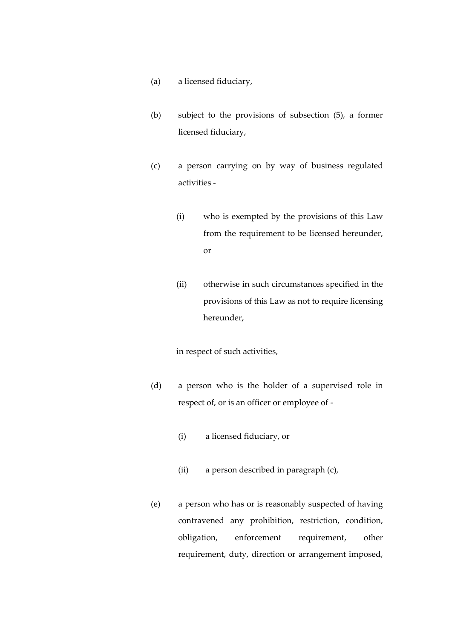- (a) a licensed fiduciary,
- (b) subject to the provisions of subsection (5), a former licensed fiduciary,
- (c) a person carrying on by way of business regulated activities -
	- (i) who is exempted by the provisions of this Law from the requirement to be licensed hereunder, or
	- (ii) otherwise in such circumstances specified in the provisions of this Law as not to require licensing hereunder,

in respect of such activities,

- (d) a person who is the holder of a supervised role in respect of, or is an officer or employee of -
	- (i) a licensed fiduciary, or
	- (ii) a person described in paragraph (c),
- (e) a person who has or is reasonably suspected of having contravened any prohibition, restriction, condition, obligation, enforcement requirement, other requirement, duty, direction or arrangement imposed,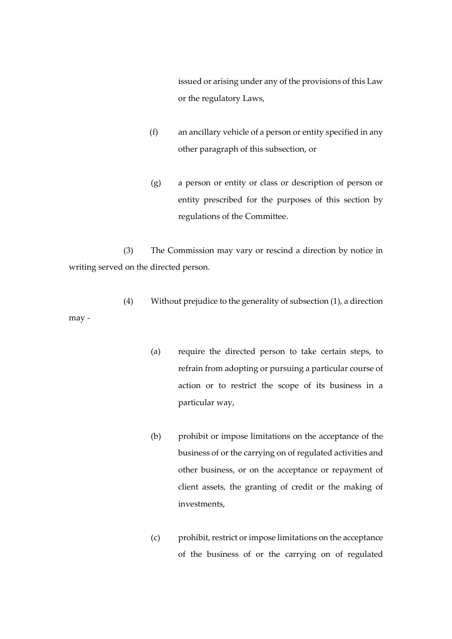issued or arising under any of the provisions of this Law or the regulatory Laws,

- (f) an ancillary vehicle of a person or entity specified in any other paragraph of this subsection, or
- (g) a person or entity or class or description of person or entity prescribed for the purposes of this section by regulations of the Committee.

(3) The Commission may vary or rescind a direction by notice in writing served on the directed person.

- (4) Without prejudice to the generality of subsection (1), a direction may -
	- (a) require the directed person to take certain steps, to refrain from adopting or pursuing a particular course of action or to restrict the scope of its business in a particular way,
	- (b) prohibit or impose limitations on the acceptance of the business of or the carrying on of regulated activities and other business, or on the acceptance or repayment of client assets, the granting of credit or the making of investments,
	- (c) prohibit, restrict or impose limitations on the acceptance of the business of or the carrying on of regulated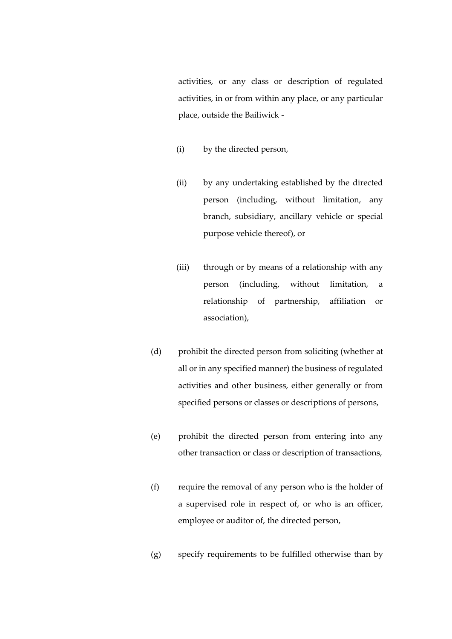activities, or any class or description of regulated activities, in or from within any place, or any particular place, outside the Bailiwick -

- (i) by the directed person,
- (ii) by any undertaking established by the directed person (including, without limitation, any branch, subsidiary, ancillary vehicle or special purpose vehicle thereof), or
- (iii) through or by means of a relationship with any person (including, without limitation, a relationship of partnership, affiliation or association),
- (d) prohibit the directed person from soliciting (whether at all or in any specified manner) the business of regulated activities and other business, either generally or from specified persons or classes or descriptions of persons,
- (e) prohibit the directed person from entering into any other transaction or class or description of transactions,
- (f) require the removal of any person who is the holder of a supervised role in respect of, or who is an officer, employee or auditor of, the directed person,
- (g) specify requirements to be fulfilled otherwise than by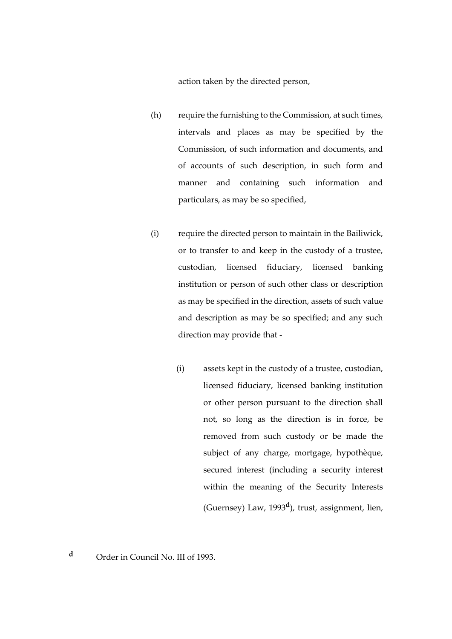action taken by the directed person,

- (h) require the furnishing to the Commission, at such times, intervals and places as may be specified by the Commission, of such information and documents, and of accounts of such description, in such form and manner and containing such information and particulars, as may be so specified,
- (i) require the directed person to maintain in the Bailiwick, or to transfer to and keep in the custody of a trustee, custodian, licensed fiduciary, licensed banking institution or person of such other class or description as may be specified in the direction, assets of such value and description as may be so specified; and any such direction may provide that -
	- (i) assets kept in the custody of a trustee, custodian, licensed fiduciary, licensed banking institution or other person pursuant to the direction shall not, so long as the direction is in force, be removed from such custody or be made the subject of any charge, mortgage, hypothèque, secured interest (including a security interest within the meaning of the Security Interests (Guernsey) Law, 1993**<sup>d</sup>** ), trust, assignment, lien,

<u>.</u>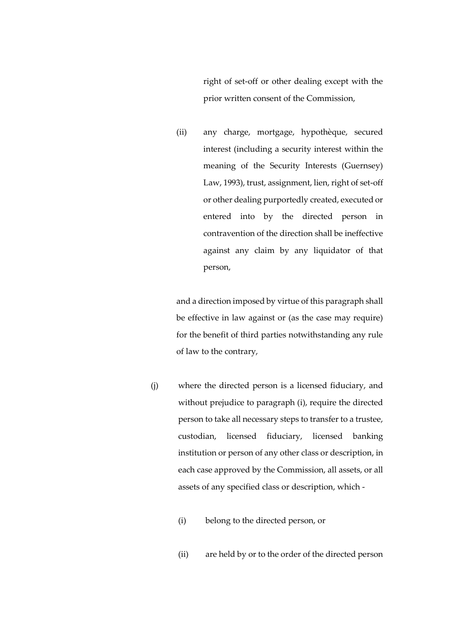right of set-off or other dealing except with the prior written consent of the Commission,

(ii) any charge, mortgage, hypothèque, secured interest (including a security interest within the meaning of the Security Interests (Guernsey) Law, 1993), trust, assignment, lien, right of set-off or other dealing purportedly created, executed or entered into by the directed person in contravention of the direction shall be ineffective against any claim by any liquidator of that person,

and a direction imposed by virtue of this paragraph shall be effective in law against or (as the case may require) for the benefit of third parties notwithstanding any rule of law to the contrary,

- (j) where the directed person is a licensed fiduciary, and without prejudice to paragraph (i), require the directed person to take all necessary steps to transfer to a trustee, custodian, licensed fiduciary, licensed banking institution or person of any other class or description, in each case approved by the Commission, all assets, or all assets of any specified class or description, which -
	- (i) belong to the directed person, or
	- (ii) are held by or to the order of the directed person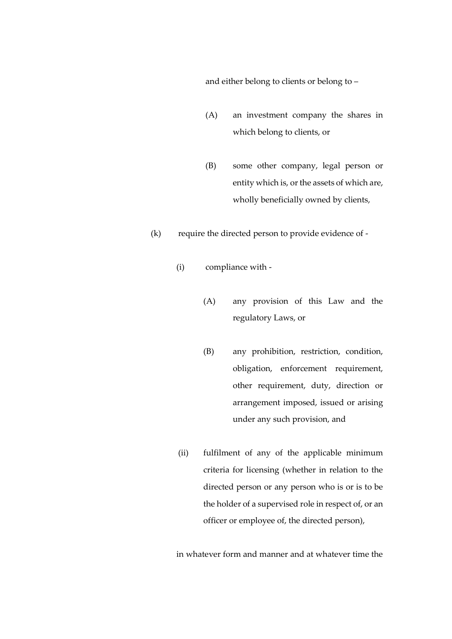and either belong to clients or belong to –

- (A) an investment company the shares in which belong to clients, or
- (B) some other company, legal person or entity which is, or the assets of which are, wholly beneficially owned by clients,
- (k) require the directed person to provide evidence of
	- (i) compliance with
		- (A) any provision of this Law and the regulatory Laws, or
		- (B) any prohibition, restriction, condition, obligation, enforcement requirement, other requirement, duty, direction or arrangement imposed, issued or arising under any such provision, and
	- (ii) fulfilment of any of the applicable minimum criteria for licensing (whether in relation to the directed person or any person who is or is to be the holder of a supervised role in respect of, or an officer or employee of, the directed person),

in whatever form and manner and at whatever time the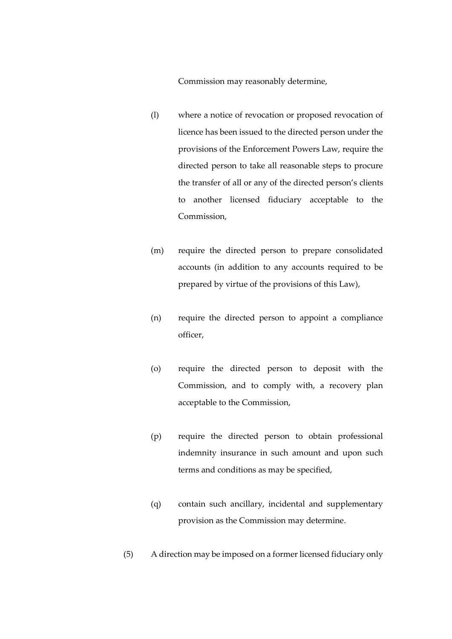Commission may reasonably determine,

- (l) where a notice of revocation or proposed revocation of licence has been issued to the directed person under the provisions of the Enforcement Powers Law, require the directed person to take all reasonable steps to procure the transfer of all or any of the directed person's clients to another licensed fiduciary acceptable to the Commission,
- (m) require the directed person to prepare consolidated accounts (in addition to any accounts required to be prepared by virtue of the provisions of this Law),
- (n) require the directed person to appoint a compliance officer,
- (o) require the directed person to deposit with the Commission, and to comply with, a recovery plan acceptable to the Commission,
- (p) require the directed person to obtain professional indemnity insurance in such amount and upon such terms and conditions as may be specified,
- (q) contain such ancillary, incidental and supplementary provision as the Commission may determine.
- (5) A direction may be imposed on a former licensed fiduciary only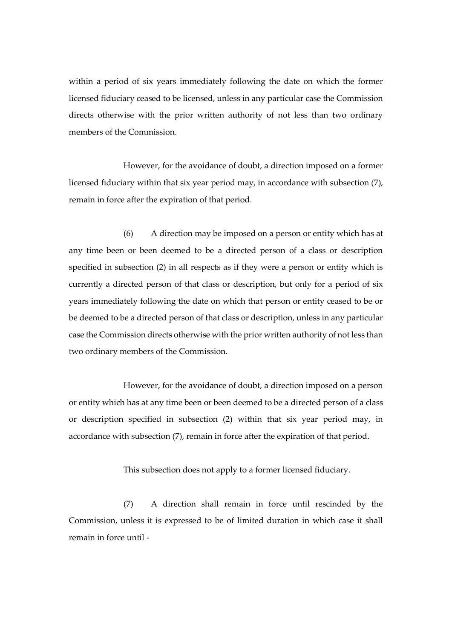within a period of six years immediately following the date on which the former licensed fiduciary ceased to be licensed, unless in any particular case the Commission directs otherwise with the prior written authority of not less than two ordinary members of the Commission.

However, for the avoidance of doubt, a direction imposed on a former licensed fiduciary within that six year period may, in accordance with subsection (7), remain in force after the expiration of that period.

(6) A direction may be imposed on a person or entity which has at any time been or been deemed to be a directed person of a class or description specified in subsection (2) in all respects as if they were a person or entity which is currently a directed person of that class or description, but only for a period of six years immediately following the date on which that person or entity ceased to be or be deemed to be a directed person of that class or description, unless in any particular case the Commission directs otherwise with the prior written authority of not less than two ordinary members of the Commission.

However, for the avoidance of doubt, a direction imposed on a person or entity which has at any time been or been deemed to be a directed person of a class or description specified in subsection (2) within that six year period may, in accordance with subsection (7), remain in force after the expiration of that period.

This subsection does not apply to a former licensed fiduciary.

(7) A direction shall remain in force until rescinded by the Commission, unless it is expressed to be of limited duration in which case it shall remain in force until -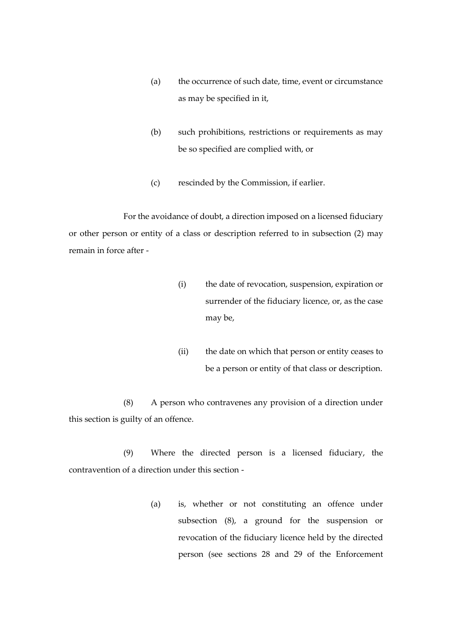- (a) the occurrence of such date, time, event or circumstance as may be specified in it,
- (b) such prohibitions, restrictions or requirements as may be so specified are complied with, or
- (c) rescinded by the Commission, if earlier.

For the avoidance of doubt, a direction imposed on a licensed fiduciary or other person or entity of a class or description referred to in subsection (2) may remain in force after -

- (i) the date of revocation, suspension, expiration or surrender of the fiduciary licence, or, as the case may be,
- (ii) the date on which that person or entity ceases to be a person or entity of that class or description.

(8) A person who contravenes any provision of a direction under this section is guilty of an offence.

(9) Where the directed person is a licensed fiduciary, the contravention of a direction under this section -

> (a) is, whether or not constituting an offence under subsection (8), a ground for the suspension or revocation of the fiduciary licence held by the directed person (see sections 28 and 29 of the Enforcement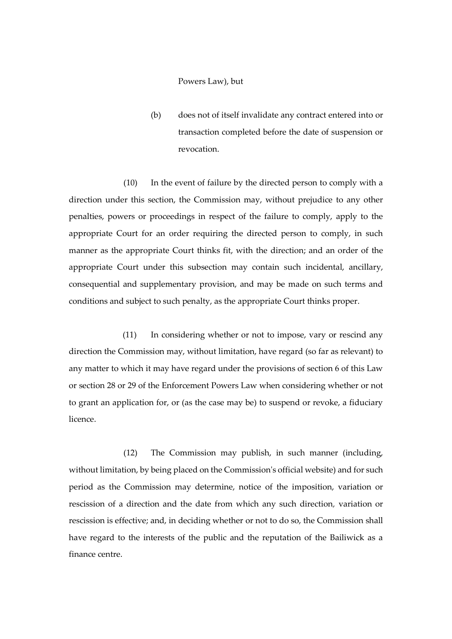## Powers Law), but

(b) does not of itself invalidate any contract entered into or transaction completed before the date of suspension or revocation.

(10) In the event of failure by the directed person to comply with a direction under this section, the Commission may, without prejudice to any other penalties, powers or proceedings in respect of the failure to comply, apply to the appropriate Court for an order requiring the directed person to comply, in such manner as the appropriate Court thinks fit, with the direction; and an order of the appropriate Court under this subsection may contain such incidental, ancillary, consequential and supplementary provision, and may be made on such terms and conditions and subject to such penalty, as the appropriate Court thinks proper.

(11) In considering whether or not to impose, vary or rescind any direction the Commission may, without limitation, have regard (so far as relevant) to any matter to which it may have regard under the provisions of section 6 of this Law or section 28 or 29 of the Enforcement Powers Law when considering whether or not to grant an application for, or (as the case may be) to suspend or revoke, a fiduciary licence.

(12) The Commission may publish, in such manner (including, without limitation, by being placed on the Commission's official website) and for such period as the Commission may determine, notice of the imposition, variation or rescission of a direction and the date from which any such direction*,* variation or rescission is effective; and, in deciding whether or not to do so, the Commission shall have regard to the interests of the public and the reputation of the Bailiwick as a finance centre.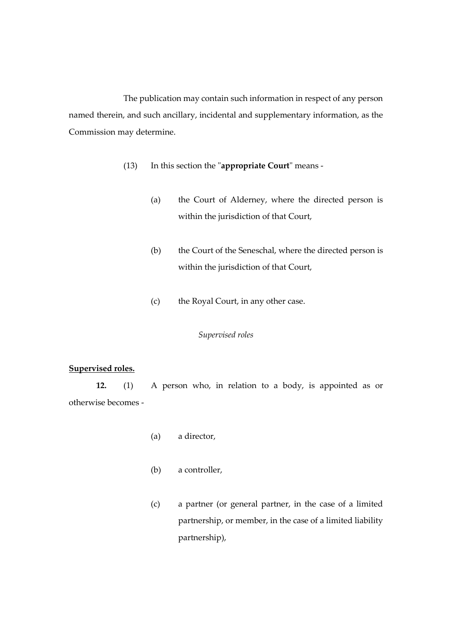The publication may contain such information in respect of any person named therein, and such ancillary, incidental and supplementary information, as the Commission may determine.

- (13) In this section the "**appropriate Court**" means
	- (a) the Court of Alderney, where the directed person is within the jurisdiction of that Court,
	- (b) the Court of the Seneschal, where the directed person is within the jurisdiction of that Court,
	- (c) the Royal Court, in any other case.

## *Supervised roles*

#### **Supervised roles.**

**12.** (1) A person who, in relation to a body, is appointed as or otherwise becomes -

- (a) a director,
- (b) a controller,
- (c) a partner (or general partner, in the case of a limited partnership, or member, in the case of a limited liability partnership),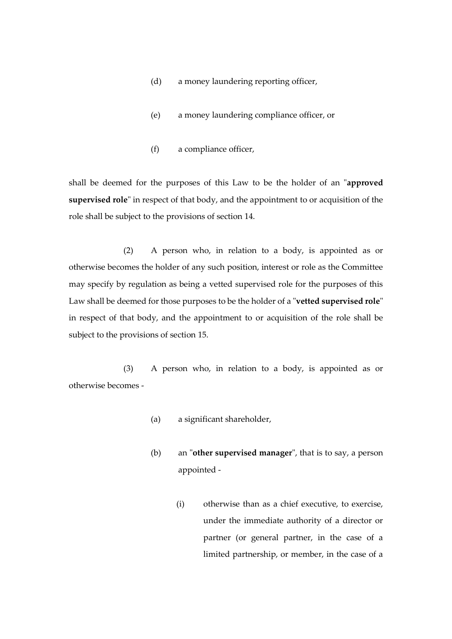- (d) a money laundering reporting officer,
- (e) a money laundering compliance officer, or
- (f) a compliance officer,

shall be deemed for the purposes of this Law to be the holder of an "**approved supervised role**" in respect of that body, and the appointment to or acquisition of the role shall be subject to the provisions of section 14.

(2) A person who, in relation to a body, is appointed as or otherwise becomes the holder of any such position, interest or role as the Committee may specify by regulation as being a vetted supervised role for the purposes of this Law shall be deemed for those purposes to be the holder of a "**vetted supervised role**" in respect of that body, and the appointment to or acquisition of the role shall be subject to the provisions of section 15.

(3) A person who, in relation to a body, is appointed as or otherwise becomes -

- (a) a significant shareholder,
- (b) an "**other supervised manager**", that is to say, a person appointed -
	- (i) otherwise than as a chief executive, to exercise, under the immediate authority of a director or partner (or general partner, in the case of a limited partnership, or member, in the case of a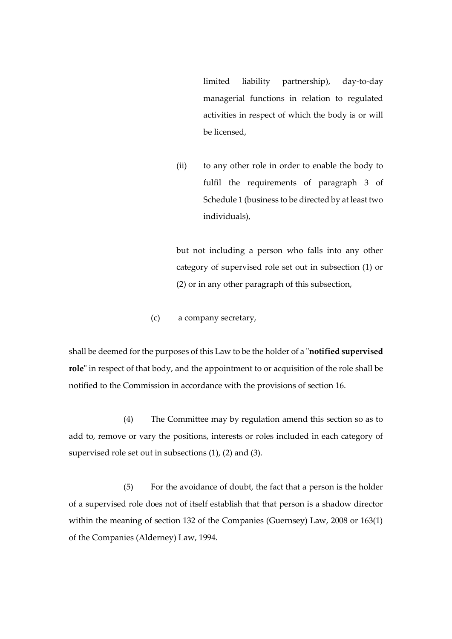limited liability partnership), day-to-day managerial functions in relation to regulated activities in respect of which the body is or will be licensed,

(ii) to any other role in order to enable the body to fulfil the requirements of paragraph 3 of Schedule 1 (business to be directed by at least two individuals),

but not including a person who falls into any other category of supervised role set out in subsection (1) or (2) or in any other paragraph of this subsection,

(c) a company secretary,

shall be deemed for the purposes of this Law to be the holder of a "**notified supervised role**" in respect of that body, and the appointment to or acquisition of the role shall be notified to the Commission in accordance with the provisions of section 16.

(4) The Committee may by regulation amend this section so as to add to, remove or vary the positions, interests or roles included in each category of supervised role set out in subsections (1), (2) and (3).

(5) For the avoidance of doubt, the fact that a person is the holder of a supervised role does not of itself establish that that person is a shadow director within the meaning of section 132 of the Companies (Guernsey) Law, 2008 or 163(1) of the Companies (Alderney) Law, 1994.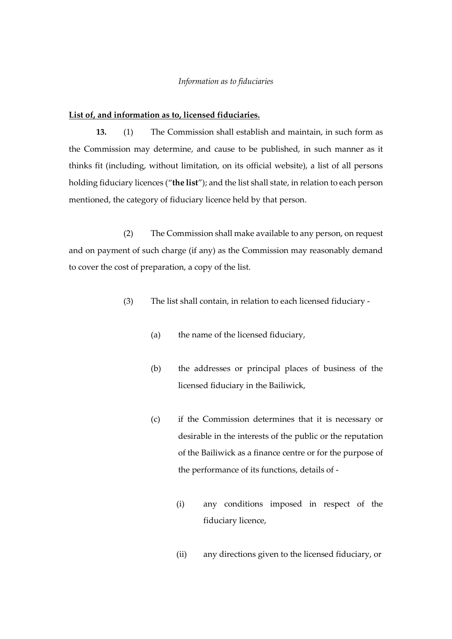#### *Information as to fiduciaries*

# **List of, and information as to, licensed fiduciaries.**

**13.** (1) The Commission shall establish and maintain, in such form as the Commission may determine, and cause to be published, in such manner as it thinks fit (including, without limitation, on its official website), a list of all persons holding fiduciary licences ("**the list**"); and the list shall state, in relation to each person mentioned, the category of fiduciary licence held by that person.

(2) The Commission shall make available to any person, on request and on payment of such charge (if any) as the Commission may reasonably demand to cover the cost of preparation, a copy of the list.

- (3) The list shall contain, in relation to each licensed fiduciary
	- (a) the name of the licensed fiduciary,
	- (b) the addresses or principal places of business of the licensed fiduciary in the Bailiwick,
	- (c) if the Commission determines that it is necessary or desirable in the interests of the public or the reputation of the Bailiwick as a finance centre or for the purpose of the performance of its functions, details of -
		- (i) any conditions imposed in respect of the fiduciary licence,
		- (ii) any directions given to the licensed fiduciary, or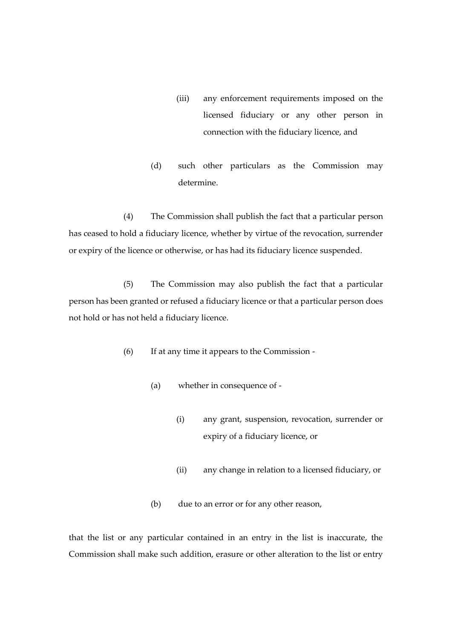- (iii) any enforcement requirements imposed on the licensed fiduciary or any other person in connection with the fiduciary licence, and
- (d) such other particulars as the Commission may determine.

(4) The Commission shall publish the fact that a particular person has ceased to hold a fiduciary licence, whether by virtue of the revocation, surrender or expiry of the licence or otherwise, or has had its fiduciary licence suspended.

(5) The Commission may also publish the fact that a particular person has been granted or refused a fiduciary licence or that a particular person does not hold or has not held a fiduciary licence.

- (6) If at any time it appears to the Commission
	- (a) whether in consequence of
		- (i) any grant, suspension, revocation, surrender or expiry of a fiduciary licence, or
		- (ii) any change in relation to a licensed fiduciary, or
	- (b) due to an error or for any other reason,

that the list or any particular contained in an entry in the list is inaccurate, the Commission shall make such addition, erasure or other alteration to the list or entry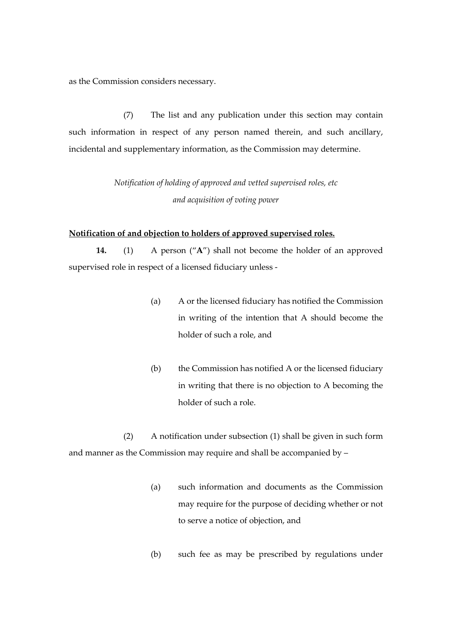as the Commission considers necessary.

(7) The list and any publication under this section may contain such information in respect of any person named therein, and such ancillary, incidental and supplementary information, as the Commission may determine.

> *Notification of holding of approved and vetted supervised roles, etc and acquisition of voting power*

#### **Notification of and objection to holders of approved supervised roles.**

**14.** (1) A person ("**A**") shall not become the holder of an approved supervised role in respect of a licensed fiduciary unless -

- (a) A or the licensed fiduciary has notified the Commission in writing of the intention that A should become the holder of such a role, and
- (b) the Commission has notified A or the licensed fiduciary in writing that there is no objection to A becoming the holder of such a role.

(2) A notification under subsection (1) shall be given in such form and manner as the Commission may require and shall be accompanied by –

- (a) such information and documents as the Commission may require for the purpose of deciding whether or not to serve a notice of objection, and
- (b) such fee as may be prescribed by regulations under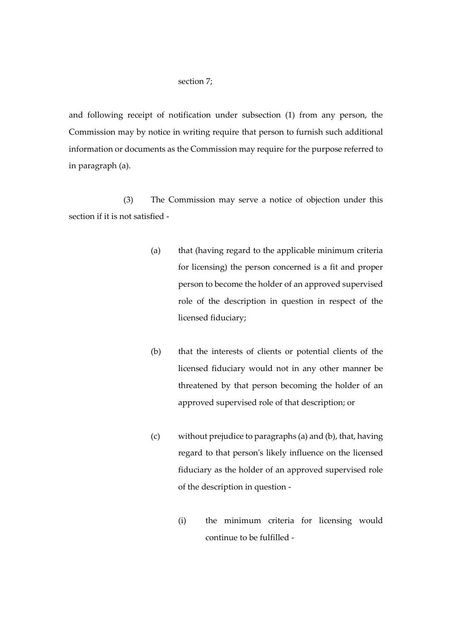#### section 7;

and following receipt of notification under subsection (1) from any person, the Commission may by notice in writing require that person to furnish such additional information or documents as the Commission may require for the purpose referred to in paragraph (a).

(3) The Commission may serve a notice of objection under this section if it is not satisfied -

- (a) that (having regard to the applicable minimum criteria for licensing) the person concerned is a fit and proper person to become the holder of an approved supervised role of the description in question in respect of the licensed fiduciary;
- (b) that the interests of clients or potential clients of the licensed fiduciary would not in any other manner be threatened by that person becoming the holder of an approved supervised role of that description; or
- (c) without prejudice to paragraphs (a) and (b), that, having regard to that person's likely influence on the licensed fiduciary as the holder of an approved supervised role of the description in question -
	- (i) the minimum criteria for licensing would continue to be fulfilled -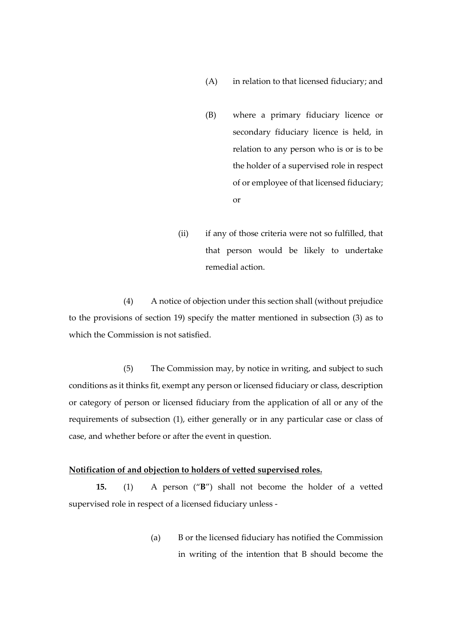- (A) in relation to that licensed fiduciary; and
- (B) where a primary fiduciary licence or secondary fiduciary licence is held, in relation to any person who is or is to be the holder of a supervised role in respect of or employee of that licensed fiduciary; or
- (ii) if any of those criteria were not so fulfilled, that that person would be likely to undertake remedial action.

(4) A notice of objection under this section shall (without prejudice to the provisions of section 19) specify the matter mentioned in subsection (3) as to which the Commission is not satisfied.

(5) The Commission may, by notice in writing, and subject to such conditions as it thinks fit, exempt any person or licensed fiduciary or class, description or category of person or licensed fiduciary from the application of all or any of the requirements of subsection (1), either generally or in any particular case or class of case, and whether before or after the event in question.

## **Notification of and objection to holders of vetted supervised roles.**

**15.** (1) A person ("**B**") shall not become the holder of a vetted supervised role in respect of a licensed fiduciary unless -

> (a) B or the licensed fiduciary has notified the Commission in writing of the intention that B should become the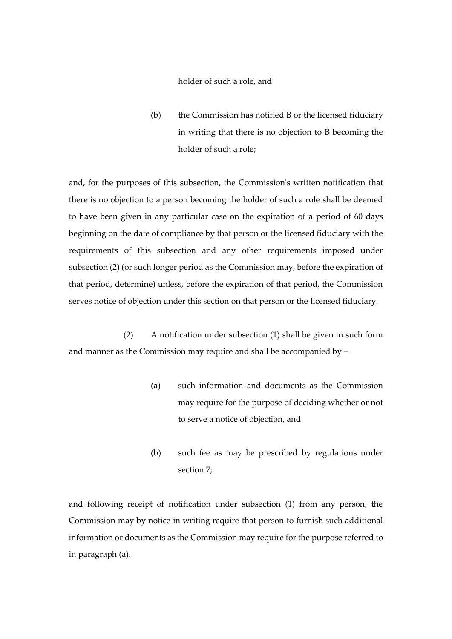holder of such a role, and

(b) the Commission has notified B or the licensed fiduciary in writing that there is no objection to B becoming the holder of such a role;

and, for the purposes of this subsection, the Commission's written notification that there is no objection to a person becoming the holder of such a role shall be deemed to have been given in any particular case on the expiration of a period of 60 days beginning on the date of compliance by that person or the licensed fiduciary with the requirements of this subsection and any other requirements imposed under subsection (2) (or such longer period as the Commission may, before the expiration of that period, determine) unless, before the expiration of that period, the Commission serves notice of objection under this section on that person or the licensed fiduciary.

(2) A notification under subsection (1) shall be given in such form and manner as the Commission may require and shall be accompanied by –

- (a) such information and documents as the Commission may require for the purpose of deciding whether or not to serve a notice of objection, and
- (b) such fee as may be prescribed by regulations under section 7;

and following receipt of notification under subsection (1) from any person, the Commission may by notice in writing require that person to furnish such additional information or documents as the Commission may require for the purpose referred to in paragraph (a).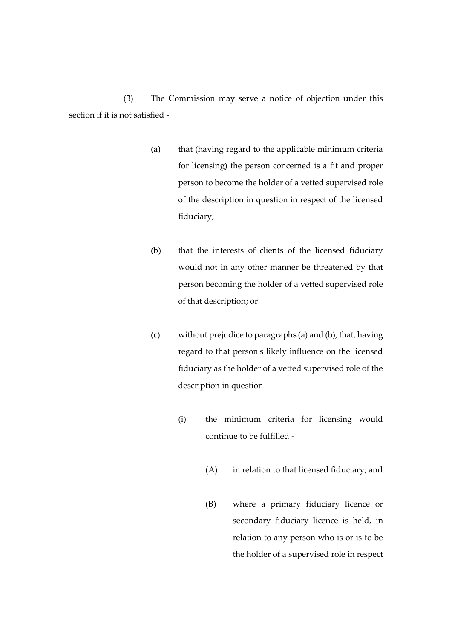(3) The Commission may serve a notice of objection under this section if it is not satisfied -

- (a) that (having regard to the applicable minimum criteria for licensing) the person concerned is a fit and proper person to become the holder of a vetted supervised role of the description in question in respect of the licensed fiduciary;
- (b) that the interests of clients of the licensed fiduciary would not in any other manner be threatened by that person becoming the holder of a vetted supervised role of that description; or
- (c) without prejudice to paragraphs (a) and (b), that, having regard to that person's likely influence on the licensed fiduciary as the holder of a vetted supervised role of the description in question -
	- (i) the minimum criteria for licensing would continue to be fulfilled -
		- (A) in relation to that licensed fiduciary; and
		- (B) where a primary fiduciary licence or secondary fiduciary licence is held, in relation to any person who is or is to be the holder of a supervised role in respect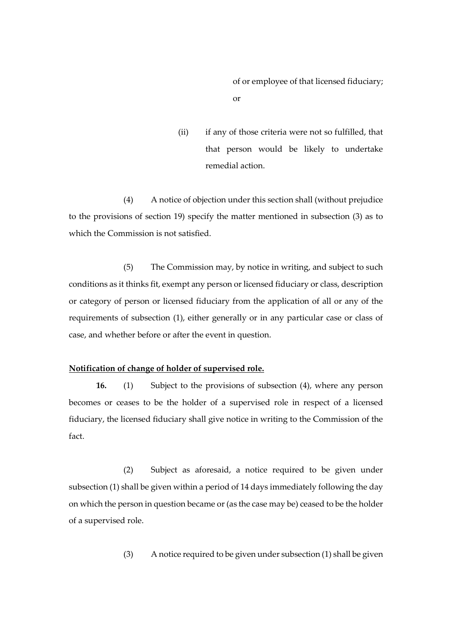of or employee of that licensed fiduciary; or

(ii) if any of those criteria were not so fulfilled, that that person would be likely to undertake remedial action.

(4) A notice of objection under this section shall (without prejudice to the provisions of section 19) specify the matter mentioned in subsection (3) as to which the Commission is not satisfied.

(5) The Commission may, by notice in writing, and subject to such conditions as it thinks fit, exempt any person or licensed fiduciary or class, description or category of person or licensed fiduciary from the application of all or any of the requirements of subsection (1), either generally or in any particular case or class of case, and whether before or after the event in question.

## **Notification of change of holder of supervised role.**

**16.** (1) Subject to the provisions of subsection (4), where any person becomes or ceases to be the holder of a supervised role in respect of a licensed fiduciary, the licensed fiduciary shall give notice in writing to the Commission of the fact.

(2) Subject as aforesaid, a notice required to be given under subsection (1) shall be given within a period of 14 days immediately following the day on which the person in question became or (as the case may be) ceased to be the holder of a supervised role.

(3) A notice required to be given under subsection (1) shall be given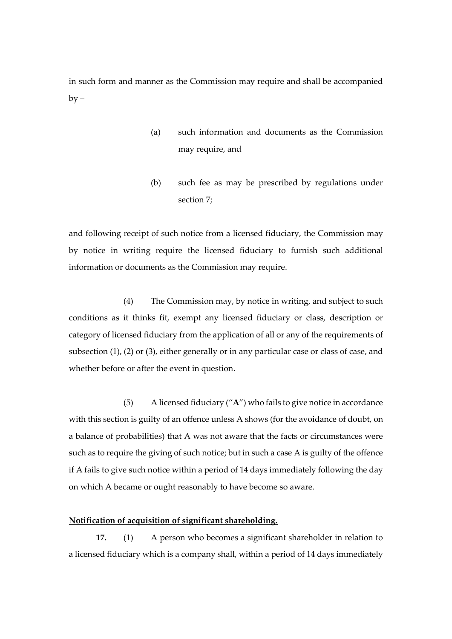in such form and manner as the Commission may require and shall be accompanied  $by -$ 

- (a) such information and documents as the Commission may require, and
- (b) such fee as may be prescribed by regulations under section 7;

and following receipt of such notice from a licensed fiduciary, the Commission may by notice in writing require the licensed fiduciary to furnish such additional information or documents as the Commission may require.

(4) The Commission may, by notice in writing, and subject to such conditions as it thinks fit, exempt any licensed fiduciary or class, description or category of licensed fiduciary from the application of all or any of the requirements of subsection (1), (2) or (3), either generally or in any particular case or class of case, and whether before or after the event in question.

(5) A licensed fiduciary ("**A**") who fails to give notice in accordance with this section is guilty of an offence unless A shows (for the avoidance of doubt, on a balance of probabilities) that A was not aware that the facts or circumstances were such as to require the giving of such notice; but in such a case A is guilty of the offence if A fails to give such notice within a period of 14 days immediately following the day on which A became or ought reasonably to have become so aware.

#### **Notification of acquisition of significant shareholding.**

**17.** (1) A person who becomes a significant shareholder in relation to a licensed fiduciary which is a company shall, within a period of 14 days immediately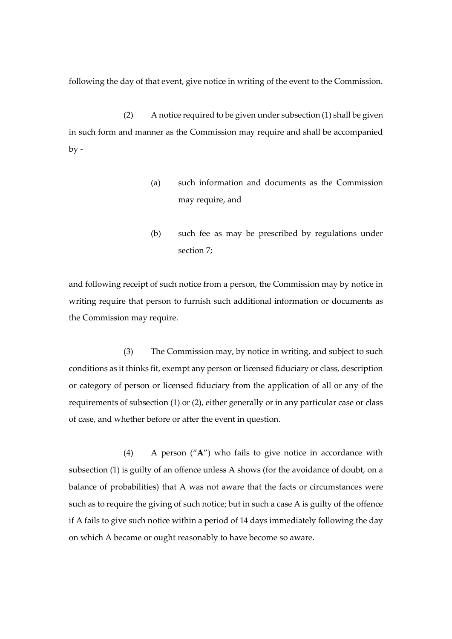following the day of that event, give notice in writing of the event to the Commission.

(2) A notice required to be given under subsection (1) shall be given in such form and manner as the Commission may require and shall be accompanied  $by -$ 

- (a) such information and documents as the Commission may require, and
- (b) such fee as may be prescribed by regulations under section 7;

and following receipt of such notice from a person, the Commission may by notice in writing require that person to furnish such additional information or documents as the Commission may require.

(3) The Commission may, by notice in writing, and subject to such conditions as it thinks fit, exempt any person or licensed fiduciary or class, description or category of person or licensed fiduciary from the application of all or any of the requirements of subsection (1) or (2), either generally or in any particular case or class of case, and whether before or after the event in question.

(4) A person ("**A**") who fails to give notice in accordance with subsection (1) is guilty of an offence unless A shows (for the avoidance of doubt, on a balance of probabilities) that A was not aware that the facts or circumstances were such as to require the giving of such notice; but in such a case A is guilty of the offence if A fails to give such notice within a period of 14 days immediately following the day on which A became or ought reasonably to have become so aware.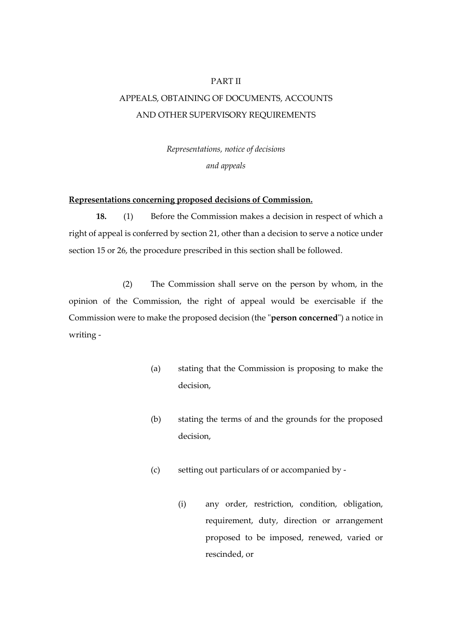#### PART II

# APPEALS, OBTAINING OF DOCUMENTS, ACCOUNTS AND OTHER SUPERVISORY REQUIREMENTS

*Representations, notice of decisions and appeals*

#### **Representations concerning proposed decisions of Commission.**

**18.** (1) Before the Commission makes a decision in respect of which a right of appeal is conferred by section 21, other than a decision to serve a notice under section 15 or 26, the procedure prescribed in this section shall be followed.

(2) The Commission shall serve on the person by whom, in the opinion of the Commission, the right of appeal would be exercisable if the Commission were to make the proposed decision (the "**person concerned**") a notice in writing -

- (a) stating that the Commission is proposing to make the decision,
- (b) stating the terms of and the grounds for the proposed decision,
- (c) setting out particulars of or accompanied by
	- (i) any order, restriction, condition, obligation, requirement, duty, direction or arrangement proposed to be imposed, renewed, varied or rescinded, or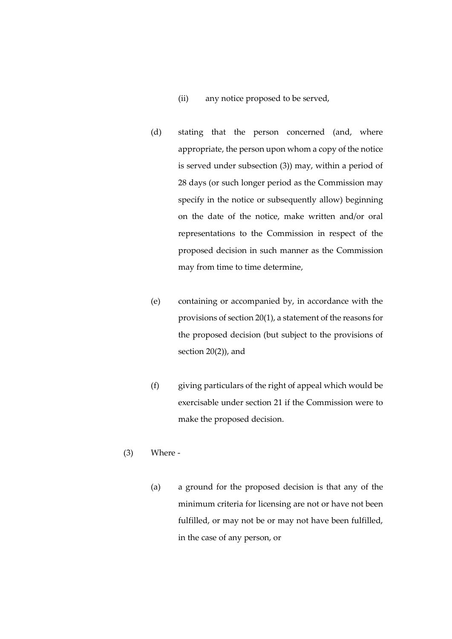- (ii) any notice proposed to be served,
- (d) stating that the person concerned (and, where appropriate, the person upon whom a copy of the notice is served under subsection (3)) may, within a period of 28 days (or such longer period as the Commission may specify in the notice or subsequently allow) beginning on the date of the notice, make written and/or oral representations to the Commission in respect of the proposed decision in such manner as the Commission may from time to time determine,
- (e) containing or accompanied by, in accordance with the provisions of section 20(1), a statement of the reasons for the proposed decision (but subject to the provisions of section 20(2)), and
- (f) giving particulars of the right of appeal which would be exercisable under section 21 if the Commission were to make the proposed decision.
- (3) Where
	- (a) a ground for the proposed decision is that any of the minimum criteria for licensing are not or have not been fulfilled, or may not be or may not have been fulfilled, in the case of any person, or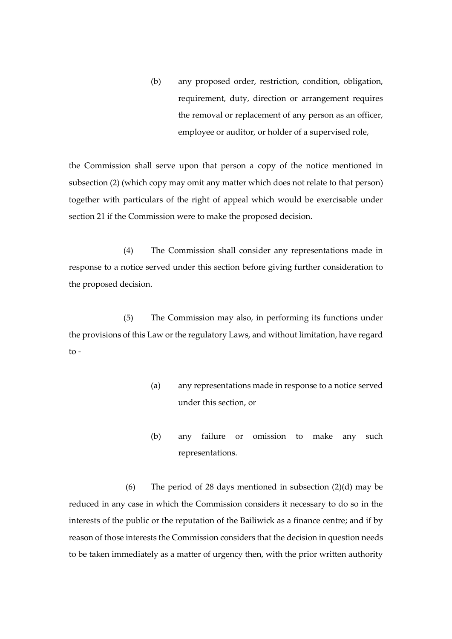(b) any proposed order, restriction, condition, obligation, requirement, duty, direction or arrangement requires the removal or replacement of any person as an officer, employee or auditor, or holder of a supervised role,

the Commission shall serve upon that person a copy of the notice mentioned in subsection (2) (which copy may omit any matter which does not relate to that person) together with particulars of the right of appeal which would be exercisable under section 21 if the Commission were to make the proposed decision.

(4) The Commission shall consider any representations made in response to a notice served under this section before giving further consideration to the proposed decision.

(5) The Commission may also, in performing its functions under the provisions of this Law or the regulatory Laws, and without limitation, have regard to -

- (a) any representations made in response to a notice served under this section, or
- (b) any failure or omission to make any such representations.

(6) The period of 28 days mentioned in subsection (2)(d) may be reduced in any case in which the Commission considers it necessary to do so in the interests of the public or the reputation of the Bailiwick as a finance centre; and if by reason of those interests the Commission considers that the decision in question needs to be taken immediately as a matter of urgency then, with the prior written authority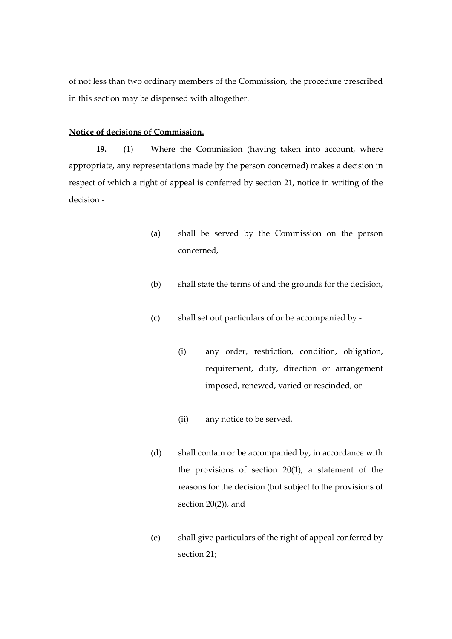of not less than two ordinary members of the Commission, the procedure prescribed in this section may be dispensed with altogether.

# **Notice of decisions of Commission.**

**19.** (1) Where the Commission (having taken into account, where appropriate, any representations made by the person concerned) makes a decision in respect of which a right of appeal is conferred by section 21, notice in writing of the decision -

- (a) shall be served by the Commission on the person concerned,
- (b) shall state the terms of and the grounds for the decision,
- (c) shall set out particulars of or be accompanied by
	- (i) any order, restriction, condition, obligation, requirement, duty, direction or arrangement imposed, renewed, varied or rescinded, or
	- (ii) any notice to be served,
- (d) shall contain or be accompanied by, in accordance with the provisions of section 20(1), a statement of the reasons for the decision (but subject to the provisions of section 20(2)), and
- (e) shall give particulars of the right of appeal conferred by section 21;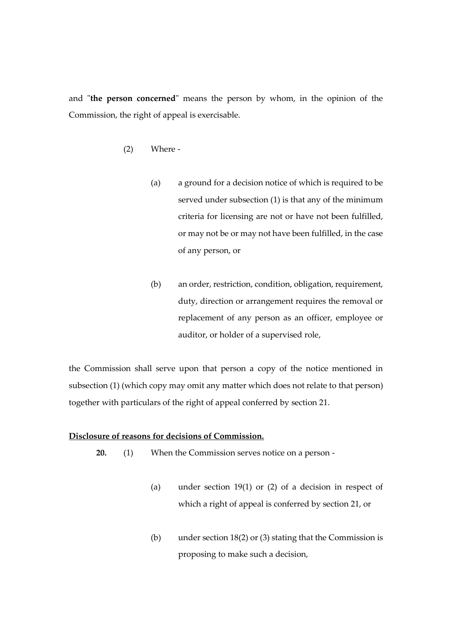and "**the person concerned**" means the person by whom, in the opinion of the Commission, the right of appeal is exercisable.

- (2) Where
	- (a) a ground for a decision notice of which is required to be served under subsection (1) is that any of the minimum criteria for licensing are not or have not been fulfilled, or may not be or may not have been fulfilled, in the case of any person, or
	- (b) an order, restriction, condition, obligation, requirement, duty, direction or arrangement requires the removal or replacement of any person as an officer, employee or auditor, or holder of a supervised role,

the Commission shall serve upon that person a copy of the notice mentioned in subsection (1) (which copy may omit any matter which does not relate to that person) together with particulars of the right of appeal conferred by section 21.

## **Disclosure of reasons for decisions of Commission.**

- **20.** (1) When the Commission serves notice on a person
	- (a) under section 19(1) or (2) of a decision in respect of which a right of appeal is conferred by section 21, or
	- (b) under section 18(2) or (3) stating that the Commission is proposing to make such a decision,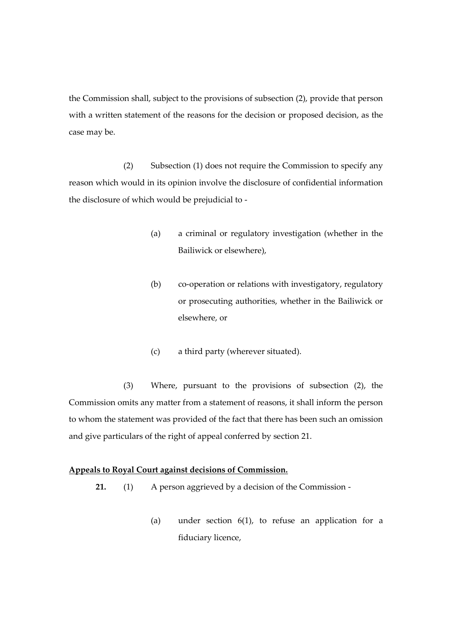the Commission shall, subject to the provisions of subsection (2), provide that person with a written statement of the reasons for the decision or proposed decision, as the case may be.

(2) Subsection (1) does not require the Commission to specify any reason which would in its opinion involve the disclosure of confidential information the disclosure of which would be prejudicial to -

- (a) a criminal or regulatory investigation (whether in the Bailiwick or elsewhere),
- (b) co-operation or relations with investigatory, regulatory or prosecuting authorities, whether in the Bailiwick or elsewhere, or
- (c) a third party (wherever situated).

(3) Where, pursuant to the provisions of subsection (2), the Commission omits any matter from a statement of reasons, it shall inform the person to whom the statement was provided of the fact that there has been such an omission and give particulars of the right of appeal conferred by section 21.

## **Appeals to Royal Court against decisions of Commission.**

- **21.** (1) A person aggrieved by a decision of the Commission
	- (a) under section  $6(1)$ , to refuse an application for a fiduciary licence,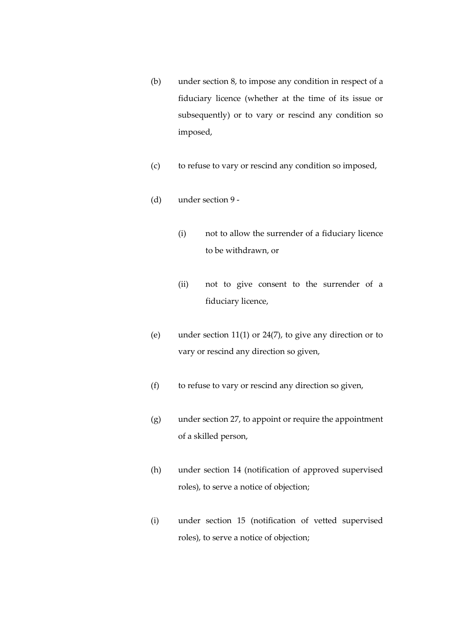- (b) under section 8, to impose any condition in respect of a fiduciary licence (whether at the time of its issue or subsequently) or to vary or rescind any condition so imposed,
- (c) to refuse to vary or rescind any condition so imposed,
- (d) under section 9
	- (i) not to allow the surrender of a fiduciary licence to be withdrawn, or
	- (ii) not to give consent to the surrender of a fiduciary licence,
- (e) under section 11(1) or 24(7), to give any direction or to vary or rescind any direction so given,
- (f) to refuse to vary or rescind any direction so given,
- (g) under section 27, to appoint or require the appointment of a skilled person,
- (h) under section 14 (notification of approved supervised roles), to serve a notice of objection;
- (i) under section 15 (notification of vetted supervised roles), to serve a notice of objection;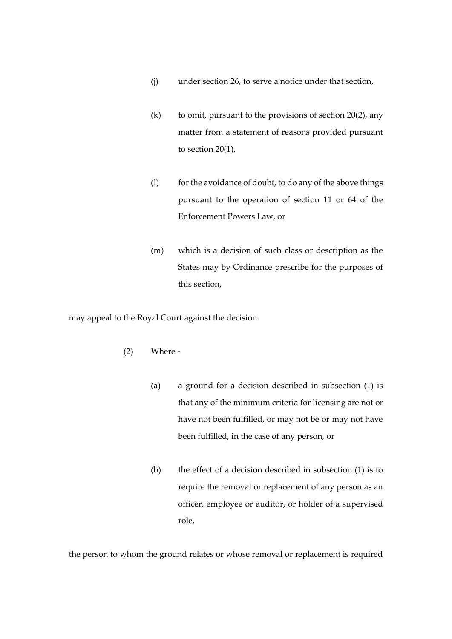- (j) under section 26, to serve a notice under that section,
- (k) to omit, pursuant to the provisions of section  $20(2)$ , any matter from a statement of reasons provided pursuant to section 20(1),
- (l) for the avoidance of doubt, to do any of the above things pursuant to the operation of section 11 or 64 of the Enforcement Powers Law, or
- (m) which is a decision of such class or description as the States may by Ordinance prescribe for the purposes of this section,

may appeal to the Royal Court against the decision.

- (2) Where
	- (a) a ground for a decision described in subsection (1) is that any of the minimum criteria for licensing are not or have not been fulfilled, or may not be or may not have been fulfilled, in the case of any person, or
	- (b) the effect of a decision described in subsection (1) is to require the removal or replacement of any person as an officer, employee or auditor, or holder of a supervised role,

the person to whom the ground relates or whose removal or replacement is required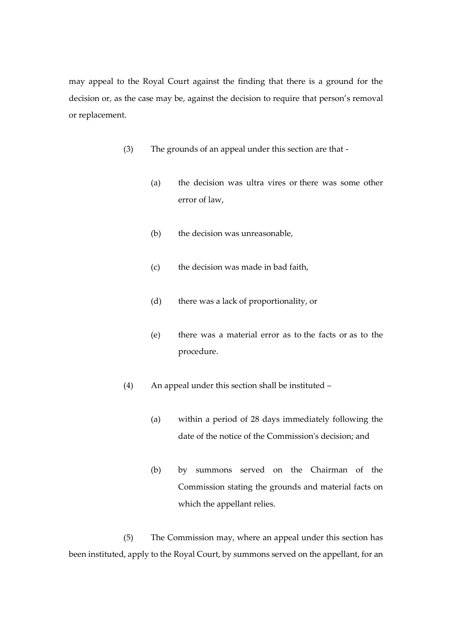may appeal to the Royal Court against the finding that there is a ground for the decision or, as the case may be, against the decision to require that person's removal or replacement.

- (3) The grounds of an appeal under this section are that
	- (a) the decision was ultra vires or there was some other error of law,
	- (b) the decision was unreasonable,
	- (c) the decision was made in bad faith,
	- (d) there was a lack of proportionality, or
	- (e) there was a material error as to the facts or as to the procedure.
- (4) An appeal under this section shall be instituted
	- (a) within a period of 28 days immediately following the date of the notice of the Commission's decision; and
	- (b) by summons served on the Chairman of the Commission stating the grounds and material facts on which the appellant relies.

(5) The Commission may, where an appeal under this section has been instituted, apply to the Royal Court, by summons served on the appellant, for an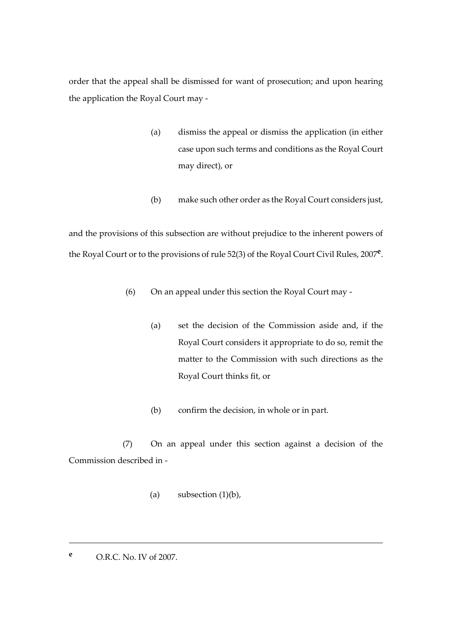order that the appeal shall be dismissed for want of prosecution; and upon hearing the application the Royal Court may -

- (a) dismiss the appeal or dismiss the application (in either case upon such terms and conditions as the Royal Court may direct), or
- (b) make such other order as the Royal Court considers just,

and the provisions of this subsection are without prejudice to the inherent powers of the Royal Court or to the provisions of rule 52(3) of the Royal Court Civil Rules, 2007**<sup>e</sup>** .

- (6) On an appeal under this section the Royal Court may
	- (a) set the decision of the Commission aside and, if the Royal Court considers it appropriate to do so, remit the matter to the Commission with such directions as the Royal Court thinks fit, or
	- (b) confirm the decision, in whole or in part.

(7) On an appeal under this section against a decision of the Commission described in -

- (a) subsection  $(1)(b)$ ,
- **<sup>e</sup>** O.R.C. No. IV of 2007.

<u>.</u>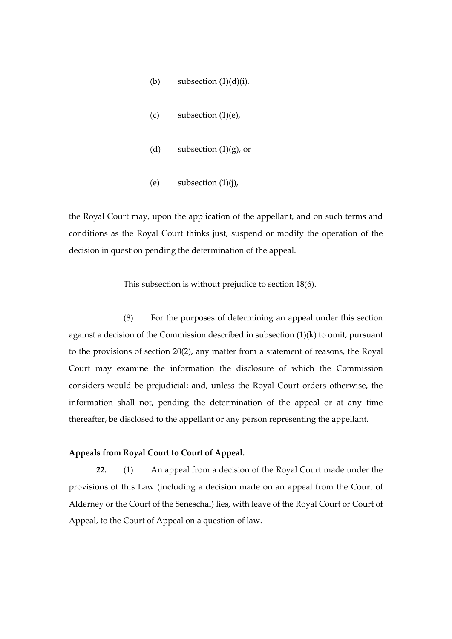- (b) subsection  $(1)(d)(i)$ ,
- $(c)$  subsection  $(1)(e)$ ,
- (d) subsection  $(1)(g)$ , or
- (e) subsection  $(1)(i)$ ,

the Royal Court may, upon the application of the appellant, and on such terms and conditions as the Royal Court thinks just, suspend or modify the operation of the decision in question pending the determination of the appeal.

This subsection is without prejudice to section 18(6).

(8) For the purposes of determining an appeal under this section against a decision of the Commission described in subsection (1)(k) to omit, pursuant to the provisions of section 20(2), any matter from a statement of reasons, the Royal Court may examine the information the disclosure of which the Commission considers would be prejudicial; and, unless the Royal Court orders otherwise, the information shall not, pending the determination of the appeal or at any time thereafter, be disclosed to the appellant or any person representing the appellant.

# **Appeals from Royal Court to Court of Appeal.**

**22.** (1) An appeal from a decision of the Royal Court made under the provisions of this Law (including a decision made on an appeal from the Court of Alderney or the Court of the Seneschal) lies, with leave of the Royal Court or Court of Appeal, to the Court of Appeal on a question of law.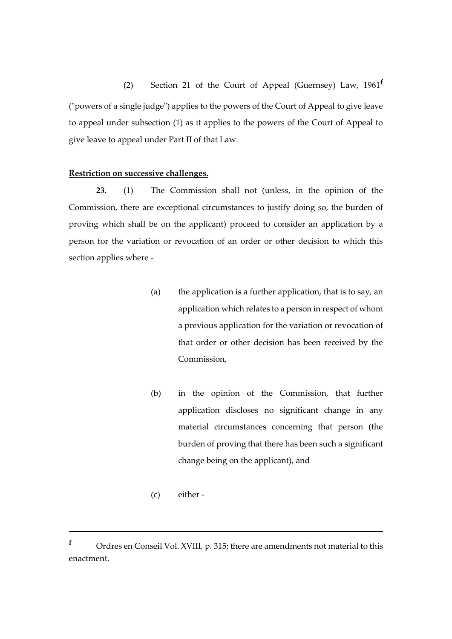(2) Section 21 of the Court of Appeal (Guernsey) Law, 1961**<sup>f</sup>** ("powers of a single judge") applies to the powers of the Court of Appeal to give leave to appeal under subsection (1) as it applies to the powers of the Court of Appeal to give leave to appeal under Part II of that Law.

# **Restriction on successive challenges.**

**23.** (1) The Commission shall not (unless, in the opinion of the Commission, there are exceptional circumstances to justify doing so, the burden of proving which shall be on the applicant) proceed to consider an application by a person for the variation or revocation of an order or other decision to which this section applies where -

- (a) the application is a further application, that is to say, an application which relates to a person in respect of whom a previous application for the variation or revocation of that order or other decision has been received by the Commission,
- (b) in the opinion of the Commission, that further application discloses no significant change in any material circumstances concerning that person (the burden of proving that there has been such a significant change being on the applicant), and
- (c) either -

1

**<sup>f</sup>** Ordres en Conseil Vol. XVIII, p. 315; there are amendments not material to this enactment.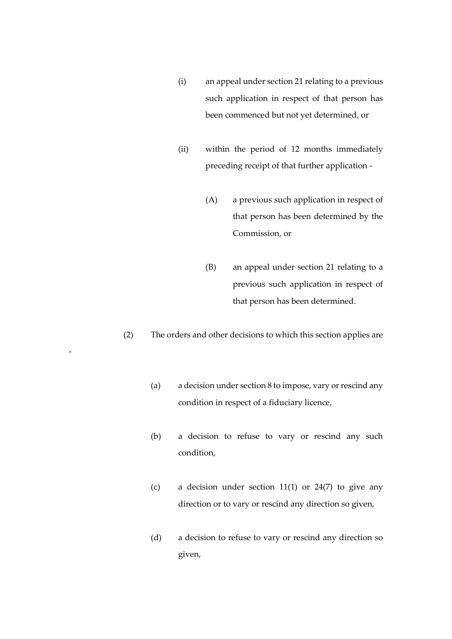- (i) an appeal under section 21 relating to a previous such application in respect of that person has been commenced but not yet determined, or
- (ii) within the period of 12 months immediately preceding receipt of that further application -
	- (A) a previous such application in respect of that person has been determined by the Commission, or
	- (B) an appeal under section 21 relating to a previous such application in respect of that person has been determined.
- (2) The orders and other decisions to which this section applies are

-

- (a) a decision under section 8 to impose, vary or rescind any condition in respect of a fiduciary licence,
- (b) a decision to refuse to vary or rescind any such condition,
- (c) a decision under section 11(1) or  $24(7)$  to give any direction or to vary or rescind any direction so given,
- (d) a decision to refuse to vary or rescind any direction so given,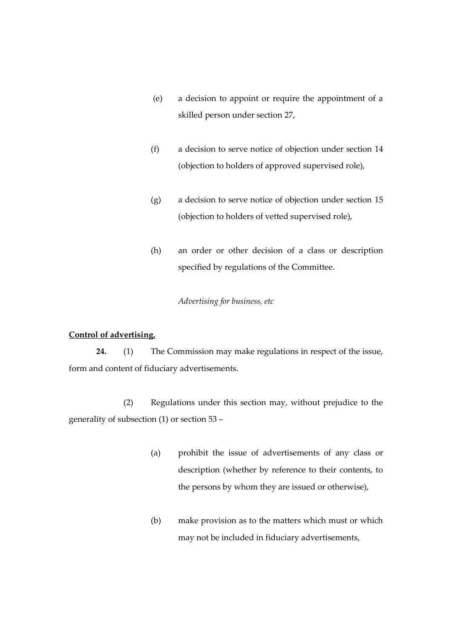- (e) a decision to appoint or require the appointment of a skilled person under section 27,
- (f) a decision to serve notice of objection under section 14 (objection to holders of approved supervised role),
- (g) a decision to serve notice of objection under section 15 (objection to holders of vetted supervised role),
- (h) an order or other decision of a class or description specified by regulations of the Committee.

*Advertising for business, etc*

# **Control of advertising.**

**24.** (1) The Commission may make regulations in respect of the issue, form and content of fiduciary advertisements.

(2) Regulations under this section may, without prejudice to the generality of subsection (1) or section 53 –

- (a) prohibit the issue of advertisements of any class or description (whether by reference to their contents, to the persons by whom they are issued or otherwise),
- (b) make provision as to the matters which must or which may not be included in fiduciary advertisements,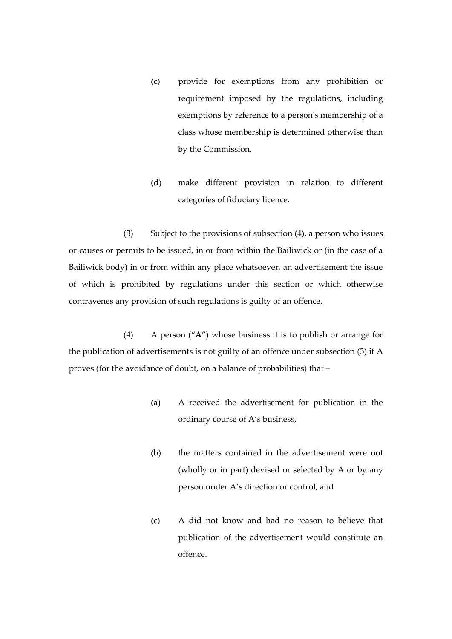- (c) provide for exemptions from any prohibition or requirement imposed by the regulations, including exemptions by reference to a person's membership of a class whose membership is determined otherwise than by the Commission,
- (d) make different provision in relation to different categories of fiduciary licence.

(3) Subject to the provisions of subsection (4), a person who issues or causes or permits to be issued, in or from within the Bailiwick or (in the case of a Bailiwick body) in or from within any place whatsoever, an advertisement the issue of which is prohibited by regulations under this section or which otherwise contravenes any provision of such regulations is guilty of an offence.

(4) A person ("**A**") whose business it is to publish or arrange for the publication of advertisements is not guilty of an offence under subsection (3) if A proves (for the avoidance of doubt, on a balance of probabilities) that –

- (a) A received the advertisement for publication in the ordinary course of A's business,
- (b) the matters contained in the advertisement were not (wholly or in part) devised or selected by A or by any person under A's direction or control, and
- (c) A did not know and had no reason to believe that publication of the advertisement would constitute an offence.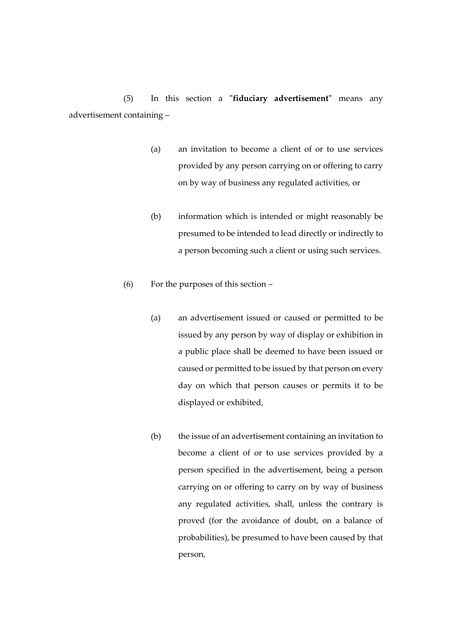(5) In this section a **"fiduciary advertisement"** means any advertisement containing –

- (a) an invitation to become a client of or to use services provided by any person carrying on or offering to carry on by way of business any regulated activities, or
- (b) information which is intended or might reasonably be presumed to be intended to lead directly or indirectly to a person becoming such a client or using such services.
- (6) For the purposes of this section
	- (a) an advertisement issued or caused or permitted to be issued by any person by way of display or exhibition in a public place shall be deemed to have been issued or caused or permitted to be issued by that person on every day on which that person causes or permits it to be displayed or exhibited,
	- (b) the issue of an advertisement containing an invitation to become a client of or to use services provided by a person specified in the advertisement, being a person carrying on or offering to carry on by way of business any regulated activities, shall, unless the contrary is proved (for the avoidance of doubt, on a balance of probabilities), be presumed to have been caused by that person,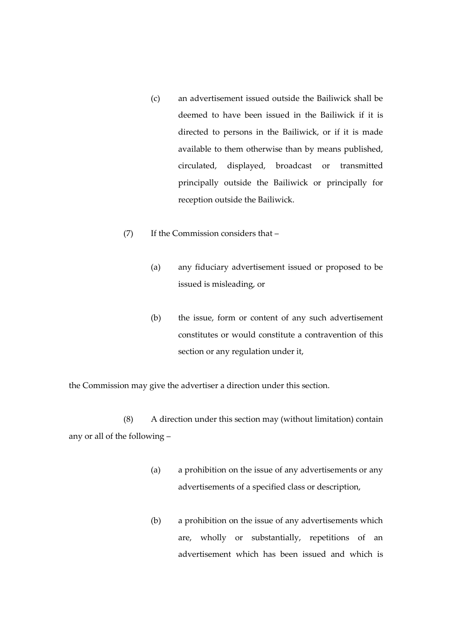- (c) an advertisement issued outside the Bailiwick shall be deemed to have been issued in the Bailiwick if it is directed to persons in the Bailiwick, or if it is made available to them otherwise than by means published, circulated, displayed, broadcast or transmitted principally outside the Bailiwick or principally for reception outside the Bailiwick.
- (7) If the Commission considers that
	- (a) any fiduciary advertisement issued or proposed to be issued is misleading, or
	- (b) the issue, form or content of any such advertisement constitutes or would constitute a contravention of this section or any regulation under it,

the Commission may give the advertiser a direction under this section.

(8) A direction under this section may (without limitation) contain any or all of the following –

- (a) a prohibition on the issue of any advertisements or any advertisements of a specified class or description,
- (b) a prohibition on the issue of any advertisements which are, wholly or substantially, repetitions of an advertisement which has been issued and which is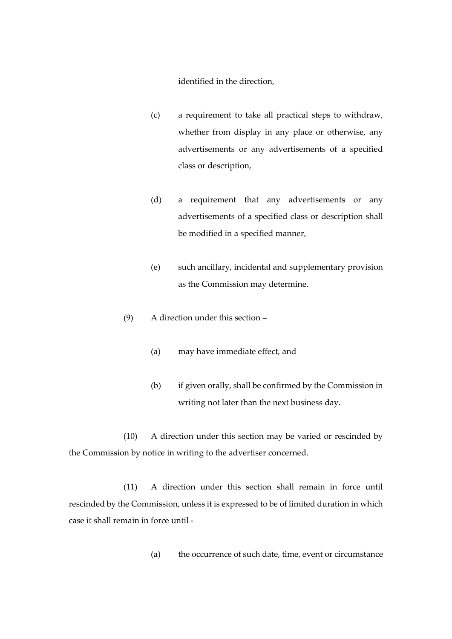identified in the direction,

- (c) a requirement to take all practical steps to withdraw, whether from display in any place or otherwise, any advertisements or any advertisements of a specified class or description,
- (d) a requirement that any advertisements or any advertisements of a specified class or description shall be modified in a specified manner,
- (e) such ancillary, incidental and supplementary provision as the Commission may determine.
- (9) A direction under this section
	- (a) may have immediate effect, and
	- (b) if given orally, shall be confirmed by the Commission in writing not later than the next business day.

(10) A direction under this section may be varied or rescinded by the Commission by notice in writing to the advertiser concerned.

(11) A direction under this section shall remain in force until rescinded by the Commission, unless it is expressed to be of limited duration in which case it shall remain in force until -

(a) the occurrence of such date, time, event or circumstance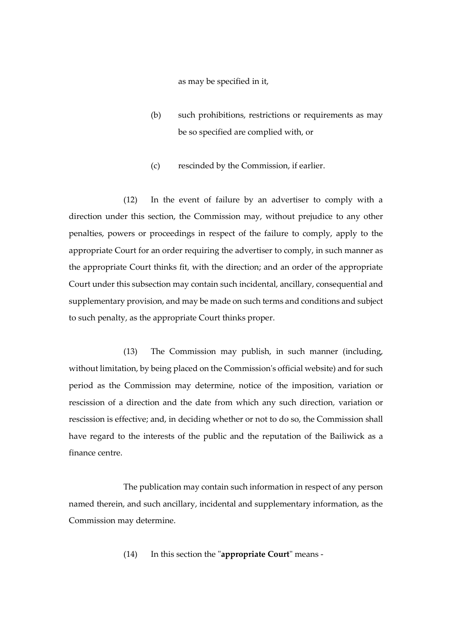as may be specified in it,

- (b) such prohibitions, restrictions or requirements as may be so specified are complied with, or
- (c) rescinded by the Commission, if earlier.

(12) In the event of failure by an advertiser to comply with a direction under this section, the Commission may, without prejudice to any other penalties, powers or proceedings in respect of the failure to comply, apply to the appropriate Court for an order requiring the advertiser to comply, in such manner as the appropriate Court thinks fit, with the direction; and an order of the appropriate Court under this subsection may contain such incidental, ancillary, consequential and supplementary provision, and may be made on such terms and conditions and subject to such penalty, as the appropriate Court thinks proper.

(13) The Commission may publish, in such manner (including, without limitation, by being placed on the Commission's official website) and for such period as the Commission may determine, notice of the imposition, variation or rescission of a direction and the date from which any such direction*,* variation or rescission is effective; and, in deciding whether or not to do so, the Commission shall have regard to the interests of the public and the reputation of the Bailiwick as a finance centre.

The publication may contain such information in respect of any person named therein, and such ancillary, incidental and supplementary information, as the Commission may determine.

(14) In this section the "**appropriate Court**" means -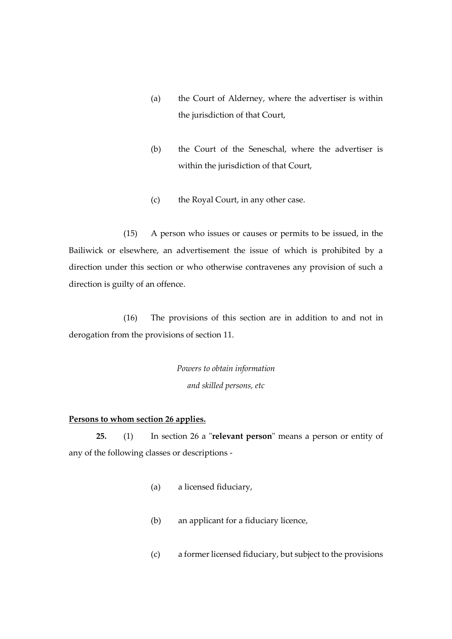- (a) the Court of Alderney, where the advertiser is within the jurisdiction of that Court,
- (b) the Court of the Seneschal, where the advertiser is within the jurisdiction of that Court,
- (c) the Royal Court, in any other case.

(15) A person who issues or causes or permits to be issued, in the Bailiwick or elsewhere, an advertisement the issue of which is prohibited by a direction under this section or who otherwise contravenes any provision of such a direction is guilty of an offence.

(16) The provisions of this section are in addition to and not in derogation from the provisions of section 11.

> *Powers to obtain information and skilled persons, etc*

# **Persons to whom section 26 applies.**

**25.** (1) In section 26 a "**relevant person**" means a person or entity of any of the following classes or descriptions -

- (a) a licensed fiduciary,
- (b) an applicant for a fiduciary licence,
- (c) a former licensed fiduciary, but subject to the provisions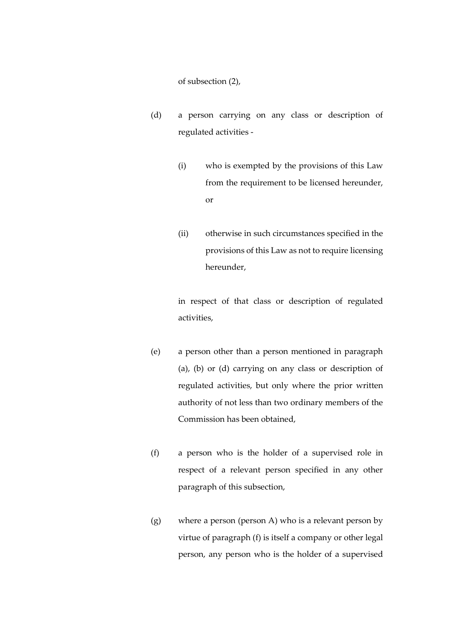of subsection (2),

- (d) a person carrying on any class or description of regulated activities -
	- (i) who is exempted by the provisions of this Law from the requirement to be licensed hereunder, or
	- (ii) otherwise in such circumstances specified in the provisions of this Law as not to require licensing hereunder,

in respect of that class or description of regulated activities,

- (e) a person other than a person mentioned in paragraph (a), (b) or (d) carrying on any class or description of regulated activities, but only where the prior written authority of not less than two ordinary members of the Commission has been obtained,
- (f) a person who is the holder of a supervised role in respect of a relevant person specified in any other paragraph of this subsection,
- (g) where a person (person A) who is a relevant person by virtue of paragraph (f) is itself a company or other legal person, any person who is the holder of a supervised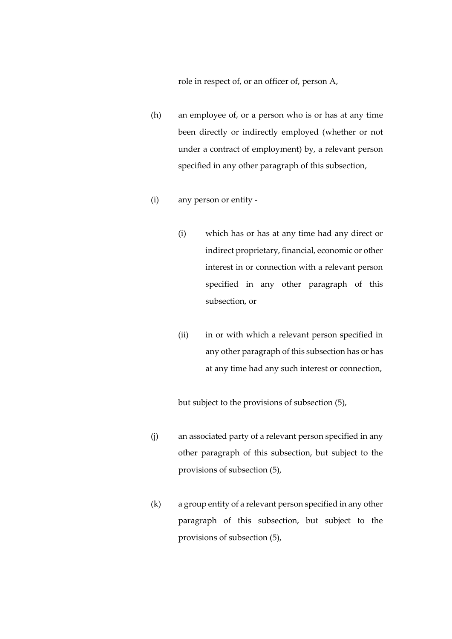role in respect of, or an officer of, person A,

- (h) an employee of, or a person who is or has at any time been directly or indirectly employed (whether or not under a contract of employment) by, a relevant person specified in any other paragraph of this subsection,
- (i) any person or entity
	- (i) which has or has at any time had any direct or indirect proprietary, financial, economic or other interest in or connection with a relevant person specified in any other paragraph of this subsection, or
	- (ii) in or with which a relevant person specified in any other paragraph of this subsection has or has at any time had any such interest or connection,

but subject to the provisions of subsection (5),

- (j) an associated party of a relevant person specified in any other paragraph of this subsection, but subject to the provisions of subsection (5),
- (k) a group entity of a relevant person specified in any other paragraph of this subsection, but subject to the provisions of subsection (5),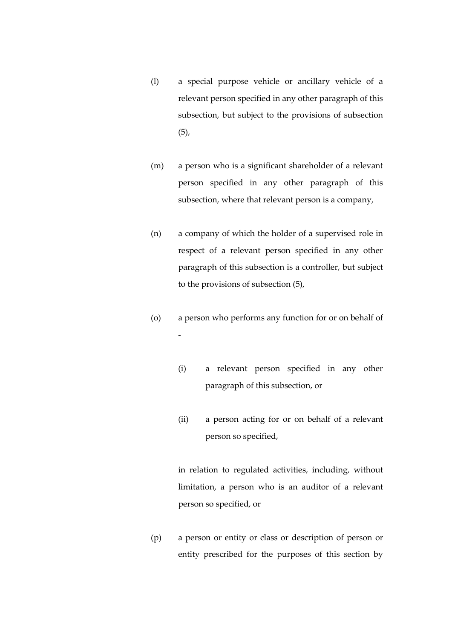- (l) a special purpose vehicle or ancillary vehicle of a relevant person specified in any other paragraph of this subsection, but subject to the provisions of subsection  $(5),$
- (m) a person who is a significant shareholder of a relevant person specified in any other paragraph of this subsection, where that relevant person is a company,
- (n) a company of which the holder of a supervised role in respect of a relevant person specified in any other paragraph of this subsection is a controller, but subject to the provisions of subsection (5),
- (o) a person who performs any function for or on behalf of -
	- (i) a relevant person specified in any other paragraph of this subsection, or
	- (ii) a person acting for or on behalf of a relevant person so specified,

in relation to regulated activities, including, without limitation, a person who is an auditor of a relevant person so specified, or

(p) a person or entity or class or description of person or entity prescribed for the purposes of this section by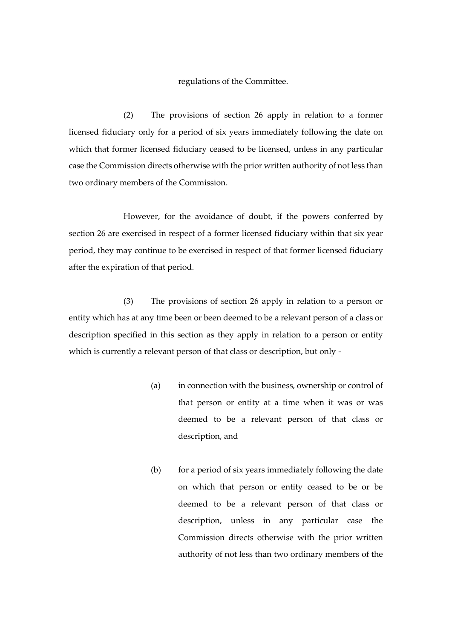## regulations of the Committee.

(2) The provisions of section 26 apply in relation to a former licensed fiduciary only for a period of six years immediately following the date on which that former licensed fiduciary ceased to be licensed, unless in any particular case the Commission directs otherwise with the prior written authority of not less than two ordinary members of the Commission.

However, for the avoidance of doubt, if the powers conferred by section 26 are exercised in respect of a former licensed fiduciary within that six year period, they may continue to be exercised in respect of that former licensed fiduciary after the expiration of that period.

(3) The provisions of section 26 apply in relation to a person or entity which has at any time been or been deemed to be a relevant person of a class or description specified in this section as they apply in relation to a person or entity which is currently a relevant person of that class or description, but only -

- (a) in connection with the business, ownership or control of that person or entity at a time when it was or was deemed to be a relevant person of that class or description, and
- $(b)$  for a period of six years immediately following the date on which that person or entity ceased to be or be deemed to be a relevant person of that class or description, unless in any particular case the Commission directs otherwise with the prior written authority of not less than two ordinary members of the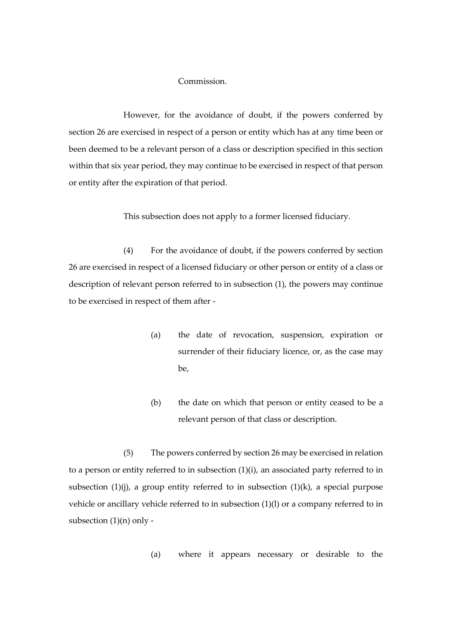# Commission.

However, for the avoidance of doubt, if the powers conferred by section 26 are exercised in respect of a person or entity which has at any time been or been deemed to be a relevant person of a class or description specified in this section within that six year period, they may continue to be exercised in respect of that person or entity after the expiration of that period.

This subsection does not apply to a former licensed fiduciary.

(4) For the avoidance of doubt, if the powers conferred by section 26 are exercised in respect of a licensed fiduciary or other person or entity of a class or description of relevant person referred to in subsection (1), the powers may continue to be exercised in respect of them after -

- (a) the date of revocation, suspension, expiration or surrender of their fiduciary licence, or, as the case may be,
- (b) the date on which that person or entity ceased to be a relevant person of that class or description.

(5) The powers conferred by section 26 may be exercised in relation to a person or entity referred to in subsection  $(1)(i)$ , an associated party referred to in subsection  $(1)(j)$ , a group entity referred to in subsection  $(1)(k)$ , a special purpose vehicle or ancillary vehicle referred to in subsection (1)(l) or a company referred to in subsection (1)(n) only -

(a) where it appears necessary or desirable to the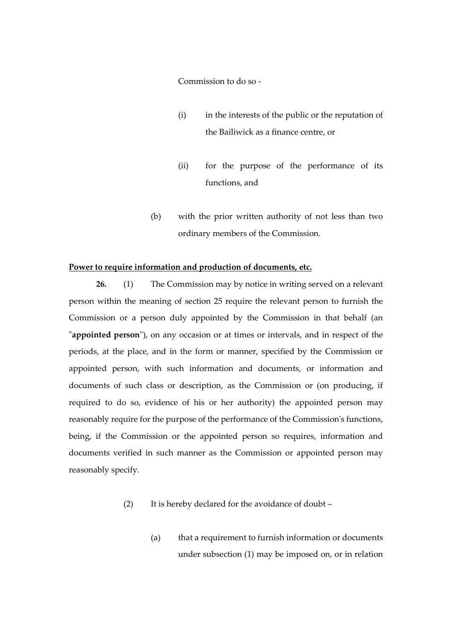Commission to do so -

- (i) in the interests of the public or the reputation of the Bailiwick as a finance centre, or
- (ii) for the purpose of the performance of its functions, and
- (b) with the prior written authority of not less than two ordinary members of the Commission.

## **Power to require information and production of documents, etc.**

**26.** (1) The Commission may by notice in writing served on a relevant person within the meaning of section 25 require the relevant person to furnish the Commission or a person duly appointed by the Commission in that behalf (an "**appointed person**"), on any occasion or at times or intervals, and in respect of the periods, at the place, and in the form or manner, specified by the Commission or appointed person, with such information and documents, or information and documents of such class or description, as the Commission or (on producing, if required to do so, evidence of his or her authority) the appointed person may reasonably require for the purpose of the performance of the Commission's functions, being, if the Commission or the appointed person so requires, information and documents verified in such manner as the Commission or appointed person may reasonably specify.

- (2) It is hereby declared for the avoidance of doubt
	- (a) that a requirement to furnish information or documents under subsection (1) may be imposed on, or in relation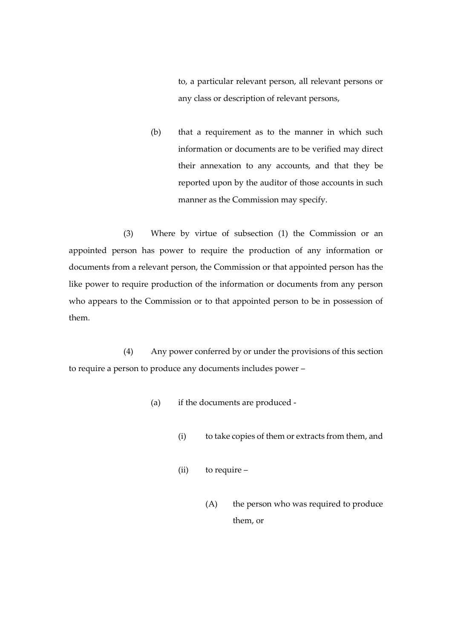to, a particular relevant person, all relevant persons or any class or description of relevant persons,

(b) that a requirement as to the manner in which such information or documents are to be verified may direct their annexation to any accounts, and that they be reported upon by the auditor of those accounts in such manner as the Commission may specify.

(3) Where by virtue of subsection (1) the Commission or an appointed person has power to require the production of any information or documents from a relevant person, the Commission or that appointed person has the like power to require production of the information or documents from any person who appears to the Commission or to that appointed person to be in possession of them.

(4) Any power conferred by or under the provisions of this section to require a person to produce any documents includes power –

- (a) if the documents are produced
	- (i) to take copies of them or extracts from them, and
	- (ii) to require
		- (A) the person who was required to produce them, or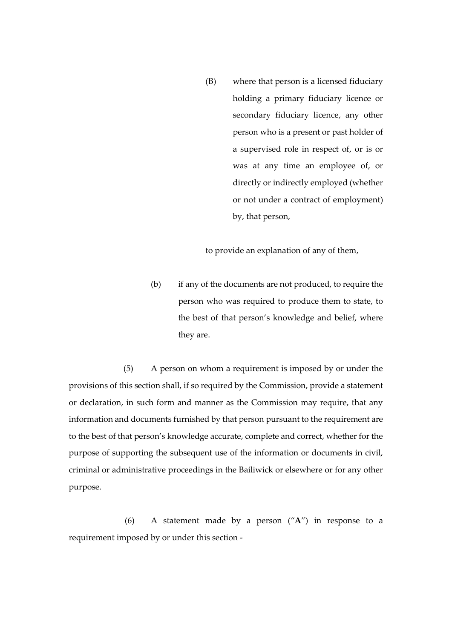(B) where that person is a licensed fiduciary holding a primary fiduciary licence or secondary fiduciary licence, any other person who is a present or past holder of a supervised role in respect of, or is or was at any time an employee of, or directly or indirectly employed (whether or not under a contract of employment) by, that person,

to provide an explanation of any of them,

(b) if any of the documents are not produced, to require the person who was required to produce them to state, to the best of that person's knowledge and belief, where they are.

(5) A person on whom a requirement is imposed by or under the provisions of this section shall, if so required by the Commission, provide a statement or declaration, in such form and manner as the Commission may require, that any information and documents furnished by that person pursuant to the requirement are to the best of that person's knowledge accurate, complete and correct, whether for the purpose of supporting the subsequent use of the information or documents in civil, criminal or administrative proceedings in the Bailiwick or elsewhere or for any other purpose.

(6) A statement made by a person ("**A**") in response to a requirement imposed by or under this section -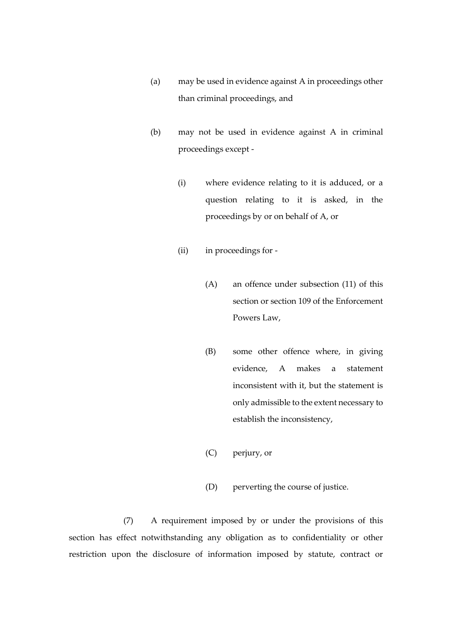- (a) may be used in evidence against A in proceedings other than criminal proceedings, and
- (b) may not be used in evidence against A in criminal proceedings except -
	- (i) where evidence relating to it is adduced, or a question relating to it is asked, in the proceedings by or on behalf of A, or
	- (ii) in proceedings for
		- (A) an offence under subsection (11) of this section or section 109 of the Enforcement Powers Law,
		- (B) some other offence where, in giving evidence, A makes a statement inconsistent with it, but the statement is only admissible to the extent necessary to establish the inconsistency,
		- (C) perjury, or
		- (D) perverting the course of justice.

(7) A requirement imposed by or under the provisions of this section has effect notwithstanding any obligation as to confidentiality or other restriction upon the disclosure of information imposed by statute, contract or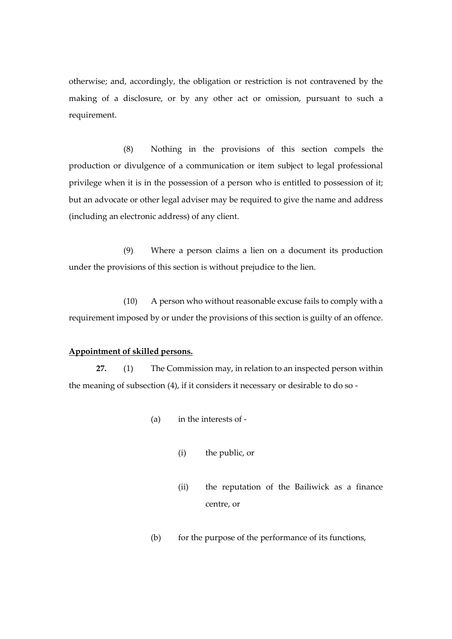otherwise; and, accordingly, the obligation or restriction is not contravened by the making of a disclosure, or by any other act or omission, pursuant to such a requirement.

(8) Nothing in the provisions of this section compels the production or divulgence of a communication or item subject to legal professional privilege when it is in the possession of a person who is entitled to possession of it; but an advocate or other legal adviser may be required to give the name and address (including an electronic address) of any client.

(9) Where a person claims a lien on a document its production under the provisions of this section is without prejudice to the lien.

(10) A person who without reasonable excuse fails to comply with a requirement imposed by or under the provisions of this section is guilty of an offence.

### **Appointment of skilled persons.**

**27.** (1) The Commission may, in relation to an inspected person within the meaning of subsection (4), if it considers it necessary or desirable to do so -

- (a) in the interests of
	- (i) the public, or
	- (ii) the reputation of the Bailiwick as a finance centre, or
- (b) for the purpose of the performance of its functions,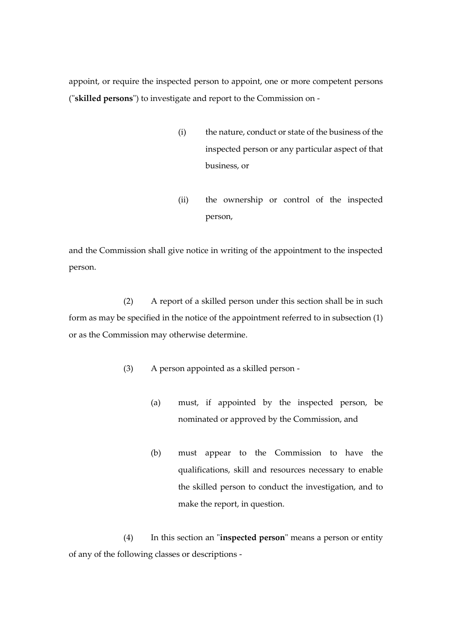appoint, or require the inspected person to appoint, one or more competent persons ("**skilled persons**") to investigate and report to the Commission on -

- (i) the nature, conduct or state of the business of the inspected person or any particular aspect of that business, or
- (ii) the ownership or control of the inspected person,

and the Commission shall give notice in writing of the appointment to the inspected person.

(2) A report of a skilled person under this section shall be in such form as may be specified in the notice of the appointment referred to in subsection (1) or as the Commission may otherwise determine.

- (3) A person appointed as a skilled person
	- (a) must, if appointed by the inspected person, be nominated or approved by the Commission, and
	- (b) must appear to the Commission to have the qualifications, skill and resources necessary to enable the skilled person to conduct the investigation, and to make the report, in question.

(4) In this section an "**inspected person**" means a person or entity of any of the following classes or descriptions -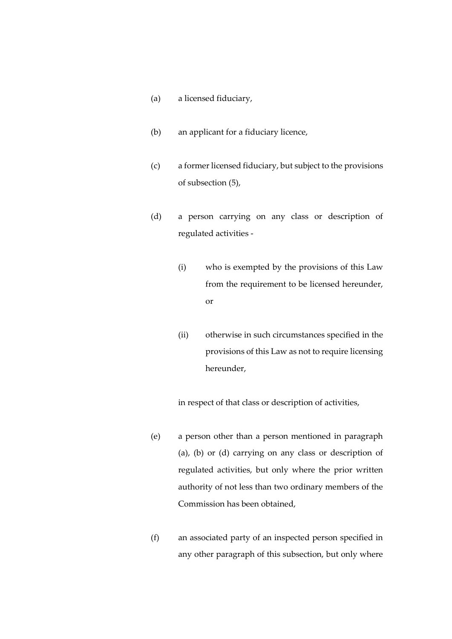- (a) a licensed fiduciary,
- (b) an applicant for a fiduciary licence,
- (c) a former licensed fiduciary, but subject to the provisions of subsection (5),
- (d) a person carrying on any class or description of regulated activities -
	- (i) who is exempted by the provisions of this Law from the requirement to be licensed hereunder, or
	- (ii) otherwise in such circumstances specified in the provisions of this Law as not to require licensing hereunder,

in respect of that class or description of activities,

- (e) a person other than a person mentioned in paragraph (a), (b) or (d) carrying on any class or description of regulated activities, but only where the prior written authority of not less than two ordinary members of the Commission has been obtained,
- (f) an associated party of an inspected person specified in any other paragraph of this subsection, but only where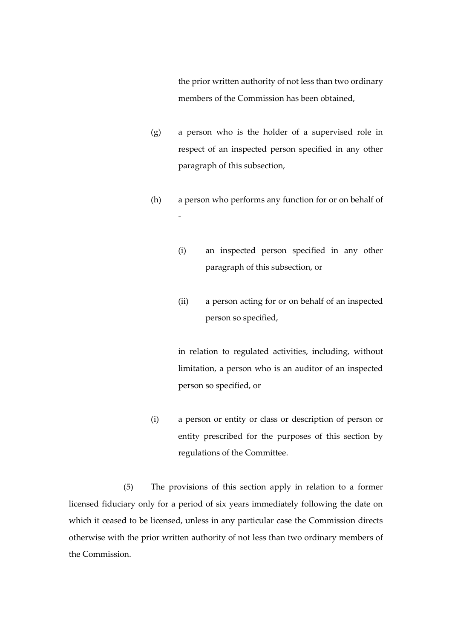the prior written authority of not less than two ordinary members of the Commission has been obtained,

- (g) a person who is the holder of a supervised role in respect of an inspected person specified in any other paragraph of this subsection,
- (h) a person who performs any function for or on behalf of -
	- (i) an inspected person specified in any other paragraph of this subsection, or
	- (ii) a person acting for or on behalf of an inspected person so specified,

in relation to regulated activities, including, without limitation, a person who is an auditor of an inspected person so specified, or

(i) a person or entity or class or description of person or entity prescribed for the purposes of this section by regulations of the Committee.

(5) The provisions of this section apply in relation to a former licensed fiduciary only for a period of six years immediately following the date on which it ceased to be licensed, unless in any particular case the Commission directs otherwise with the prior written authority of not less than two ordinary members of the Commission.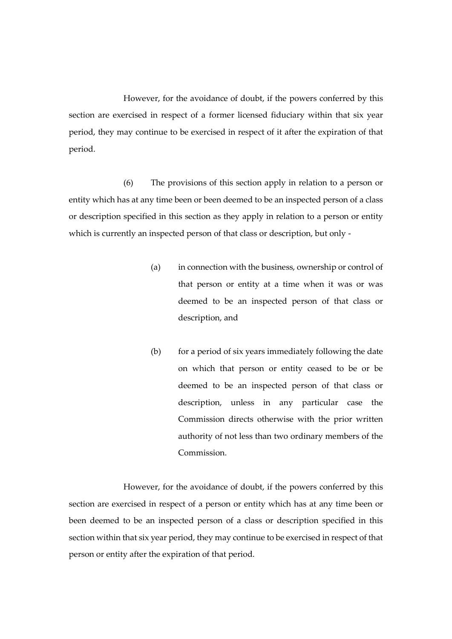However, for the avoidance of doubt, if the powers conferred by this section are exercised in respect of a former licensed fiduciary within that six year period, they may continue to be exercised in respect of it after the expiration of that period.

(6) The provisions of this section apply in relation to a person or entity which has at any time been or been deemed to be an inspected person of a class or description specified in this section as they apply in relation to a person or entity which is currently an inspected person of that class or description, but only -

- (a) in connection with the business, ownership or control of that person or entity at a time when it was or was deemed to be an inspected person of that class or description, and
- (b) for a period of six years immediately following the date on which that person or entity ceased to be or be deemed to be an inspected person of that class or description, unless in any particular case the Commission directs otherwise with the prior written authority of not less than two ordinary members of the Commission.

However, for the avoidance of doubt, if the powers conferred by this section are exercised in respect of a person or entity which has at any time been or been deemed to be an inspected person of a class or description specified in this section within that six year period, they may continue to be exercised in respect of that person or entity after the expiration of that period.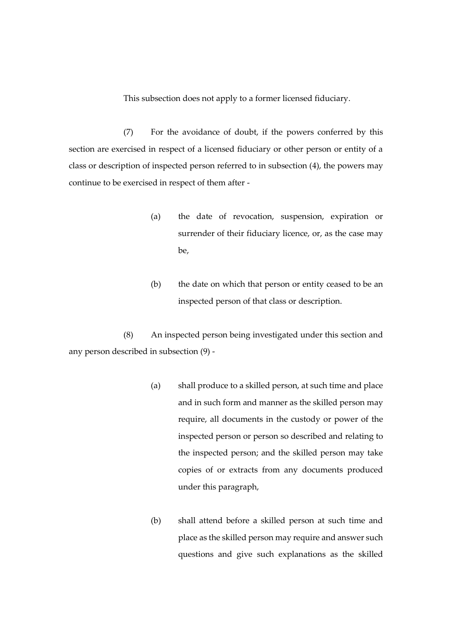This subsection does not apply to a former licensed fiduciary.

(7) For the avoidance of doubt, if the powers conferred by this section are exercised in respect of a licensed fiduciary or other person or entity of a class or description of inspected person referred to in subsection (4), the powers may continue to be exercised in respect of them after -

- (a) the date of revocation, suspension, expiration or surrender of their fiduciary licence, or, as the case may be,
- (b) the date on which that person or entity ceased to be an inspected person of that class or description.

(8) An inspected person being investigated under this section and any person described in subsection (9) -

- (a) shall produce to a skilled person, at such time and place and in such form and manner as the skilled person may require, all documents in the custody or power of the inspected person or person so described and relating to the inspected person; and the skilled person may take copies of or extracts from any documents produced under this paragraph,
- (b) shall attend before a skilled person at such time and place as the skilled person may require and answer such questions and give such explanations as the skilled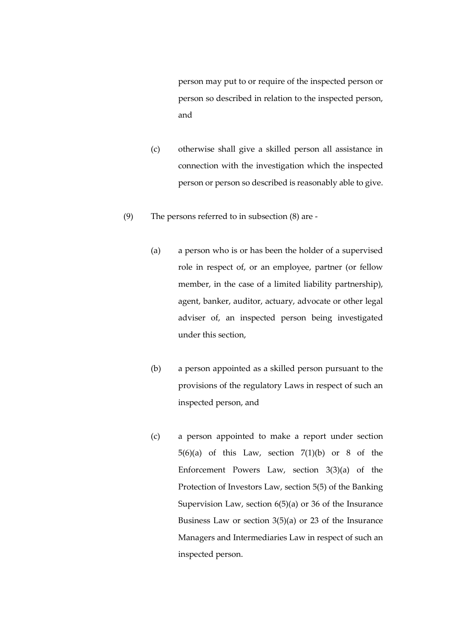person may put to or require of the inspected person or person so described in relation to the inspected person, and

- (c) otherwise shall give a skilled person all assistance in connection with the investigation which the inspected person or person so described is reasonably able to give.
- (9) The persons referred to in subsection (8) are
	- (a) a person who is or has been the holder of a supervised role in respect of, or an employee, partner (or fellow member, in the case of a limited liability partnership), agent, banker, auditor, actuary, advocate or other legal adviser of, an inspected person being investigated under this section,
	- (b) a person appointed as a skilled person pursuant to the provisions of the regulatory Laws in respect of such an inspected person, and
	- (c) a person appointed to make a report under section  $5(6)(a)$  of this Law, section  $7(1)(b)$  or 8 of the Enforcement Powers Law, section 3(3)(a) of the Protection of Investors Law, section 5(5) of the Banking Supervision Law, section 6(5)(a) or 36 of the Insurance Business Law or section  $3(5)(a)$  or 23 of the Insurance Managers and Intermediaries Law in respect of such an inspected person.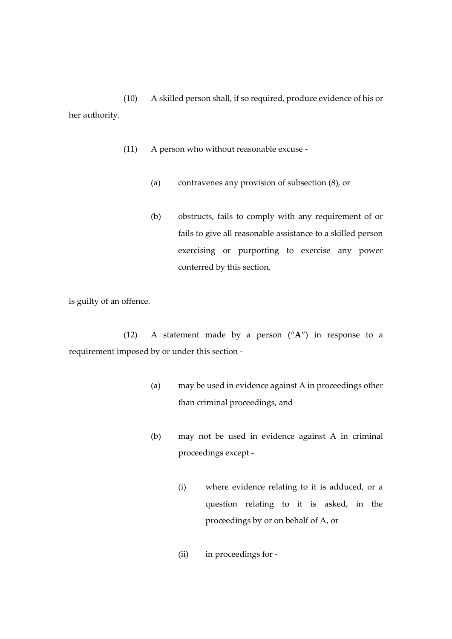(10) A skilled person shall, if so required, produce evidence of his or her authority.

- (11) A person who without reasonable excuse
	- (a) contravenes any provision of subsection (8), or
	- (b) obstructs, fails to comply with any requirement of or fails to give all reasonable assistance to a skilled person exercising or purporting to exercise any power conferred by this section,

is guilty of an offence.

(12) A statement made by a person ("**A**") in response to a requirement imposed by or under this section -

- (a) may be used in evidence against A in proceedings other than criminal proceedings, and
- (b) may not be used in evidence against A in criminal proceedings except -
	- (i) where evidence relating to it is adduced, or a question relating to it is asked, in the proceedings by or on behalf of A, or
	- (ii) in proceedings for -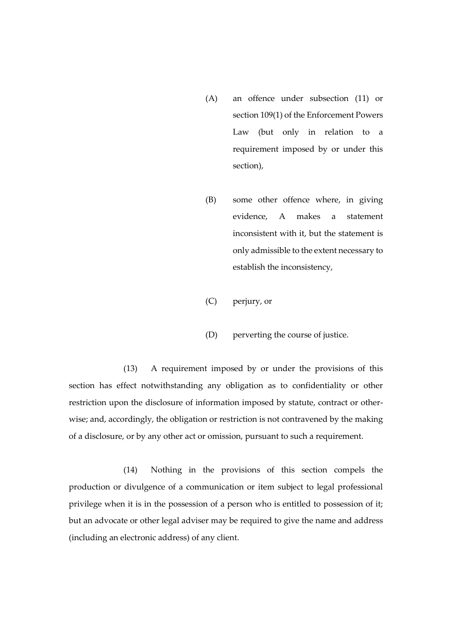- (A) an offence under subsection (11) or section 109(1) of the Enforcement Powers Law (but only in relation to a requirement imposed by or under this section),
- (B) some other offence where, in giving evidence, A makes a statement inconsistent with it, but the statement is only admissible to the extent necessary to establish the inconsistency,
- (C) perjury, or
- (D) perverting the course of justice.

(13) A requirement imposed by or under the provisions of this section has effect notwithstanding any obligation as to confidentiality or other restriction upon the disclosure of information imposed by statute, contract or otherwise; and, accordingly, the obligation or restriction is not contravened by the making of a disclosure, or by any other act or omission, pursuant to such a requirement.

(14) Nothing in the provisions of this section compels the production or divulgence of a communication or item subject to legal professional privilege when it is in the possession of a person who is entitled to possession of it; but an advocate or other legal adviser may be required to give the name and address (including an electronic address) of any client.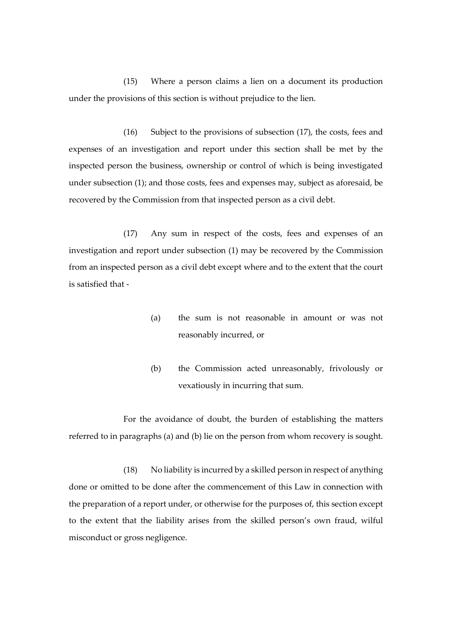(15) Where a person claims a lien on a document its production under the provisions of this section is without prejudice to the lien.

(16) Subject to the provisions of subsection (17), the costs, fees and expenses of an investigation and report under this section shall be met by the inspected person the business, ownership or control of which is being investigated under subsection (1); and those costs, fees and expenses may, subject as aforesaid, be recovered by the Commission from that inspected person as a civil debt.

(17) Any sum in respect of the costs, fees and expenses of an investigation and report under subsection (1) may be recovered by the Commission from an inspected person as a civil debt except where and to the extent that the court is satisfied that -

- (a) the sum is not reasonable in amount or was not reasonably incurred, or
- (b) the Commission acted unreasonably, frivolously or vexatiously in incurring that sum.

For the avoidance of doubt, the burden of establishing the matters referred to in paragraphs (a) and (b) lie on the person from whom recovery is sought.

(18) No liability is incurred by a skilled person in respect of anything done or omitted to be done after the commencement of this Law in connection with the preparation of a report under, or otherwise for the purposes of, this section except to the extent that the liability arises from the skilled person's own fraud, wilful misconduct or gross negligence.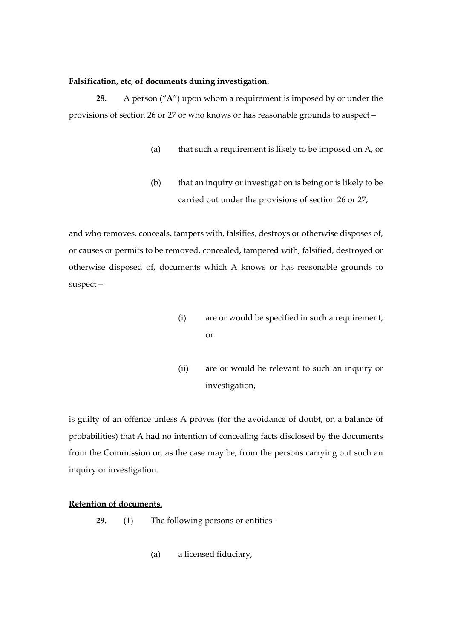# **Falsification, etc, of documents during investigation.**

**28.** A person ("**A**") upon whom a requirement is imposed by or under the provisions of section 26 or 27 or who knows or has reasonable grounds to suspect –

- (a) that such a requirement is likely to be imposed on A, or
- (b) that an inquiry or investigation is being or is likely to be carried out under the provisions of section 26 or 27,

and who removes, conceals, tampers with, falsifies, destroys or otherwise disposes of, or causes or permits to be removed, concealed, tampered with, falsified, destroyed or otherwise disposed of, documents which A knows or has reasonable grounds to suspect –

- (i) are or would be specified in such a requirement, or
- (ii) are or would be relevant to such an inquiry or investigation,

is guilty of an offence unless A proves (for the avoidance of doubt, on a balance of probabilities) that A had no intention of concealing facts disclosed by the documents from the Commission or, as the case may be, from the persons carrying out such an inquiry or investigation.

# **Retention of documents.**

- **29.** (1) The following persons or entities
	- (a) a licensed fiduciary,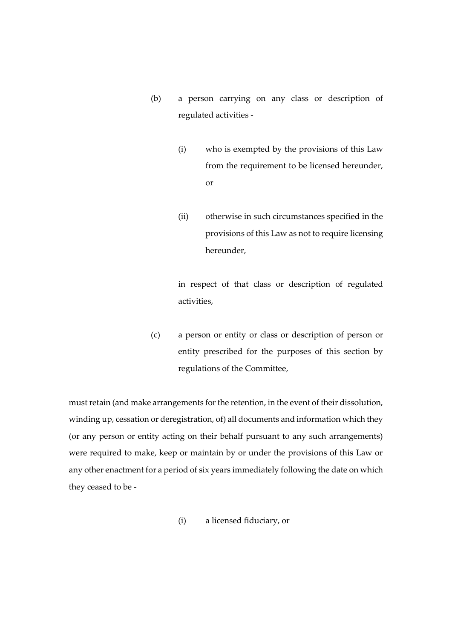- (b) a person carrying on any class or description of regulated activities -
	- (i) who is exempted by the provisions of this Law from the requirement to be licensed hereunder, or
	- (ii) otherwise in such circumstances specified in the provisions of this Law as not to require licensing hereunder,

in respect of that class or description of regulated activities,

(c) a person or entity or class or description of person or entity prescribed for the purposes of this section by regulations of the Committee,

must retain (and make arrangements for the retention, in the event of their dissolution, winding up, cessation or deregistration, of) all documents and information which they (or any person or entity acting on their behalf pursuant to any such arrangements) were required to make, keep or maintain by or under the provisions of this Law or any other enactment for a period of six years immediately following the date on which they ceased to be -

(i) a licensed fiduciary, or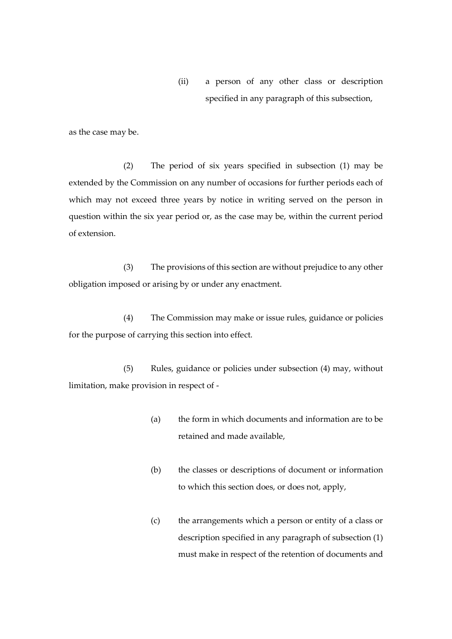(ii) a person of any other class or description specified in any paragraph of this subsection,

as the case may be.

(2) The period of six years specified in subsection (1) may be extended by the Commission on any number of occasions for further periods each of which may not exceed three years by notice in writing served on the person in question within the six year period or, as the case may be, within the current period of extension.

(3) The provisions of this section are without prejudice to any other obligation imposed or arising by or under any enactment.

(4) The Commission may make or issue rules, guidance or policies for the purpose of carrying this section into effect.

(5) Rules, guidance or policies under subsection (4) may, without limitation, make provision in respect of -

- (a) the form in which documents and information are to be retained and made available,
- (b) the classes or descriptions of document or information to which this section does, or does not, apply,
- (c) the arrangements which a person or entity of a class or description specified in any paragraph of subsection (1) must make in respect of the retention of documents and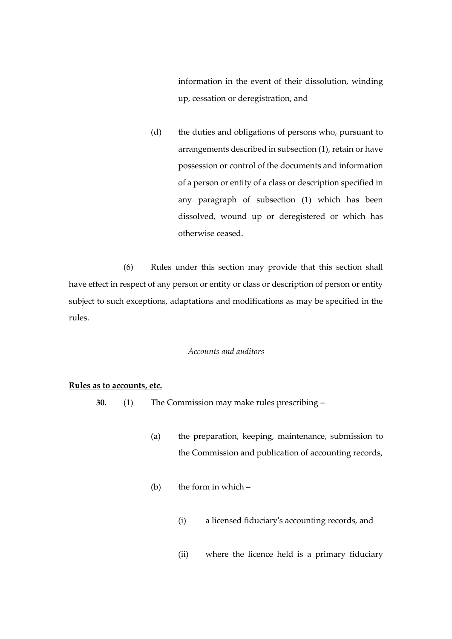information in the event of their dissolution, winding up, cessation or deregistration, and

(d) the duties and obligations of persons who, pursuant to arrangements described in subsection (1), retain or have possession or control of the documents and information of a person or entity of a class or description specified in any paragraph of subsection (1) which has been dissolved, wound up or deregistered or which has otherwise ceased.

(6) Rules under this section may provide that this section shall have effect in respect of any person or entity or class or description of person or entity subject to such exceptions, adaptations and modifications as may be specified in the rules.

#### *Accounts and auditors*

## **Rules as to accounts, etc.**

- **30.** (1) The Commission may make rules prescribing
	- (a) the preparation, keeping, maintenance, submission to the Commission and publication of accounting records,
	- (b) the form in which  $-$ 
		- (i) a licensed fiduciary's accounting records, and
		- (ii) where the licence held is a primary fiduciary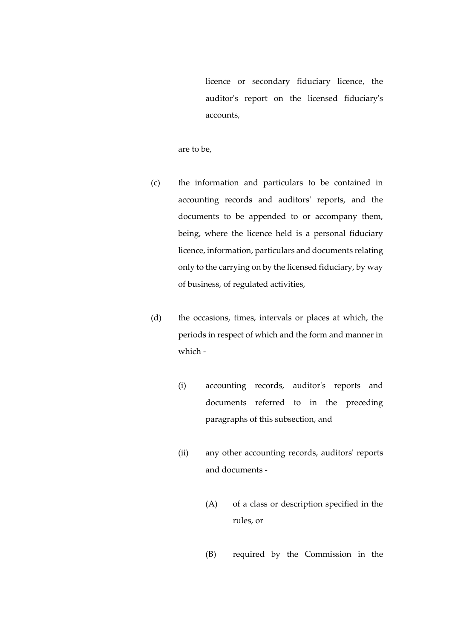licence or secondary fiduciary licence, the auditor's report on the licensed fiduciary's accounts,

are to be,

- (c) the information and particulars to be contained in accounting records and auditors' reports, and the documents to be appended to or accompany them, being, where the licence held is a personal fiduciary licence, information, particulars and documents relating only to the carrying on by the licensed fiduciary, by way of business, of regulated activities,
- (d) the occasions, times, intervals or places at which, the periods in respect of which and the form and manner in which -
	- (i) accounting records, auditor's reports and documents referred to in the preceding paragraphs of this subsection, and
	- (ii) any other accounting records, auditors' reports and documents -
		- (A) of a class or description specified in the rules, or
		- (B) required by the Commission in the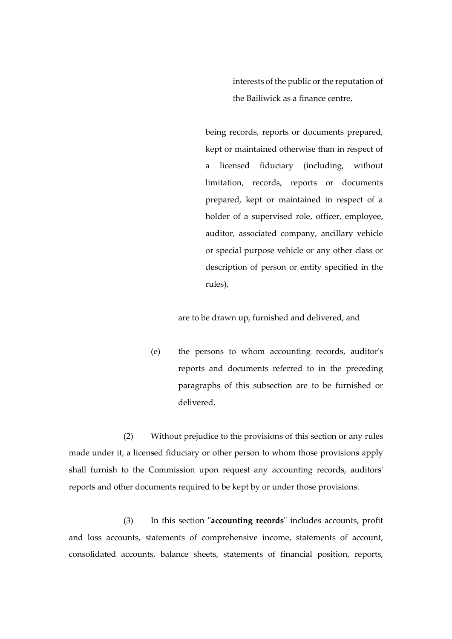interests of the public or the reputation of the Bailiwick as a finance centre,

being records, reports or documents prepared, kept or maintained otherwise than in respect of a licensed fiduciary (including, without limitation, records, reports or documents prepared, kept or maintained in respect of a holder of a supervised role, officer, employee, auditor, associated company, ancillary vehicle or special purpose vehicle or any other class or description of person or entity specified in the rules),

are to be drawn up, furnished and delivered, and

(e) the persons to whom accounting records, auditor's reports and documents referred to in the preceding paragraphs of this subsection are to be furnished or delivered.

(2) Without prejudice to the provisions of this section or any rules made under it, a licensed fiduciary or other person to whom those provisions apply shall furnish to the Commission upon request any accounting records, auditors' reports and other documents required to be kept by or under those provisions.

(3) In this section "**accounting records**" includes accounts, profit and loss accounts, statements of comprehensive income, statements of account, consolidated accounts, balance sheets, statements of financial position, reports,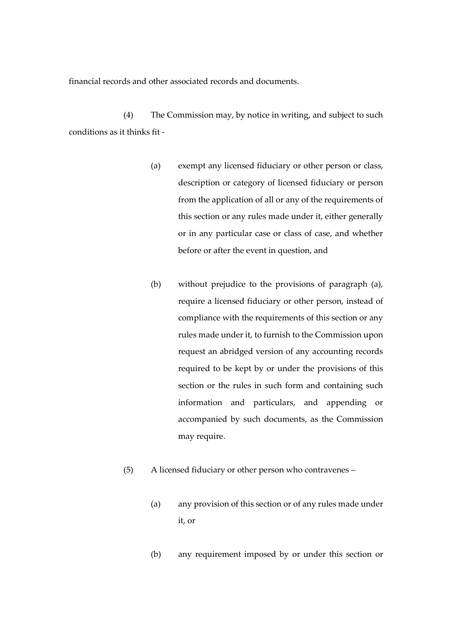financial records and other associated records and documents.

(4) The Commission may, by notice in writing, and subject to such conditions as it thinks fit -

- (a) exempt any licensed fiduciary or other person or class, description or category of licensed fiduciary or person from the application of all or any of the requirements of this section or any rules made under it, either generally or in any particular case or class of case, and whether before or after the event in question, and
- (b) without prejudice to the provisions of paragraph (a), require a licensed fiduciary or other person, instead of compliance with the requirements of this section or any rules made under it, to furnish to the Commission upon request an abridged version of any accounting records required to be kept by or under the provisions of this section or the rules in such form and containing such information and particulars, and appending or accompanied by such documents, as the Commission may require.
- (5) A licensed fiduciary or other person who contravenes
	- (a) any provision of this section or of any rules made under it, or
	- (b) any requirement imposed by or under this section or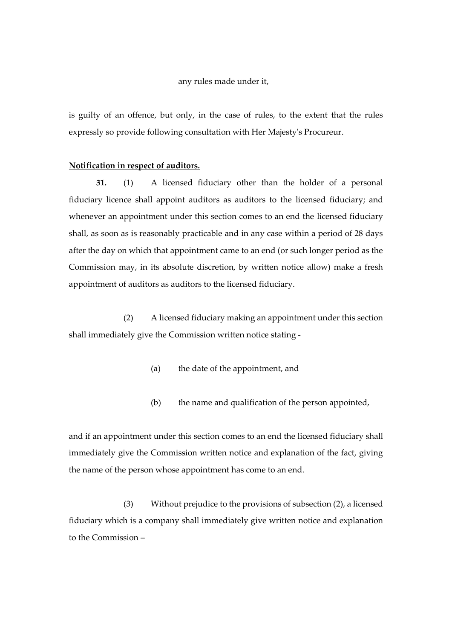### any rules made under it,

is guilty of an offence, but only, in the case of rules, to the extent that the rules expressly so provide following consultation with Her Majesty's Procureur.

#### **Notification in respect of auditors.**

**31.** (1) A licensed fiduciary other than the holder of a personal fiduciary licence shall appoint auditors as auditors to the licensed fiduciary; and whenever an appointment under this section comes to an end the licensed fiduciary shall, as soon as is reasonably practicable and in any case within a period of 28 days after the day on which that appointment came to an end (or such longer period as the Commission may, in its absolute discretion, by written notice allow) make a fresh appointment of auditors as auditors to the licensed fiduciary.

(2) A licensed fiduciary making an appointment under this section shall immediately give the Commission written notice stating -

- (a) the date of the appointment, and
- (b) the name and qualification of the person appointed,

and if an appointment under this section comes to an end the licensed fiduciary shall immediately give the Commission written notice and explanation of the fact, giving the name of the person whose appointment has come to an end.

(3) Without prejudice to the provisions of subsection (2), a licensed fiduciary which is a company shall immediately give written notice and explanation to the Commission –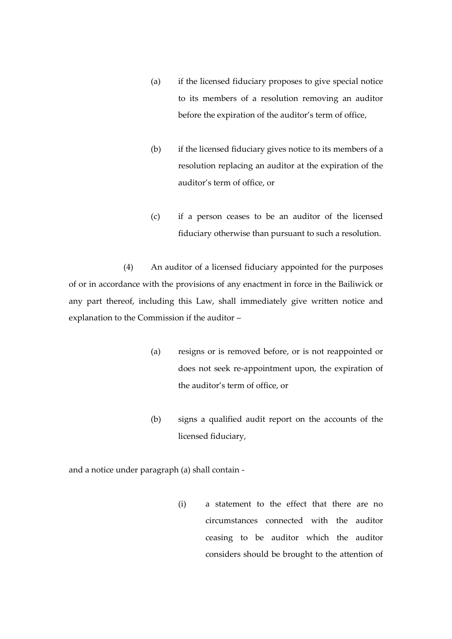- (a) if the licensed fiduciary proposes to give special notice to its members of a resolution removing an auditor before the expiration of the auditor's term of office,
- (b) if the licensed fiduciary gives notice to its members of a resolution replacing an auditor at the expiration of the auditor's term of office, or
- (c) if a person ceases to be an auditor of the licensed fiduciary otherwise than pursuant to such a resolution.

(4) An auditor of a licensed fiduciary appointed for the purposes of or in accordance with the provisions of any enactment in force in the Bailiwick or any part thereof, including this Law, shall immediately give written notice and explanation to the Commission if the auditor –

- (a) resigns or is removed before, or is not reappointed or does not seek re-appointment upon, the expiration of the auditor's term of office, or
- (b) signs a qualified audit report on the accounts of the licensed fiduciary,

and a notice under paragraph (a) shall contain -

(i) a statement to the effect that there are no circumstances connected with the auditor ceasing to be auditor which the auditor considers should be brought to the attention of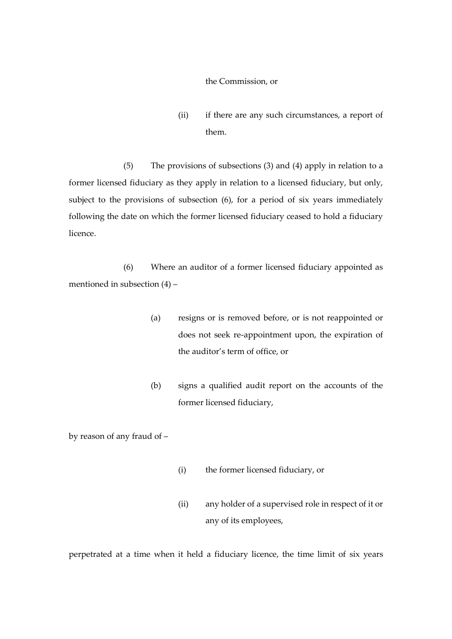#### the Commission, or

(ii) if there are any such circumstances, a report of them.

(5) The provisions of subsections (3) and (4) apply in relation to a former licensed fiduciary as they apply in relation to a licensed fiduciary, but only, subject to the provisions of subsection (6), for a period of six years immediately following the date on which the former licensed fiduciary ceased to hold a fiduciary licence.

(6) Where an auditor of a former licensed fiduciary appointed as mentioned in subsection (4) –

- (a) resigns or is removed before, or is not reappointed or does not seek re-appointment upon, the expiration of the auditor's term of office, or
- (b) signs a qualified audit report on the accounts of the former licensed fiduciary,

by reason of any fraud of –

- (i) the former licensed fiduciary, or
- (ii) any holder of a supervised role in respect of it or any of its employees,

perpetrated at a time when it held a fiduciary licence, the time limit of six years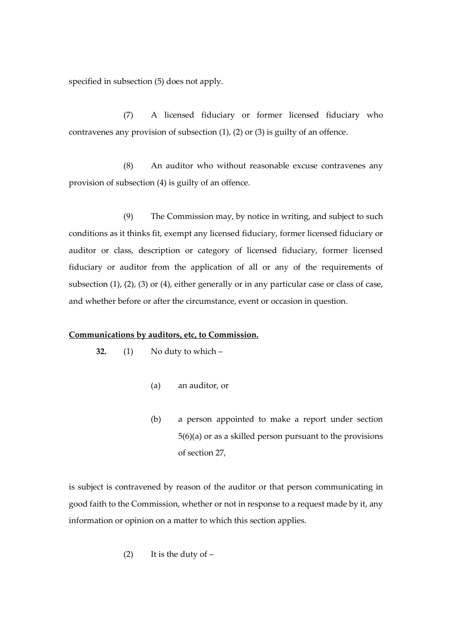specified in subsection (5) does not apply.

(7) A licensed fiduciary or former licensed fiduciary who contravenes any provision of subsection (1), (2) or (3) is guilty of an offence.

(8) An auditor who without reasonable excuse contravenes any provision of subsection (4) is guilty of an offence.

(9) The Commission may, by notice in writing, and subject to such conditions as it thinks fit, exempt any licensed fiduciary, former licensed fiduciary or auditor or class, description or category of licensed fiduciary, former licensed fiduciary or auditor from the application of all or any of the requirements of subsection (1), (2), (3) or (4), either generally or in any particular case or class of case, and whether before or after the circumstance, event or occasion in question.

### **Communications by auditors, etc, to Commission.**

**32.** (1) No duty to which –

- (a) an auditor, or
- (b) a person appointed to make a report under section 5(6)(a) or as a skilled person pursuant to the provisions of section 27,

is subject is contravened by reason of the auditor or that person communicating in good faith to the Commission, whether or not in response to a request made by it, any information or opinion on a matter to which this section applies.

$$
(2) \qquad \text{It is the duty of } -
$$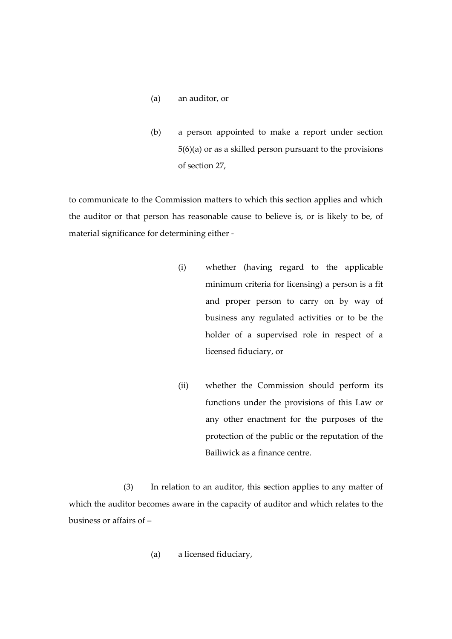- (a) an auditor, or
- (b) a person appointed to make a report under section 5(6)(a) or as a skilled person pursuant to the provisions of section 27,

to communicate to the Commission matters to which this section applies and which the auditor or that person has reasonable cause to believe is, or is likely to be, of material significance for determining either -

- (i) whether (having regard to the applicable minimum criteria for licensing) a person is a fit and proper person to carry on by way of business any regulated activities or to be the holder of a supervised role in respect of a licensed fiduciary, or
- (ii) whether the Commission should perform its functions under the provisions of this Law or any other enactment for the purposes of the protection of the public or the reputation of the Bailiwick as a finance centre.

(3) In relation to an auditor, this section applies to any matter of which the auditor becomes aware in the capacity of auditor and which relates to the business or affairs of –

(a) a licensed fiduciary,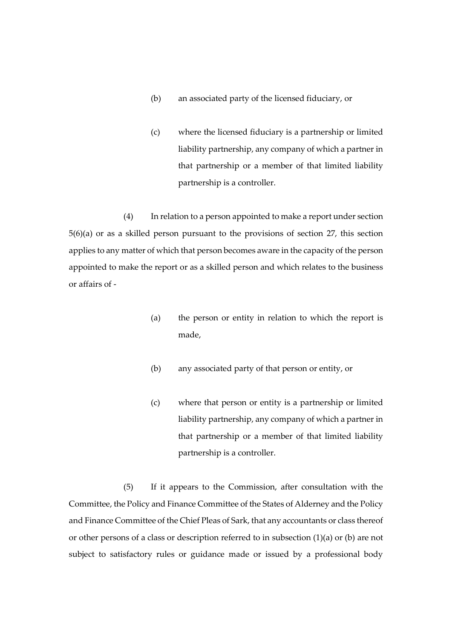- (b) an associated party of the licensed fiduciary, or
- (c) where the licensed fiduciary is a partnership or limited liability partnership, any company of which a partner in that partnership or a member of that limited liability partnership is a controller.

(4) In relation to a person appointed to make a report under section 5(6)(a) or as a skilled person pursuant to the provisions of section 27, this section applies to any matter of which that person becomes aware in the capacity of the person appointed to make the report or as a skilled person and which relates to the business or affairs of -

- (a) the person or entity in relation to which the report is made,
- (b) any associated party of that person or entity, or
- (c) where that person or entity is a partnership or limited liability partnership, any company of which a partner in that partnership or a member of that limited liability partnership is a controller.

(5) If it appears to the Commission, after consultation with the Committee, the Policy and Finance Committee of the States of Alderney and the Policy and Finance Committee of the Chief Pleas of Sark, that any accountants or class thereof or other persons of a class or description referred to in subsection (1)(a) or (b) are not subject to satisfactory rules or guidance made or issued by a professional body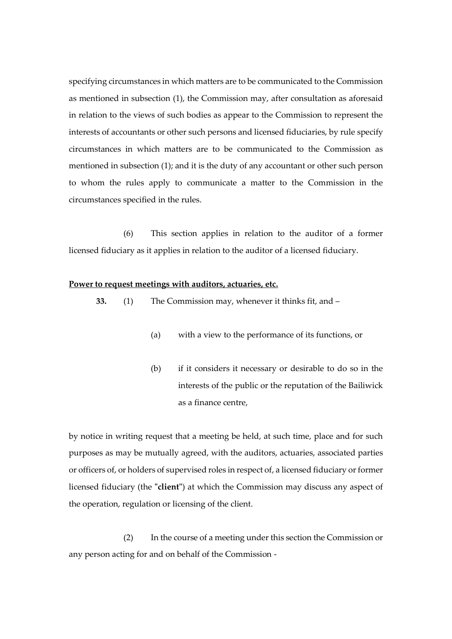specifying circumstances in which matters are to be communicated to the Commission as mentioned in subsection (1), the Commission may, after consultation as aforesaid in relation to the views of such bodies as appear to the Commission to represent the interests of accountants or other such persons and licensed fiduciaries, by rule specify circumstances in which matters are to be communicated to the Commission as mentioned in subsection (1); and it is the duty of any accountant or other such person to whom the rules apply to communicate a matter to the Commission in the circumstances specified in the rules.

(6) This section applies in relation to the auditor of a former licensed fiduciary as it applies in relation to the auditor of a licensed fiduciary.

# **Power to request meetings with auditors, actuaries, etc.**

- **33.** (1) The Commission may, whenever it thinks fit, and
	- (a) with a view to the performance of its functions, or
	- (b) if it considers it necessary or desirable to do so in the interests of the public or the reputation of the Bailiwick as a finance centre,

by notice in writing request that a meeting be held, at such time, place and for such purposes as may be mutually agreed, with the auditors, actuaries, associated parties or officers of, or holders of supervised roles in respect of, a licensed fiduciary or former licensed fiduciary (the **"client"**) at which the Commission may discuss any aspect of the operation, regulation or licensing of the client.

(2) In the course of a meeting under this section the Commission or any person acting for and on behalf of the Commission -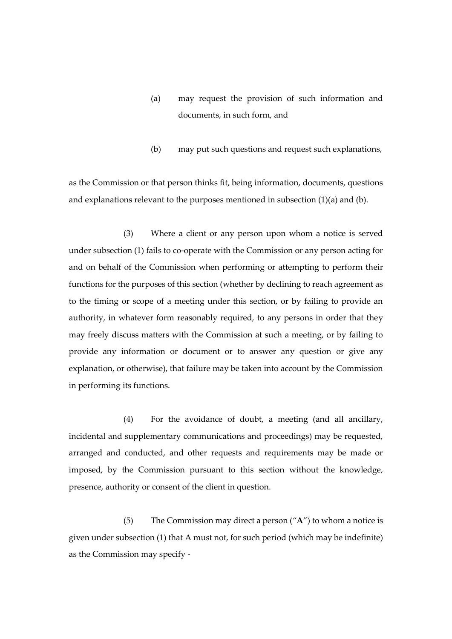- (a) may request the provision of such information and documents, in such form, and
- (b) may put such questions and request such explanations,

as the Commission or that person thinks fit, being information, documents, questions and explanations relevant to the purposes mentioned in subsection  $(1)(a)$  and  $(b)$ .

(3) Where a client or any person upon whom a notice is served under subsection (1) fails to co-operate with the Commission or any person acting for and on behalf of the Commission when performing or attempting to perform their functions for the purposes of this section (whether by declining to reach agreement as to the timing or scope of a meeting under this section, or by failing to provide an authority, in whatever form reasonably required, to any persons in order that they may freely discuss matters with the Commission at such a meeting, or by failing to provide any information or document or to answer any question or give any explanation, or otherwise), that failure may be taken into account by the Commission in performing its functions.

(4) For the avoidance of doubt, a meeting (and all ancillary, incidental and supplementary communications and proceedings) may be requested, arranged and conducted, and other requests and requirements may be made or imposed, by the Commission pursuant to this section without the knowledge, presence, authority or consent of the client in question.

(5) The Commission may direct a person ("**A**") to whom a notice is given under subsection (1) that A must not, for such period (which may be indefinite) as the Commission may specify -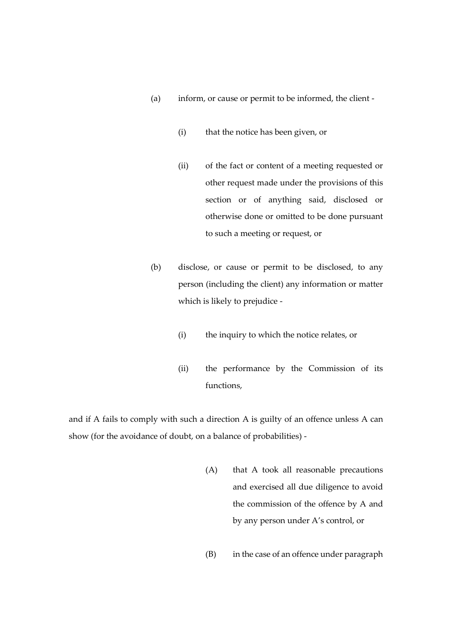- (a) inform, or cause or permit to be informed, the client
	- (i) that the notice has been given, or
	- (ii) of the fact or content of a meeting requested or other request made under the provisions of this section or of anything said, disclosed or otherwise done or omitted to be done pursuant to such a meeting or request, or
- (b) disclose, or cause or permit to be disclosed, to any person (including the client) any information or matter which is likely to prejudice -
	- (i) the inquiry to which the notice relates, or
	- (ii) the performance by the Commission of its functions,

and if A fails to comply with such a direction A is guilty of an offence unless A can show (for the avoidance of doubt, on a balance of probabilities) -

- (A) that A took all reasonable precautions and exercised all due diligence to avoid the commission of the offence by A and by any person under A's control, or
- (B) in the case of an offence under paragraph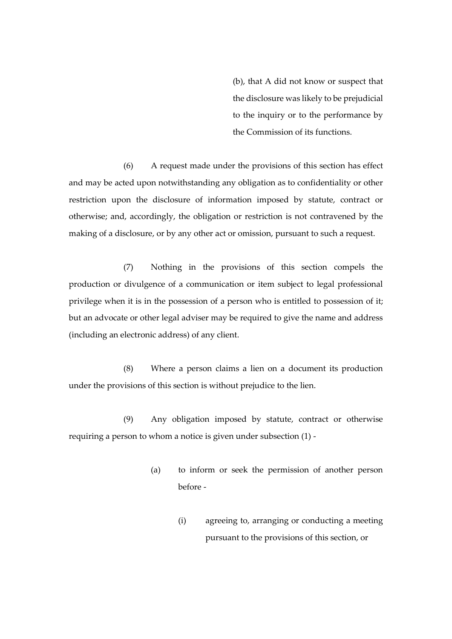(b), that A did not know or suspect that the disclosure was likely to be prejudicial to the inquiry or to the performance by the Commission of its functions.

(6) A request made under the provisions of this section has effect and may be acted upon notwithstanding any obligation as to confidentiality or other restriction upon the disclosure of information imposed by statute, contract or otherwise; and, accordingly, the obligation or restriction is not contravened by the making of a disclosure, or by any other act or omission, pursuant to such a request.

(7) Nothing in the provisions of this section compels the production or divulgence of a communication or item subject to legal professional privilege when it is in the possession of a person who is entitled to possession of it; but an advocate or other legal adviser may be required to give the name and address (including an electronic address) of any client.

(8) Where a person claims a lien on a document its production under the provisions of this section is without prejudice to the lien.

(9) Any obligation imposed by statute, contract or otherwise requiring a person to whom a notice is given under subsection (1) -

- (a) to inform or seek the permission of another person before -
	- (i) agreeing to, arranging or conducting a meeting pursuant to the provisions of this section, or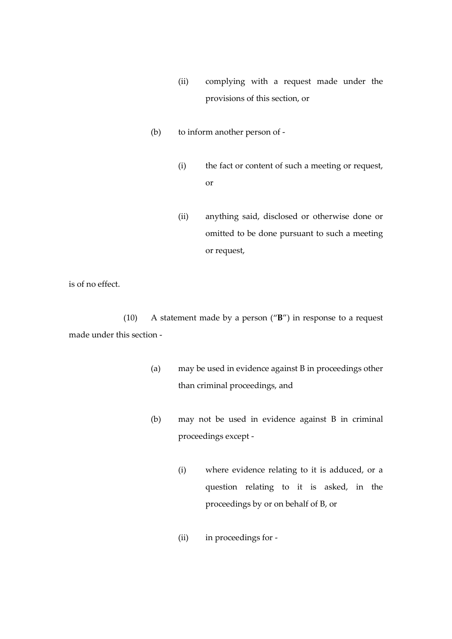- (ii) complying with a request made under the provisions of this section, or
- (b) to inform another person of
	- (i) the fact or content of such a meeting or request, or
	- (ii) anything said, disclosed or otherwise done or omitted to be done pursuant to such a meeting or request,

is of no effect.

(10) A statement made by a person ("**B**") in response to a request made under this section -

- (a) may be used in evidence against B in proceedings other than criminal proceedings, and
- (b) may not be used in evidence against B in criminal proceedings except -
	- (i) where evidence relating to it is adduced, or a question relating to it is asked, in the proceedings by or on behalf of B, or
	- (ii) in proceedings for -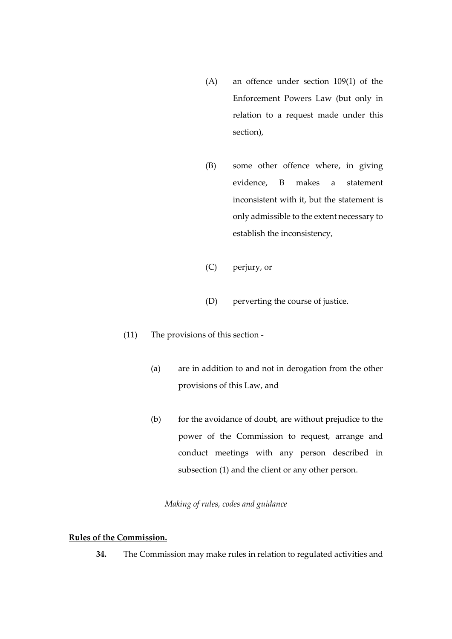- (A) an offence under section 109(1) of the Enforcement Powers Law (but only in relation to a request made under this section),
- (B) some other offence where, in giving evidence, B makes a statement inconsistent with it, but the statement is only admissible to the extent necessary to establish the inconsistency,
- (C) perjury, or
- (D) perverting the course of justice.
- (11) The provisions of this section
	- (a) are in addition to and not in derogation from the other provisions of this Law, and
	- (b) for the avoidance of doubt, are without prejudice to the power of the Commission to request, arrange and conduct meetings with any person described in subsection (1) and the client or any other person.

# *Making of rules, codes and guidance*

# **Rules of the Commission.**

**34.** The Commission may make rules in relation to regulated activities and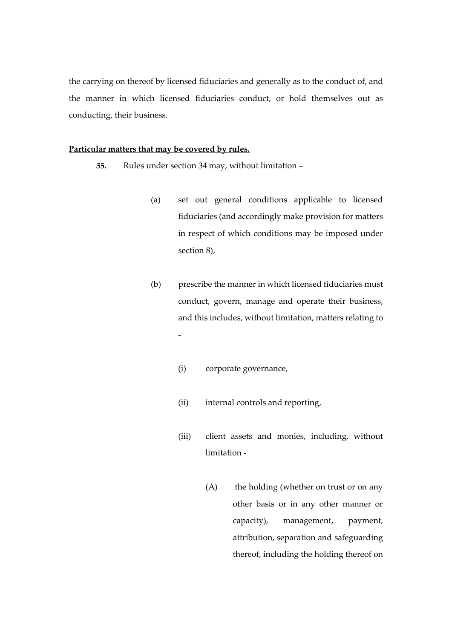the carrying on thereof by licensed fiduciaries and generally as to the conduct of, and the manner in which licensed fiduciaries conduct, or hold themselves out as conducting, their business.

# **Particular matters that may be covered by rules.**

- **35.** Rules under section 34 may, without limitation
	- (a) set out general conditions applicable to licensed fiduciaries (and accordingly make provision for matters in respect of which conditions may be imposed under section 8),
	- (b) prescribe the manner in which licensed fiduciaries must conduct, govern, manage and operate their business, and this includes, without limitation, matters relating to -
		- (i) corporate governance,
		- (ii) internal controls and reporting,
		- (iii) client assets and monies, including, without limitation -
			- (A) the holding (whether on trust or on any other basis or in any other manner or capacity), management, payment, attribution, separation and safeguarding thereof, including the holding thereof on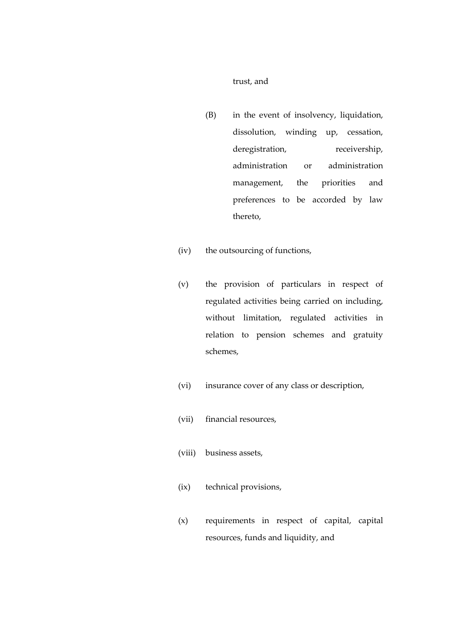### trust, and

- (B) in the event of insolvency, liquidation, dissolution, winding up, cessation, deregistration, receivership, administration or administration management, the priorities and preferences to be accorded by law thereto,
- (iv) the outsourcing of functions,
- (v) the provision of particulars in respect of regulated activities being carried on including, without limitation, regulated activities in relation to pension schemes and gratuity schemes,
- (vi) insurance cover of any class or description,
- (vii) financial resources,
- (viii) business assets,
- (ix) technical provisions,
- (x) requirements in respect of capital, capital resources, funds and liquidity, and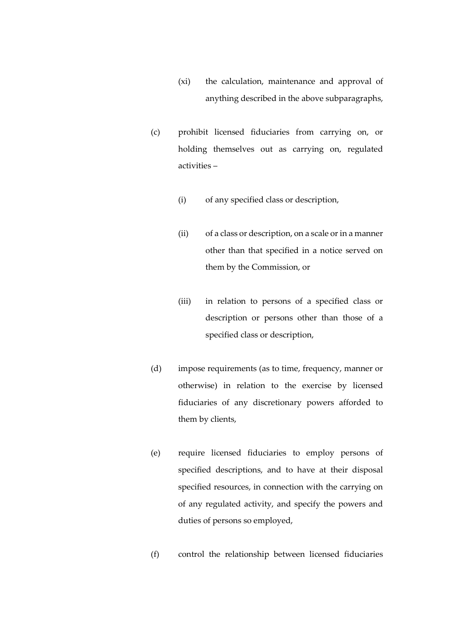- (xi) the calculation, maintenance and approval of anything described in the above subparagraphs,
- (c) prohibit licensed fiduciaries from carrying on, or holding themselves out as carrying on, regulated activities –
	- (i) of any specified class or description,
	- (ii) of a class or description, on a scale or in a manner other than that specified in a notice served on them by the Commission, or
	- (iii) in relation to persons of a specified class or description or persons other than those of a specified class or description,
- (d) impose requirements (as to time, frequency, manner or otherwise) in relation to the exercise by licensed fiduciaries of any discretionary powers afforded to them by clients,
- (e) require licensed fiduciaries to employ persons of specified descriptions, and to have at their disposal specified resources, in connection with the carrying on of any regulated activity, and specify the powers and duties of persons so employed,
- (f) control the relationship between licensed fiduciaries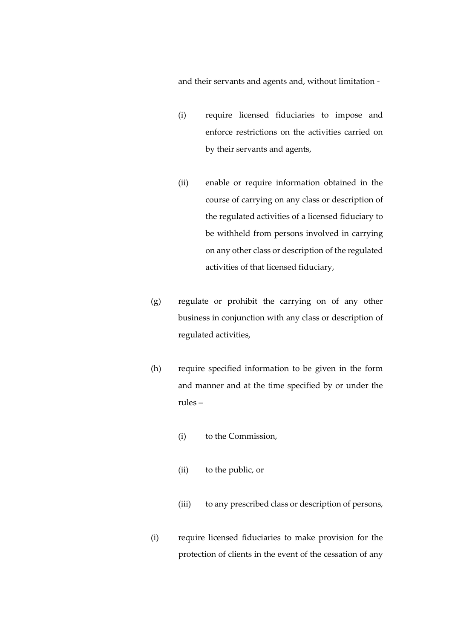and their servants and agents and, without limitation -

- (i) require licensed fiduciaries to impose and enforce restrictions on the activities carried on by their servants and agents,
- (ii) enable or require information obtained in the course of carrying on any class or description of the regulated activities of a licensed fiduciary to be withheld from persons involved in carrying on any other class or description of the regulated activities of that licensed fiduciary,
- (g) regulate or prohibit the carrying on of any other business in conjunction with any class or description of regulated activities,
- (h) require specified information to be given in the form and manner and at the time specified by or under the rules –
	- (i) to the Commission,
	- (ii) to the public, or
	- (iii) to any prescribed class or description of persons,
- (i) require licensed fiduciaries to make provision for the protection of clients in the event of the cessation of any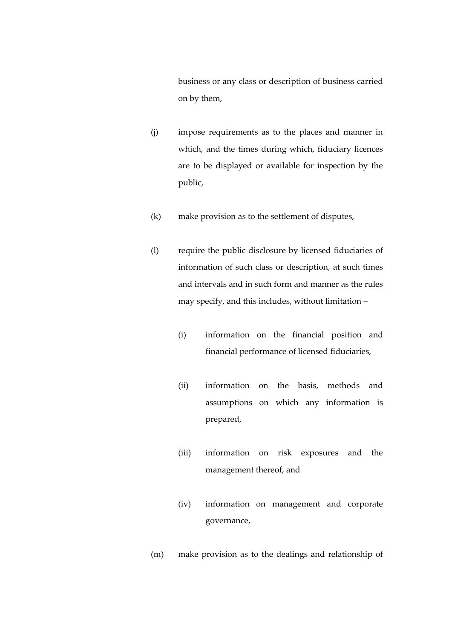business or any class or description of business carried on by them,

- (j) impose requirements as to the places and manner in which, and the times during which, fiduciary licences are to be displayed or available for inspection by the public,
- (k) make provision as to the settlement of disputes,
- (l) require the public disclosure by licensed fiduciaries of information of such class or description, at such times and intervals and in such form and manner as the rules may specify, and this includes, without limitation –
	- (i) information on the financial position and financial performance of licensed fiduciaries,
	- (ii) information on the basis, methods and assumptions on which any information is prepared,
	- (iii) information on risk exposures and the management thereof, and
	- (iv) information on management and corporate governance,
- (m) make provision as to the dealings and relationship of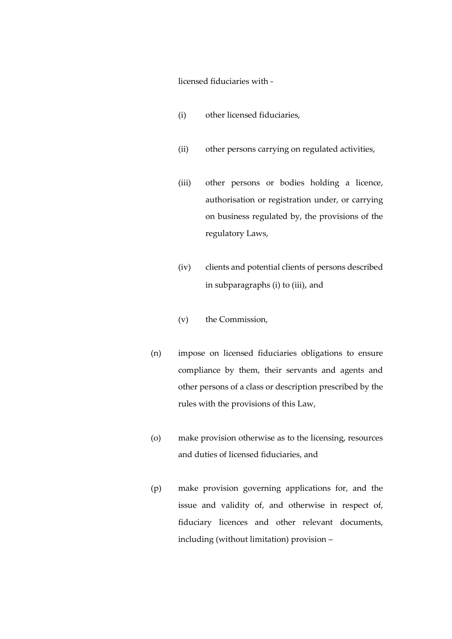licensed fiduciaries with -

- (i) other licensed fiduciaries,
- (ii) other persons carrying on regulated activities,
- (iii) other persons or bodies holding a licence, authorisation or registration under, or carrying on business regulated by, the provisions of the regulatory Laws,
- (iv) clients and potential clients of persons described in subparagraphs (i) to (iii), and
- (v) the Commission,
- (n) impose on licensed fiduciaries obligations to ensure compliance by them, their servants and agents and other persons of a class or description prescribed by the rules with the provisions of this Law,
- (o) make provision otherwise as to the licensing, resources and duties of licensed fiduciaries, and
- (p) make provision governing applications for, and the issue and validity of, and otherwise in respect of, fiduciary licences and other relevant documents, including (without limitation) provision –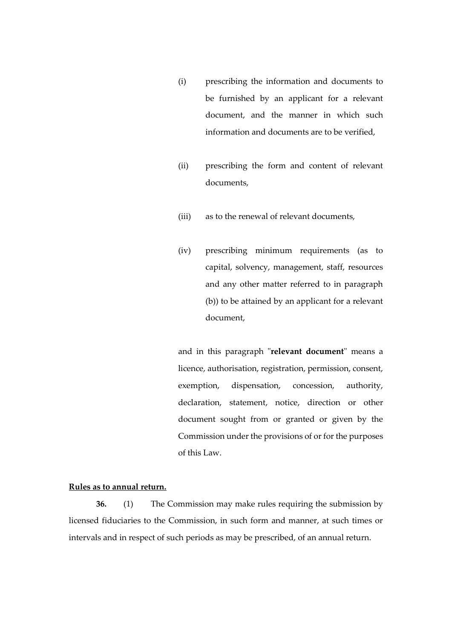- (i) prescribing the information and documents to be furnished by an applicant for a relevant document, and the manner in which such information and documents are to be verified,
- (ii) prescribing the form and content of relevant documents,
- (iii) as to the renewal of relevant documents,
- (iv) prescribing minimum requirements (as to capital, solvency, management, staff, resources and any other matter referred to in paragraph (b)) to be attained by an applicant for a relevant document,

and in this paragraph "**relevant document**" means a licence, authorisation, registration, permission, consent, exemption, dispensation, concession, authority, declaration, statement, notice, direction or other document sought from or granted or given by the Commission under the provisions of or for the purposes of this Law.

### **Rules as to annual return.**

**36.** (1) The Commission may make rules requiring the submission by licensed fiduciaries to the Commission, in such form and manner, at such times or intervals and in respect of such periods as may be prescribed, of an annual return.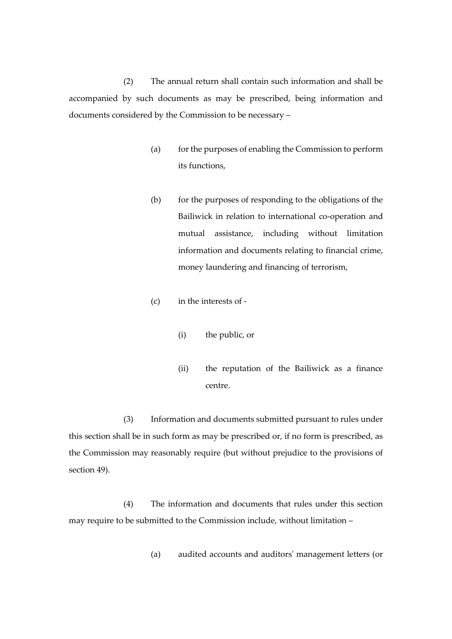(2) The annual return shall contain such information and shall be accompanied by such documents as may be prescribed, being information and documents considered by the Commission to be necessary –

- (a) for the purposes of enabling the Commission to perform its functions,
- (b) for the purposes of responding to the obligations of the Bailiwick in relation to international co-operation and mutual assistance, including without limitation information and documents relating to financial crime, money laundering and financing of terrorism,
- (c) in the interests of
	- (i) the public, or
	- (ii) the reputation of the Bailiwick as a finance centre.

(3) Information and documents submitted pursuant to rules under this section shall be in such form as may be prescribed or, if no form is prescribed, as the Commission may reasonably require (but without prejudice to the provisions of section 49).

(4) The information and documents that rules under this section may require to be submitted to the Commission include, without limitation –

(a) audited accounts and auditors' management letters (or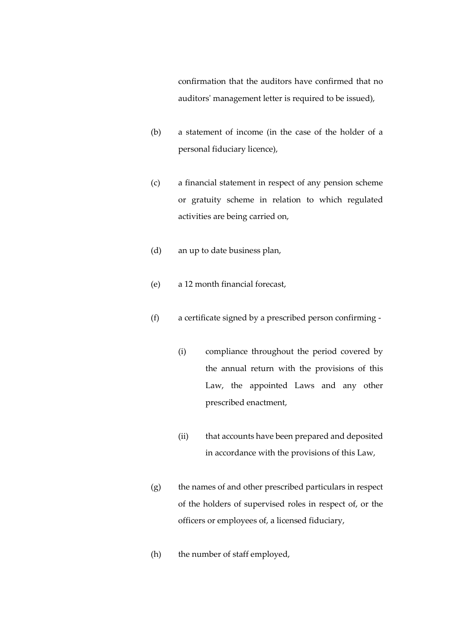confirmation that the auditors have confirmed that no auditors' management letter is required to be issued),

- (b) a statement of income (in the case of the holder of a personal fiduciary licence),
- (c) a financial statement in respect of any pension scheme or gratuity scheme in relation to which regulated activities are being carried on,
- (d) an up to date business plan,
- (e) a 12 month financial forecast,
- (f) a certificate signed by a prescribed person confirming
	- (i) compliance throughout the period covered by the annual return with the provisions of this Law, the appointed Laws and any other prescribed enactment,
	- (ii) that accounts have been prepared and deposited in accordance with the provisions of this Law,
- (g) the names of and other prescribed particulars in respect of the holders of supervised roles in respect of, or the officers or employees of, a licensed fiduciary,
- (h) the number of staff employed,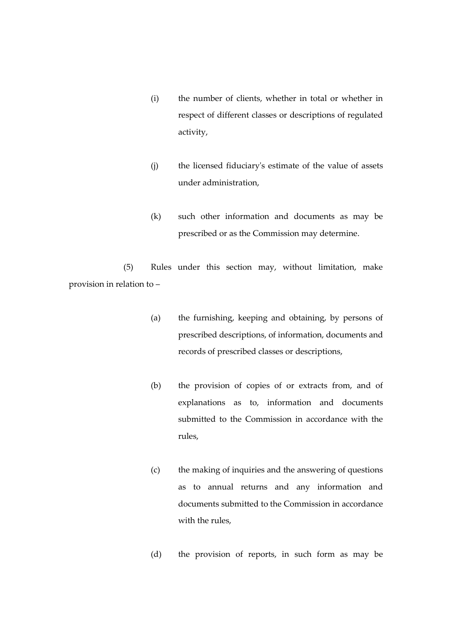- (i) the number of clients, whether in total or whether in respect of different classes or descriptions of regulated activity,
- (j) the licensed fiduciary's estimate of the value of assets under administration,
- (k) such other information and documents as may be prescribed or as the Commission may determine.

(5) Rules under this section may, without limitation, make provision in relation to –

- (a) the furnishing, keeping and obtaining, by persons of prescribed descriptions, of information, documents and records of prescribed classes or descriptions,
- (b) the provision of copies of or extracts from, and of explanations as to, information and documents submitted to the Commission in accordance with the rules,
- (c) the making of inquiries and the answering of questions as to annual returns and any information and documents submitted to the Commission in accordance with the rules,
- (d) the provision of reports, in such form as may be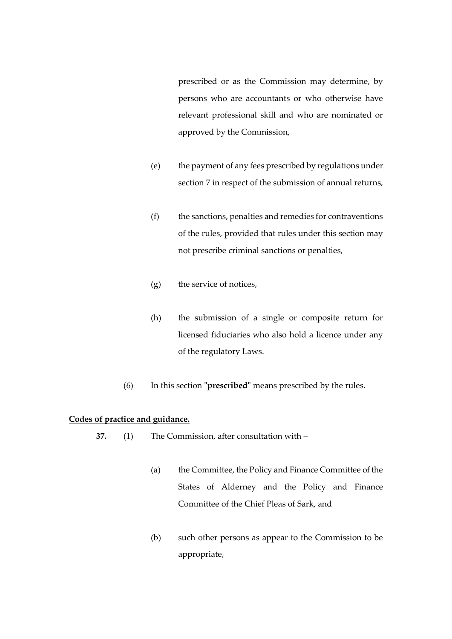prescribed or as the Commission may determine, by persons who are accountants or who otherwise have relevant professional skill and who are nominated or approved by the Commission,

- (e) the payment of any fees prescribed by regulations under section 7 in respect of the submission of annual returns,
- (f) the sanctions, penalties and remedies for contraventions of the rules, provided that rules under this section may not prescribe criminal sanctions or penalties,
- (g) the service of notices,
- (h) the submission of a single or composite return for licensed fiduciaries who also hold a licence under any of the regulatory Laws.
- (6) In this section **"prescribed"** means prescribed by the rules.

# **Codes of practice and guidance.**

- **37.** (1) The Commission, after consultation with
	- (a) the Committee, the Policy and Finance Committee of the States of Alderney and the Policy and Finance Committee of the Chief Pleas of Sark, and
	- (b) such other persons as appear to the Commission to be appropriate,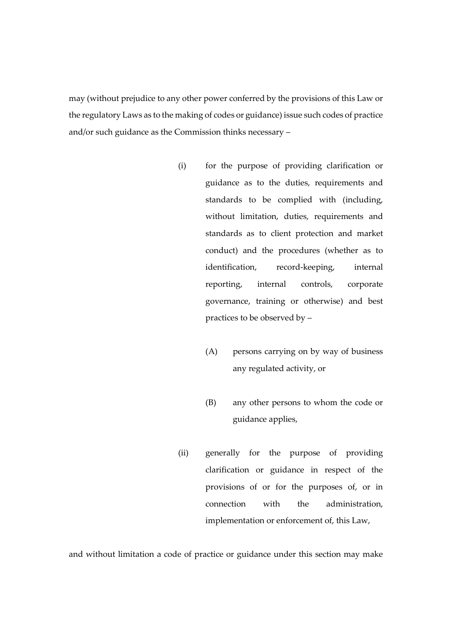may (without prejudice to any other power conferred by the provisions of this Law or the regulatory Laws as to the making of codes or guidance) issue such codes of practice and/or such guidance as the Commission thinks necessary –

- (i) for the purpose of providing clarification or guidance as to the duties, requirements and standards to be complied with (including, without limitation, duties, requirements and standards as to client protection and market conduct) and the procedures (whether as to identification, record-keeping, internal reporting, internal controls, corporate governance, training or otherwise) and best practices to be observed by –
	- (A) persons carrying on by way of business any regulated activity, or
	- (B) any other persons to whom the code or guidance applies,
- (ii) generally for the purpose of providing clarification or guidance in respect of the provisions of or for the purposes of, or in connection with the administration, implementation or enforcement of, this Law,

and without limitation a code of practice or guidance under this section may make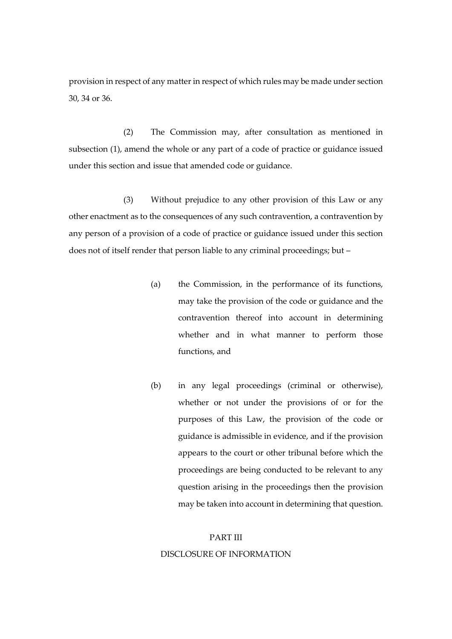provision in respect of any matter in respect of which rules may be made under section 30, 34 or 36.

(2) The Commission may, after consultation as mentioned in subsection (1), amend the whole or any part of a code of practice or guidance issued under this section and issue that amended code or guidance.

(3) Without prejudice to any other provision of this Law or any other enactment as to the consequences of any such contravention, a contravention by any person of a provision of a code of practice or guidance issued under this section does not of itself render that person liable to any criminal proceedings; but –

- (a) the Commission, in the performance of its functions, may take the provision of the code or guidance and the contravention thereof into account in determining whether and in what manner to perform those functions, and
- (b) in any legal proceedings (criminal or otherwise), whether or not under the provisions of or for the purposes of this Law, the provision of the code or guidance is admissible in evidence, and if the provision appears to the court or other tribunal before which the proceedings are being conducted to be relevant to any question arising in the proceedings then the provision may be taken into account in determining that question.

#### PART III

#### DISCLOSURE OF INFORMATION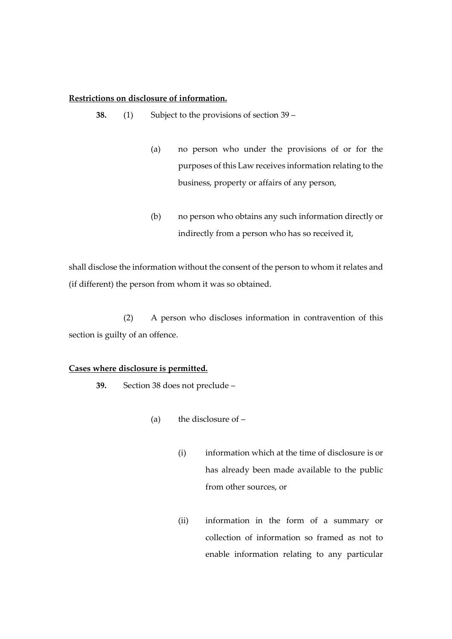# **Restrictions on disclosure of information.**

**38.** (1) Subject to the provisions of section 39 –

- (a) no person who under the provisions of or for the purposes of this Law receives information relating to the business, property or affairs of any person,
- (b) no person who obtains any such information directly or indirectly from a person who has so received it,

shall disclose the information without the consent of the person to whom it relates and (if different) the person from whom it was so obtained.

(2) A person who discloses information in contravention of this section is guilty of an offence.

# **Cases where disclosure is permitted.**

**39.** Section 38 does not preclude –

- (a) the disclosure of  $-$ 
	- (i) information which at the time of disclosure is or has already been made available to the public from other sources, or
	- (ii) information in the form of a summary or collection of information so framed as not to enable information relating to any particular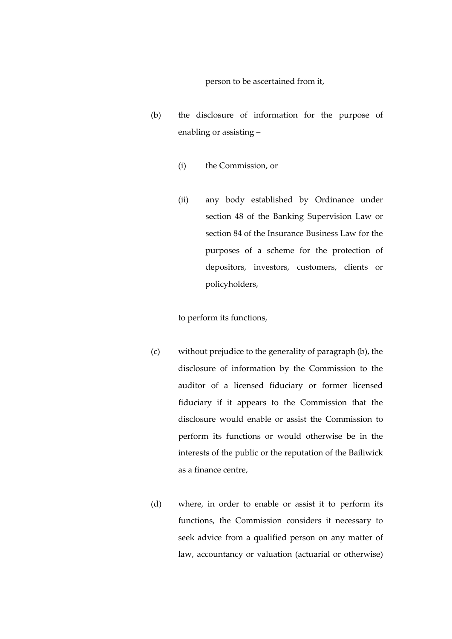person to be ascertained from it,

- (b) the disclosure of information for the purpose of enabling or assisting –
	- (i) the Commission, or
	- (ii) any body established by Ordinance under section 48 of the Banking Supervision Law or section 84 of the Insurance Business Law for the purposes of a scheme for the protection of depositors, investors, customers, clients or policyholders,

to perform its functions,

- (c) without prejudice to the generality of paragraph (b), the disclosure of information by the Commission to the auditor of a licensed fiduciary or former licensed fiduciary if it appears to the Commission that the disclosure would enable or assist the Commission to perform its functions or would otherwise be in the interests of the public or the reputation of the Bailiwick as a finance centre,
- (d) where, in order to enable or assist it to perform its functions, the Commission considers it necessary to seek advice from a qualified person on any matter of law, accountancy or valuation (actuarial or otherwise)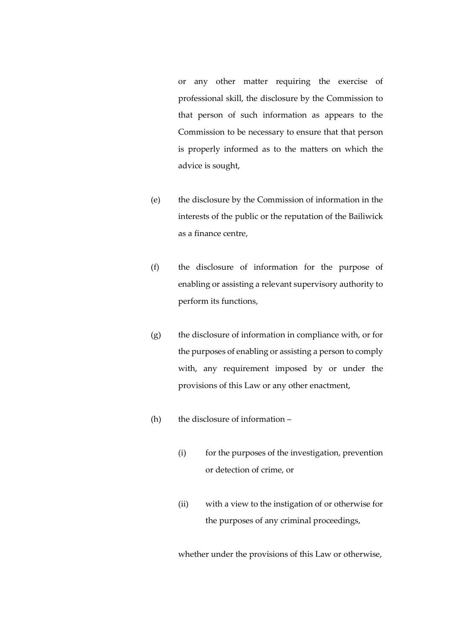or any other matter requiring the exercise of professional skill, the disclosure by the Commission to that person of such information as appears to the Commission to be necessary to ensure that that person is properly informed as to the matters on which the advice is sought,

- (e) the disclosure by the Commission of information in the interests of the public or the reputation of the Bailiwick as a finance centre,
- (f) the disclosure of information for the purpose of enabling or assisting a relevant supervisory authority to perform its functions,
- (g) the disclosure of information in compliance with, or for the purposes of enabling or assisting a person to comply with, any requirement imposed by or under the provisions of this Law or any other enactment,
- (h) the disclosure of information
	- (i) for the purposes of the investigation, prevention or detection of crime, or
	- (ii) with a view to the instigation of or otherwise for the purposes of any criminal proceedings,

whether under the provisions of this Law or otherwise,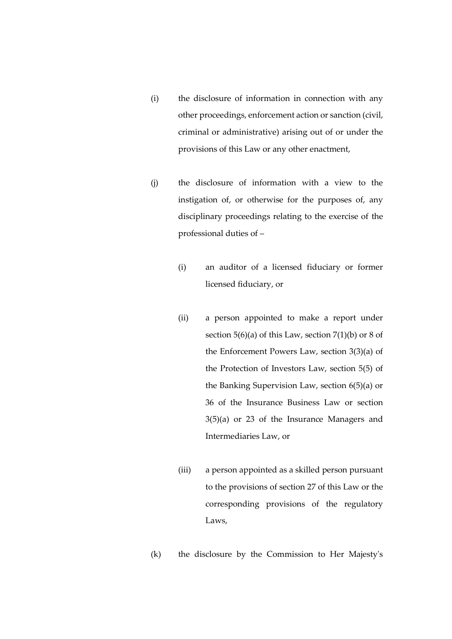- (i) the disclosure of information in connection with any other proceedings, enforcement action or sanction (civil, criminal or administrative) arising out of or under the provisions of this Law or any other enactment,
- (j) the disclosure of information with a view to the instigation of, or otherwise for the purposes of, any disciplinary proceedings relating to the exercise of the professional duties of –
	- (i) an auditor of a licensed fiduciary or former licensed fiduciary, or
	- (ii) a person appointed to make a report under section  $5(6)(a)$  of this Law, section  $7(1)(b)$  or 8 of the Enforcement Powers Law, section 3(3)(a) of the Protection of Investors Law, section 5(5) of the Banking Supervision Law, section 6(5)(a) or 36 of the Insurance Business Law or section 3(5)(a) or 23 of the Insurance Managers and Intermediaries Law, or
	- (iii) a person appointed as a skilled person pursuant to the provisions of section 27 of this Law or the corresponding provisions of the regulatory Laws,
- (k) the disclosure by the Commission to Her Majesty's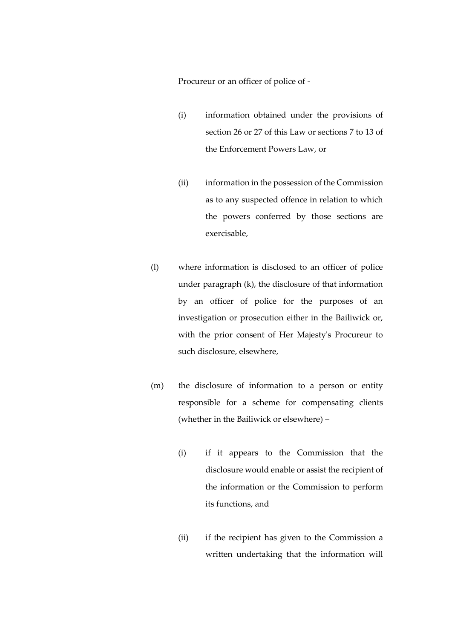Procureur or an officer of police of -

- (i) information obtained under the provisions of section 26 or 27 of this Law or sections 7 to 13 of the Enforcement Powers Law, or
- (ii) information in the possession of the Commission as to any suspected offence in relation to which the powers conferred by those sections are exercisable,
- (l) where information is disclosed to an officer of police under paragraph (k), the disclosure of that information by an officer of police for the purposes of an investigation or prosecution either in the Bailiwick or, with the prior consent of Her Majesty's Procureur to such disclosure, elsewhere,
- (m) the disclosure of information to a person or entity responsible for a scheme for compensating clients (whether in the Bailiwick or elsewhere) –
	- (i) if it appears to the Commission that the disclosure would enable or assist the recipient of the information or the Commission to perform its functions, and
	- (ii) if the recipient has given to the Commission a written undertaking that the information will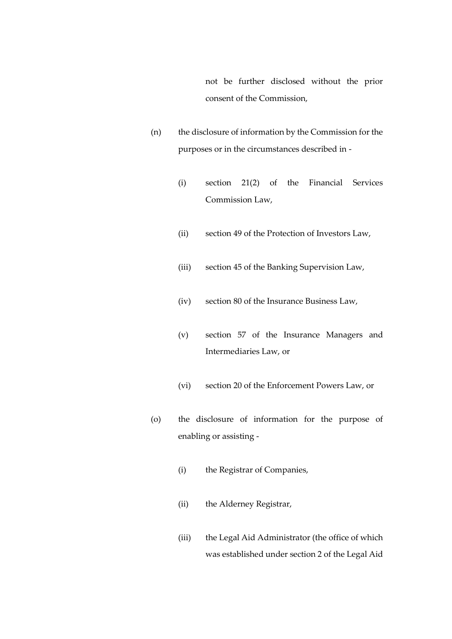not be further disclosed without the prior consent of the Commission,

- (n) the disclosure of information by the Commission for the purposes or in the circumstances described in -
	- (i) section 21(2) of the Financial Services Commission Law,
	- (ii) section 49 of the Protection of Investors Law,
	- (iii) section 45 of the Banking Supervision Law,
	- (iv) section 80 of the Insurance Business Law,
	- (v) section 57 of the Insurance Managers and Intermediaries Law, or
	- (vi) section 20 of the Enforcement Powers Law, or
- (o) the disclosure of information for the purpose of enabling or assisting -
	- (i) the Registrar of Companies,
	- (ii) the Alderney Registrar,
	- (iii) the Legal Aid Administrator (the office of which was established under section 2 of the Legal Aid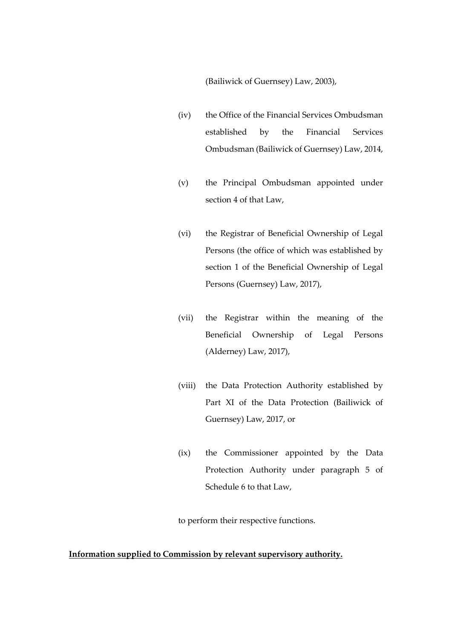(Bailiwick of Guernsey) Law, 2003),

- (iv) the Office of the Financial Services Ombudsman established by the Financial Services Ombudsman (Bailiwick of Guernsey) Law, 2014,
- (v) the Principal Ombudsman appointed under section 4 of that Law,
- (vi) the Registrar of Beneficial Ownership of Legal Persons (the office of which was established by section 1 of the Beneficial Ownership of Legal Persons (Guernsey) Law, 2017),
- (vii) the Registrar within the meaning of the Beneficial Ownership of Legal Persons (Alderney) Law, 2017),
- (viii) the Data Protection Authority established by Part XI of the Data Protection (Bailiwick of Guernsey) Law, 2017, or
- (ix) the Commissioner appointed by the Data Protection Authority under paragraph 5 of Schedule 6 to that Law,

to perform their respective functions.

# **Information supplied to Commission by relevant supervisory authority.**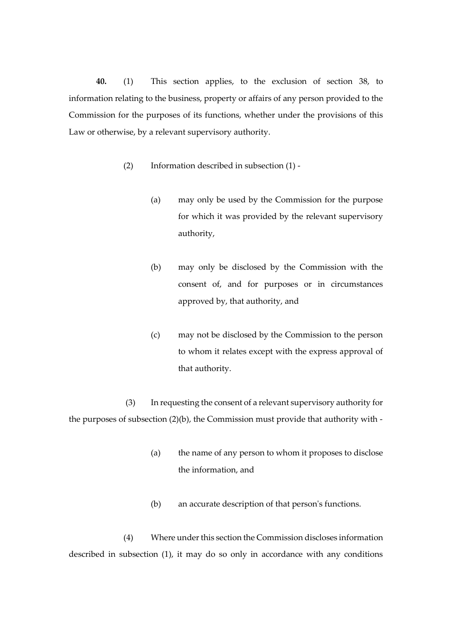**40.** (1) This section applies, to the exclusion of section 38, to information relating to the business, property or affairs of any person provided to the Commission for the purposes of its functions, whether under the provisions of this Law or otherwise, by a relevant supervisory authority.

- (2) Information described in subsection (1)
	- (a) may only be used by the Commission for the purpose for which it was provided by the relevant supervisory authority,
	- (b) may only be disclosed by the Commission with the consent of, and for purposes or in circumstances approved by, that authority, and
	- (c) may not be disclosed by the Commission to the person to whom it relates except with the express approval of that authority.

(3) In requesting the consent of a relevant supervisory authority for the purposes of subsection (2)(b), the Commission must provide that authority with -

- (a) the name of any person to whom it proposes to disclose the information, and
- (b) an accurate description of that person's functions.

(4) Where under this section the Commission discloses information described in subsection (1), it may do so only in accordance with any conditions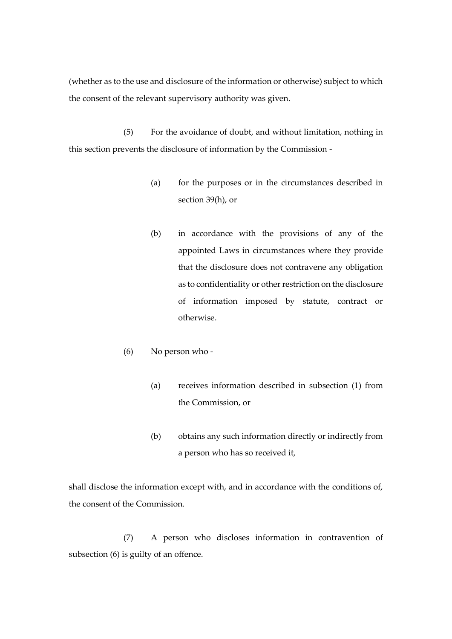(whether as to the use and disclosure of the information or otherwise) subject to which the consent of the relevant supervisory authority was given.

(5) For the avoidance of doubt, and without limitation, nothing in this section prevents the disclosure of information by the Commission -

- (a) for the purposes or in the circumstances described in section 39(h), or
- (b) in accordance with the provisions of any of the appointed Laws in circumstances where they provide that the disclosure does not contravene any obligation as to confidentiality or other restriction on the disclosure of information imposed by statute, contract or otherwise.
- (6) No person who
	- (a) receives information described in subsection (1) from the Commission, or
	- (b) obtains any such information directly or indirectly from a person who has so received it,

shall disclose the information except with, and in accordance with the conditions of, the consent of the Commission.

(7) A person who discloses information in contravention of subsection (6) is guilty of an offence.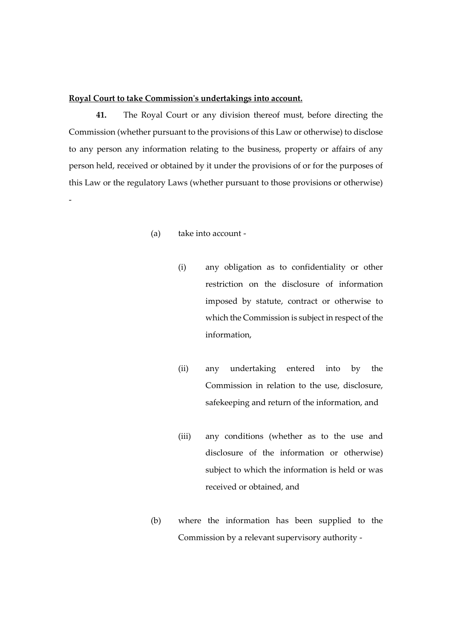# **Royal Court to take Commission's undertakings into account.**

**41.** The Royal Court or any division thereof must, before directing the Commission (whether pursuant to the provisions of this Law or otherwise) to disclose to any person any information relating to the business, property or affairs of any person held, received or obtained by it under the provisions of or for the purposes of this Law or the regulatory Laws (whether pursuant to those provisions or otherwise) -

# (a) take into account -

- (i) any obligation as to confidentiality or other restriction on the disclosure of information imposed by statute, contract or otherwise to which the Commission is subject in respect of the information,
- (ii) any undertaking entered into by the Commission in relation to the use, disclosure, safekeeping and return of the information, and
- (iii) any conditions (whether as to the use and disclosure of the information or otherwise) subject to which the information is held or was received or obtained, and
- (b) where the information has been supplied to the Commission by a relevant supervisory authority -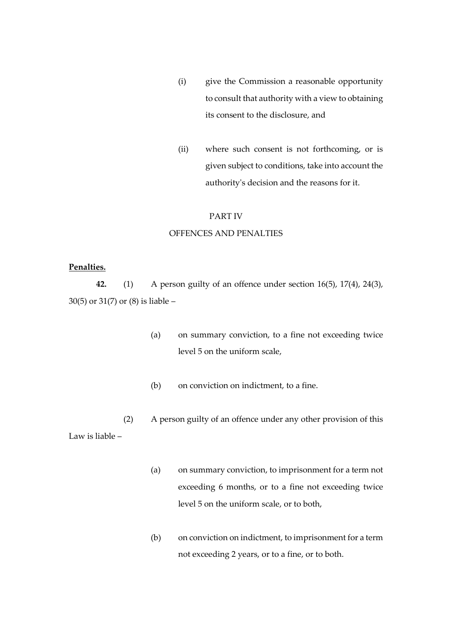- (i) give the Commission a reasonable opportunity to consult that authority with a view to obtaining its consent to the disclosure, and
- (ii) where such consent is not forthcoming, or is given subject to conditions, take into account the authority's decision and the reasons for it.

# PART IV

# OFFENCES AND PENALTIES

# **Penalties.**

**42.** (1) A person guilty of an offence under section 16(5), 17(4), 24(3), 30(5) or 31(7) or (8) is liable –

- (a) on summary conviction, to a fine not exceeding twice level 5 on the uniform scale,
- (b) on conviction on indictment, to a fine.
- (2) A person guilty of an offence under any other provision of this Law is liable –
	- (a) on summary conviction, to imprisonment for a term not exceeding 6 months, or to a fine not exceeding twice level 5 on the uniform scale, or to both,
	- (b) on conviction on indictment, to imprisonment for a term not exceeding 2 years, or to a fine, or to both.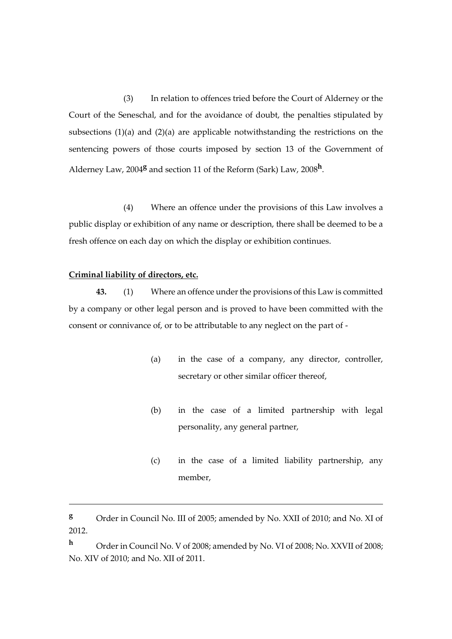(3) In relation to offences tried before the Court of Alderney or the Court of the Seneschal, and for the avoidance of doubt, the penalties stipulated by subsections (1)(a) and (2)(a) are applicable notwithstanding the restrictions on the sentencing powers of those courts imposed by section 13 of the Government of Alderney Law, 2004**<sup>g</sup>** and section 11 of the Reform (Sark) Law, 2008**<sup>h</sup>** .

(4) Where an offence under the provisions of this Law involves a public display or exhibition of any name or description, there shall be deemed to be a fresh offence on each day on which the display or exhibition continues.

## **Criminal liability of directors, etc.**

1

**43.** (1) Where an offence under the provisions of this Law is committed by a company or other legal person and is proved to have been committed with the consent or connivance of, or to be attributable to any neglect on the part of -

- (a) in the case of a company, any director, controller, secretary or other similar officer thereof,
- (b) in the case of a limited partnership with legal personality, any general partner,
- (c) in the case of a limited liability partnership, any member,

**<sup>g</sup>** Order in Council No. III of 2005; amended by No. XXII of 2010; and No. XI of 2012.

**<sup>h</sup>** Order in Council No. V of 2008; amended by No. VI of 2008; No. XXVII of 2008; No. XIV of 2010; and No. XII of 2011.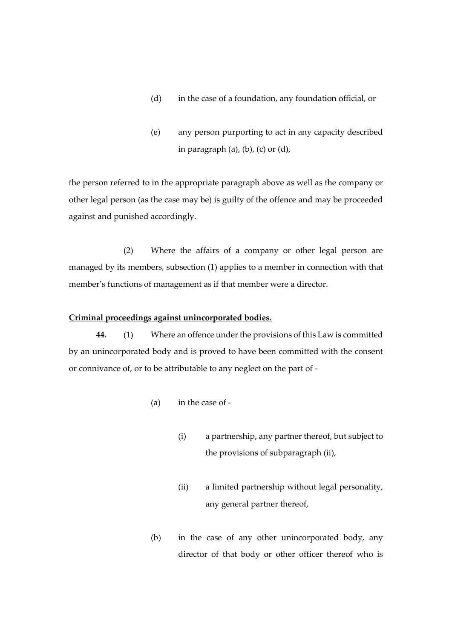- (d) in the case of a foundation, any foundation official, or
- (e) any person purporting to act in any capacity described in paragraph  $(a)$ ,  $(b)$ ,  $(c)$  or  $(d)$ ,

the person referred to in the appropriate paragraph above as well as the company or other legal person (as the case may be) is guilty of the offence and may be proceeded against and punished accordingly.

(2) Where the affairs of a company or other legal person are managed by its members, subsection (1) applies to a member in connection with that member's functions of management as if that member were a director.

#### **Criminal proceedings against unincorporated bodies.**

**44.** (1) Where an offence under the provisions of this Law is committed by an unincorporated body and is proved to have been committed with the consent or connivance of, or to be attributable to any neglect on the part of -

- (a) in the case of
	- (i) a partnership, any partner thereof, but subject to the provisions of subparagraph (ii),
	- (ii) a limited partnership without legal personality, any general partner thereof,
- (b) in the case of any other unincorporated body, any director of that body or other officer thereof who is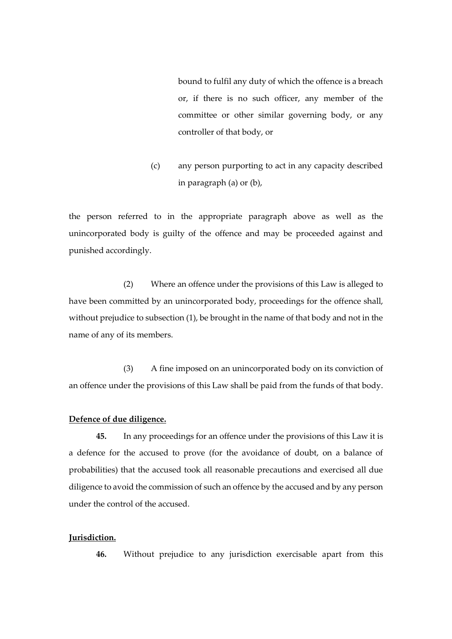bound to fulfil any duty of which the offence is a breach or, if there is no such officer, any member of the committee or other similar governing body, or any controller of that body, or

(c) any person purporting to act in any capacity described in paragraph (a) or (b),

the person referred to in the appropriate paragraph above as well as the unincorporated body is guilty of the offence and may be proceeded against and punished accordingly.

(2) Where an offence under the provisions of this Law is alleged to have been committed by an unincorporated body, proceedings for the offence shall, without prejudice to subsection (1), be brought in the name of that body and not in the name of any of its members.

(3) A fine imposed on an unincorporated body on its conviction of an offence under the provisions of this Law shall be paid from the funds of that body.

# **Defence of due diligence.**

**45.** In any proceedings for an offence under the provisions of this Law it is a defence for the accused to prove (for the avoidance of doubt, on a balance of probabilities) that the accused took all reasonable precautions and exercised all due diligence to avoid the commission of such an offence by the accused and by any person under the control of the accused.

# **Jurisdiction.**

**46.** Without prejudice to any jurisdiction exercisable apart from this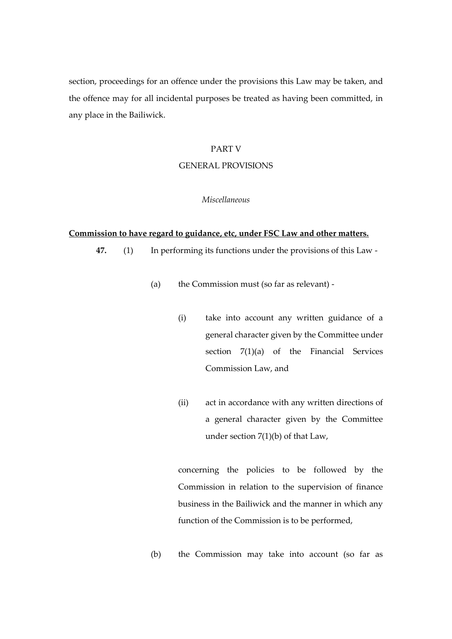section, proceedings for an offence under the provisions this Law may be taken, and the offence may for all incidental purposes be treated as having been committed, in any place in the Bailiwick.

# PART V

#### GENERAL PROVISIONS

# *Miscellaneous*

#### **Commission to have regard to guidance, etc, under FSC Law and other matters.**

**47.** (1) In performing its functions under the provisions of this Law -

- (a) the Commission must (so far as relevant)
	- (i) take into account any written guidance of a general character given by the Committee under section 7(1)(a) of the Financial Services Commission Law, and
	- (ii) act in accordance with any written directions of a general character given by the Committee under section 7(1)(b) of that Law,

concerning the policies to be followed by the Commission in relation to the supervision of finance business in the Bailiwick and the manner in which any function of the Commission is to be performed,

(b) the Commission may take into account (so far as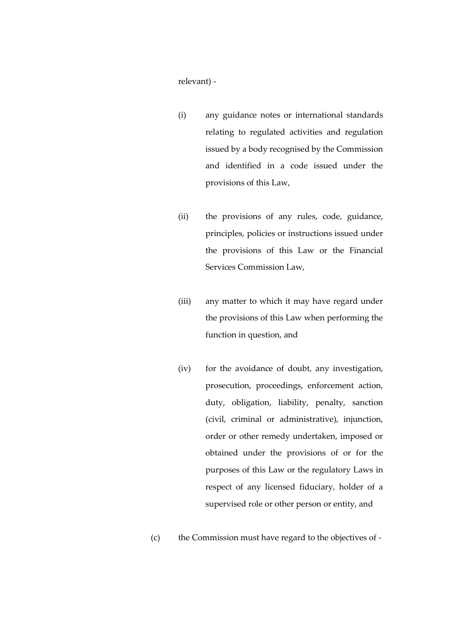relevant) -

- (i) any guidance notes or international standards relating to regulated activities and regulation issued by a body recognised by the Commission and identified in a code issued under the provisions of this Law,
- (ii) the provisions of any rules, code, guidance, principles, policies or instructions issued under the provisions of this Law or the Financial Services Commission Law,
- (iii) any matter to which it may have regard under the provisions of this Law when performing the function in question, and
- (iv) for the avoidance of doubt, any investigation, prosecution, proceedings, enforcement action, duty, obligation, liability, penalty, sanction (civil, criminal or administrative), injunction, order or other remedy undertaken, imposed or obtained under the provisions of or for the purposes of this Law or the regulatory Laws in respect of any licensed fiduciary, holder of a supervised role or other person or entity, and
- (c) the Commission must have regard to the objectives of -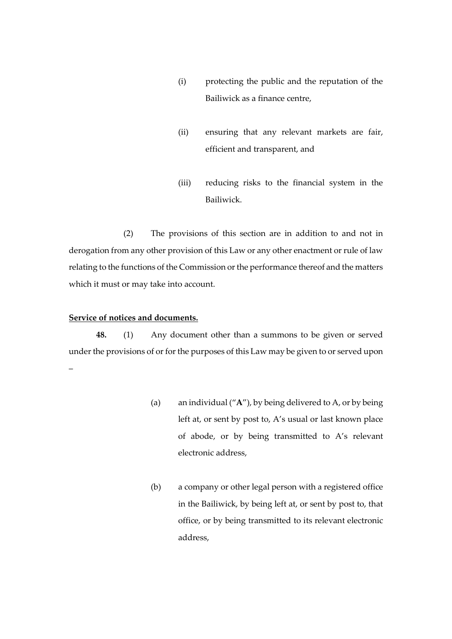- (i) protecting the public and the reputation of the Bailiwick as a finance centre,
- (ii) ensuring that any relevant markets are fair, efficient and transparent, and
- (iii) reducing risks to the financial system in the Bailiwick.

(2) The provisions of this section are in addition to and not in derogation from any other provision of this Law or any other enactment or rule of law relating to the functions of the Commission or the performance thereof and the matters which it must or may take into account.

## **Service of notices and documents.**

**48.** (1) Any document other than a summons to be given or served under the provisions of or for the purposes of this Law may be given to or served upon –

- (a) an individual ("**A**"), by being delivered to A, or by being left at, or sent by post to, A's usual or last known place of abode, or by being transmitted to A's relevant electronic address,
- (b) a company or other legal person with a registered office in the Bailiwick, by being left at, or sent by post to, that office, or by being transmitted to its relevant electronic address,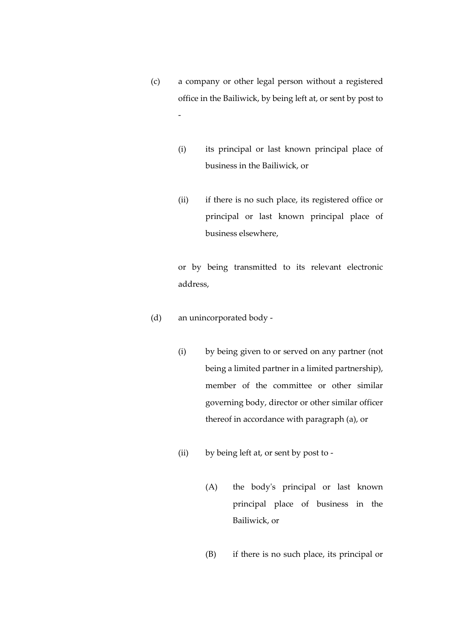- (c) a company or other legal person without a registered office in the Bailiwick, by being left at, or sent by post to -
	- (i) its principal or last known principal place of business in the Bailiwick, or
	- (ii) if there is no such place, its registered office or principal or last known principal place of business elsewhere,

or by being transmitted to its relevant electronic address,

- (d) an unincorporated body
	- (i) by being given to or served on any partner (not being a limited partner in a limited partnership), member of the committee or other similar governing body, director or other similar officer thereof in accordance with paragraph (a), or
	- (ii) by being left at, or sent by post to
		- (A) the body's principal or last known principal place of business in the Bailiwick, or
		- (B) if there is no such place, its principal or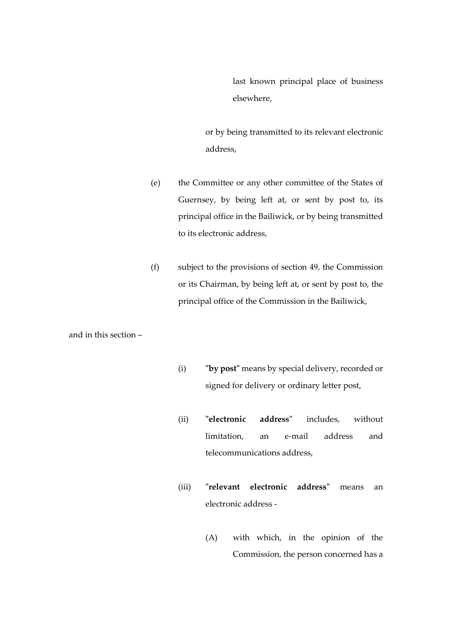last known principal place of business elsewhere,

or by being transmitted to its relevant electronic address,

- (e) the Committee or any other committee of the States of Guernsey, by being left at, or sent by post to, its principal office in the Bailiwick, or by being transmitted to its electronic address,
- (f) subject to the provisions of section 49, the Commission or its Chairman, by being left at, or sent by post to, the principal office of the Commission in the Bailiwick,

and in this section –

- (i) **"by post"** means by special delivery, recorded or signed for delivery or ordinary letter post,
- (ii) **"electronic address"** includes, without limitation, an e-mail address and telecommunications address,
- (iii) **"relevant electronic address"** means an electronic address -
	- (A) with which, in the opinion of the Commission, the person concerned has a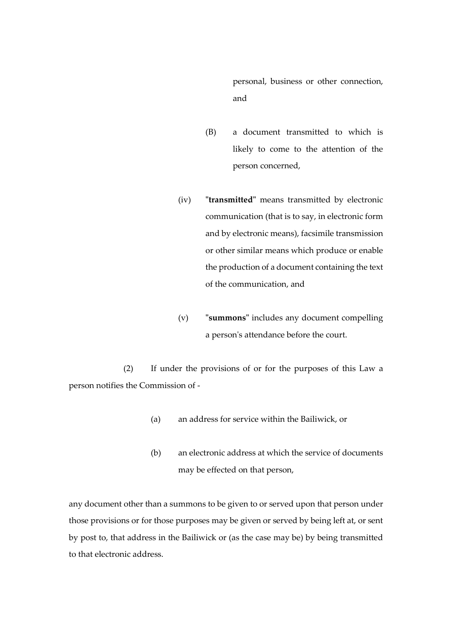personal, business or other connection, and

- (B) a document transmitted to which is likely to come to the attention of the person concerned,
- (iv) **"transmitted"** means transmitted by electronic communication (that is to say, in electronic form and by electronic means), facsimile transmission or other similar means which produce or enable the production of a document containing the text of the communication, and
- (v) **"summons"** includes any document compelling a person's attendance before the court.

(2) If under the provisions of or for the purposes of this Law a person notifies the Commission of -

- (a) an address for service within the Bailiwick, or
- (b) an electronic address at which the service of documents may be effected on that person,

any document other than a summons to be given to or served upon that person under those provisions or for those purposes may be given or served by being left at, or sent by post to, that address in the Bailiwick or (as the case may be) by being transmitted to that electronic address.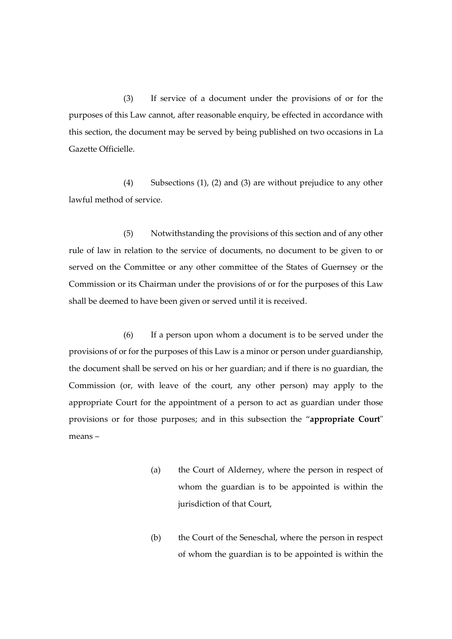(3) If service of a document under the provisions of or for the purposes of this Law cannot, after reasonable enquiry, be effected in accordance with this section, the document may be served by being published on two occasions in La Gazette Officielle.

(4) Subsections (1), (2) and (3) are without prejudice to any other lawful method of service.

(5) Notwithstanding the provisions of this section and of any other rule of law in relation to the service of documents, no document to be given to or served on the Committee or any other committee of the States of Guernsey or the Commission or its Chairman under the provisions of or for the purposes of this Law shall be deemed to have been given or served until it is received.

(6) If a person upon whom a document is to be served under the provisions of or for the purposes of this Law is a minor or person under guardianship, the document shall be served on his or her guardian; and if there is no guardian, the Commission (or, with leave of the court, any other person) may apply to the appropriate Court for the appointment of a person to act as guardian under those provisions or for those purposes; and in this subsection the "**appropriate Court**" means –

- (a) the Court of Alderney, where the person in respect of whom the guardian is to be appointed is within the jurisdiction of that Court,
- (b) the Court of the Seneschal, where the person in respect of whom the guardian is to be appointed is within the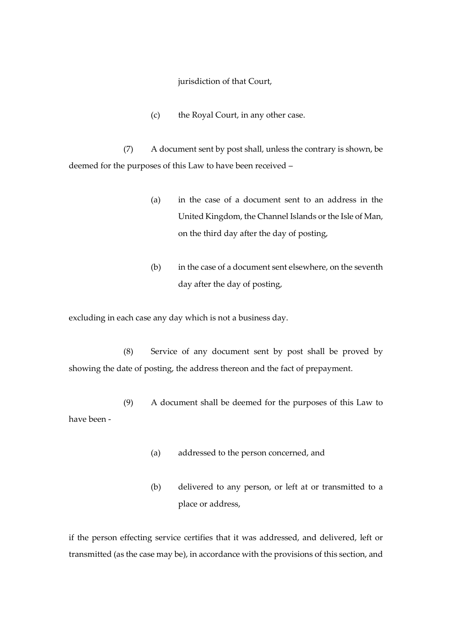jurisdiction of that Court,

(c) the Royal Court, in any other case.

(7) A document sent by post shall, unless the contrary is shown, be deemed for the purposes of this Law to have been received –

- (a) in the case of a document sent to an address in the United Kingdom, the Channel Islands or the Isle of Man, on the third day after the day of posting,
- (b) in the case of a document sent elsewhere, on the seventh day after the day of posting,

excluding in each case any day which is not a business day.

(8) Service of any document sent by post shall be proved by showing the date of posting, the address thereon and the fact of prepayment.

(9) A document shall be deemed for the purposes of this Law to have been -

- (a) addressed to the person concerned, and
- (b) delivered to any person, or left at or transmitted to a place or address,

if the person effecting service certifies that it was addressed, and delivered, left or transmitted (as the case may be), in accordance with the provisions of this section, and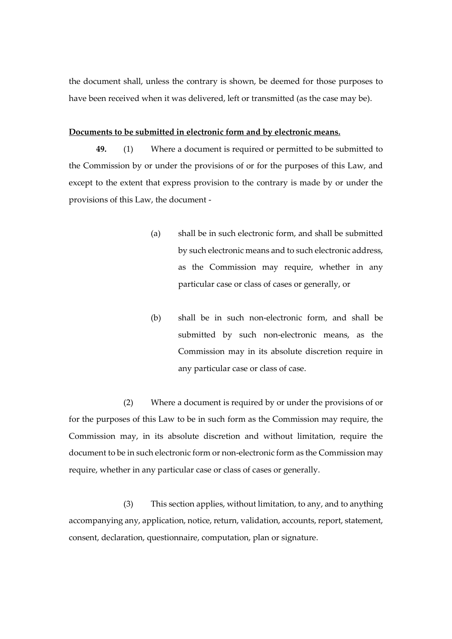the document shall, unless the contrary is shown, be deemed for those purposes to have been received when it was delivered, left or transmitted (as the case may be).

#### **Documents to be submitted in electronic form and by electronic means.**

**49.** (1) Where a document is required or permitted to be submitted to the Commission by or under the provisions of or for the purposes of this Law, and except to the extent that express provision to the contrary is made by or under the provisions of this Law, the document -

- (a) shall be in such electronic form, and shall be submitted by such electronic means and to such electronic address, as the Commission may require, whether in any particular case or class of cases or generally, or
- (b) shall be in such non-electronic form, and shall be submitted by such non-electronic means, as the Commission may in its absolute discretion require in any particular case or class of case.

(2) Where a document is required by or under the provisions of or for the purposes of this Law to be in such form as the Commission may require, the Commission may, in its absolute discretion and without limitation, require the document to be in such electronic form or non-electronic form as the Commission may require, whether in any particular case or class of cases or generally.

(3) This section applies, without limitation, to any, and to anything accompanying any, application, notice, return, validation, accounts, report, statement, consent, declaration, questionnaire, computation, plan or signature.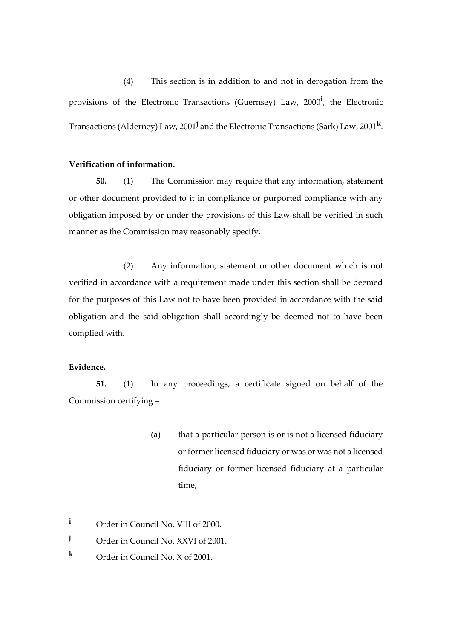(4) This section is in addition to and not in derogation from the provisions of the Electronic Transactions (Guernsey) Law, 2000**<sup>i</sup>** , the Electronic Transactions (Alderney) Law, 2001**<sup>j</sup>** and the Electronic Transactions (Sark) Law, 2001**<sup>k</sup>** .

# **Verification of information.**

**50.** (1) The Commission may require that any information, statement or other document provided to it in compliance or purported compliance with any obligation imposed by or under the provisions of this Law shall be verified in such manner as the Commission may reasonably specify.

(2) Any information, statement or other document which is not verified in accordance with a requirement made under this section shall be deemed for the purposes of this Law not to have been provided in accordance with the said obligation and the said obligation shall accordingly be deemed not to have been complied with.

# **Evidence.**

1

**51.** (1) In any proceedings, a certificate signed on behalf of the Commission certifying –

> (a) that a particular person is or is not a licensed fiduciary or former licensed fiduciary or was or was not a licensed fiduciary or former licensed fiduciary at a particular time,

**<sup>i</sup>** Order in Council No. VIII of 2000.

**j** Order in Council No. XXVI of 2001.

**<sup>k</sup>** Order in Council No. X of 2001.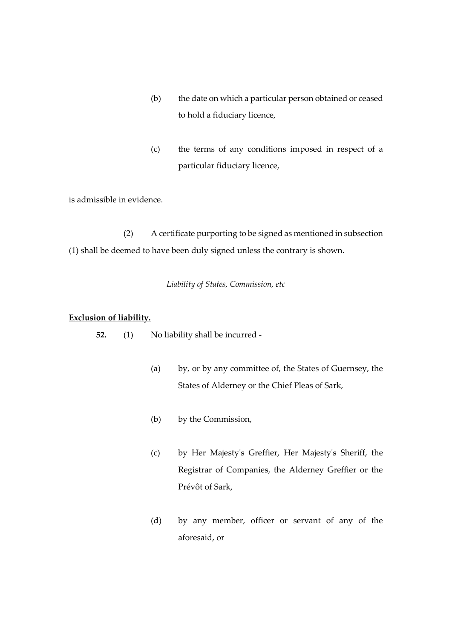- (b) the date on which a particular person obtained or ceased to hold a fiduciary licence,
- (c) the terms of any conditions imposed in respect of a particular fiduciary licence,

is admissible in evidence.

(2) A certificate purporting to be signed as mentioned in subsection (1) shall be deemed to have been duly signed unless the contrary is shown.

*Liability of States, Commission, etc*

#### **Exclusion of liability.**

**52.** (1) No liability shall be incurred -

- (a) by, or by any committee of, the States of Guernsey, the States of Alderney or the Chief Pleas of Sark,
- (b) by the Commission,
- (c) by Her Majesty's Greffier, Her Majesty's Sheriff, the Registrar of Companies, the Alderney Greffier or the Prévôt of Sark,
- (d) by any member, officer or servant of any of the aforesaid, or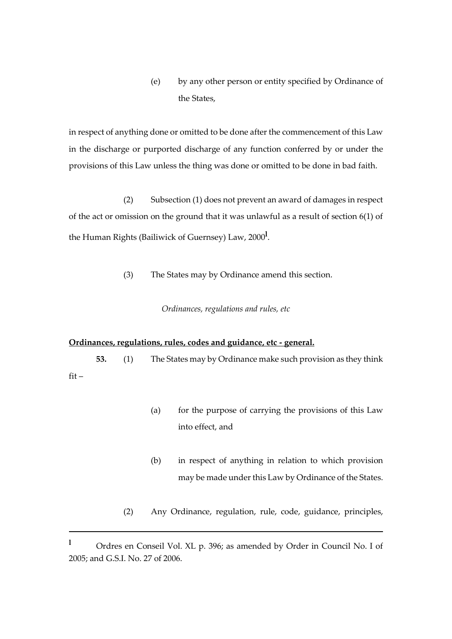(e) by any other person or entity specified by Ordinance of the States,

in respect of anything done or omitted to be done after the commencement of this Law in the discharge or purported discharge of any function conferred by or under the provisions of this Law unless the thing was done or omitted to be done in bad faith.

(2) Subsection (1) does not prevent an award of damages in respect of the act or omission on the ground that it was unlawful as a result of section 6(1) of the Human Rights (Bailiwick of Guernsey) Law, 2000**<sup>l</sup>** .

(3) The States may by Ordinance amend this section.

*Ordinances, regulations and rules, etc*

### **Ordinances, regulations, rules, codes and guidance, etc - general.**

1

**53.** (1) The States may by Ordinance make such provision as they think fit –

- (a) for the purpose of carrying the provisions of this Law into effect, and
- (b) in respect of anything in relation to which provision may be made under this Law by Ordinance of the States.
- (2) Any Ordinance, regulation, rule, code, guidance, principles,

**<sup>l</sup>** Ordres en Conseil Vol. XL p. 396; as amended by Order in Council No. I of 2005; and G.S.I. No. 27 of 2006.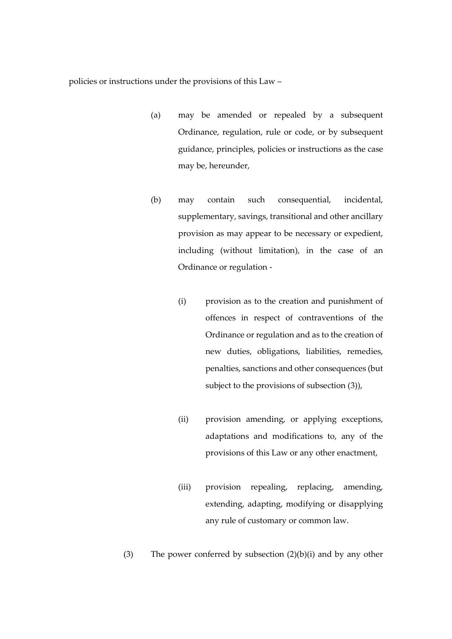policies or instructions under the provisions of this Law –

- (a) may be amended or repealed by a subsequent Ordinance, regulation, rule or code, or by subsequent guidance, principles, policies or instructions as the case may be, hereunder,
- (b) may contain such consequential, incidental, supplementary, savings, transitional and other ancillary provision as may appear to be necessary or expedient, including (without limitation), in the case of an Ordinance or regulation -
	- (i) provision as to the creation and punishment of offences in respect of contraventions of the Ordinance or regulation and as to the creation of new duties, obligations, liabilities, remedies, penalties, sanctions and other consequences (but subject to the provisions of subsection (3)),
	- (ii) provision amending, or applying exceptions, adaptations and modifications to, any of the provisions of this Law or any other enactment,
	- (iii) provision repealing, replacing, amending, extending, adapting, modifying or disapplying any rule of customary or common law.

(3) The power conferred by subsection  $(2)(b)(i)$  and by any other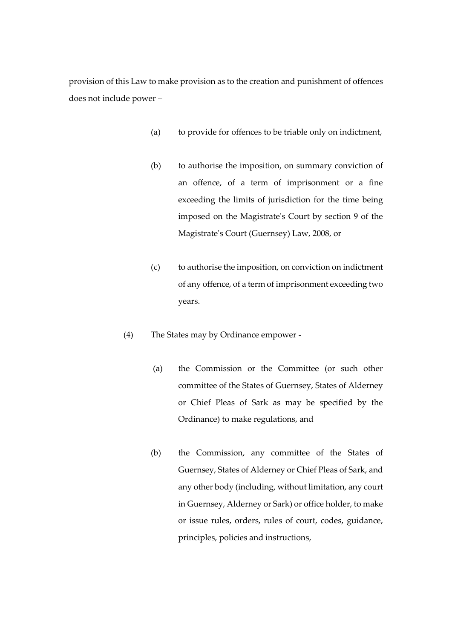provision of this Law to make provision as to the creation and punishment of offences does not include power –

- (a) to provide for offences to be triable only on indictment,
- (b) to authorise the imposition, on summary conviction of an offence, of a term of imprisonment or a fine exceeding the limits of jurisdiction for the time being imposed on the Magistrate's Court by section 9 of the Magistrate's Court (Guernsey) Law, 2008, or
- (c) to authorise the imposition, on conviction on indictment of any offence, of a term of imprisonment exceeding two years.
- (4) The States may by Ordinance empower
	- (a) the Commission or the Committee (or such other committee of the States of Guernsey, States of Alderney or Chief Pleas of Sark as may be specified by the Ordinance) to make regulations, and
	- (b) the Commission, any committee of the States of Guernsey, States of Alderney or Chief Pleas of Sark, and any other body (including, without limitation, any court in Guernsey, Alderney or Sark) or office holder, to make or issue rules, orders, rules of court, codes, guidance, principles, policies and instructions,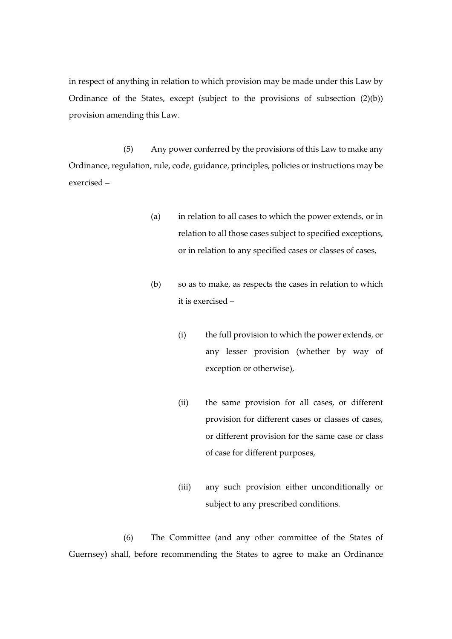in respect of anything in relation to which provision may be made under this Law by Ordinance of the States, except (subject to the provisions of subsection (2)(b)) provision amending this Law.

(5) Any power conferred by the provisions of this Law to make any Ordinance, regulation,rule, code, guidance, principles, policies or instructions may be exercised –

- (a) in relation to all cases to which the power extends, or in relation to all those cases subject to specified exceptions, or in relation to any specified cases or classes of cases,
- (b) so as to make, as respects the cases in relation to which it is exercised –
	- (i) the full provision to which the power extends, or any lesser provision (whether by way of exception or otherwise),
	- (ii) the same provision for all cases, or different provision for different cases or classes of cases, or different provision for the same case or class of case for different purposes,
	- (iii) any such provision either unconditionally or subject to any prescribed conditions.

(6) The Committee (and any other committee of the States of Guernsey) shall, before recommending the States to agree to make an Ordinance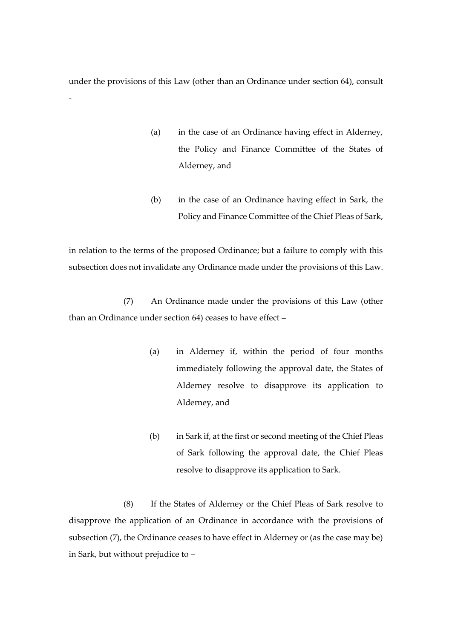under the provisions of this Law (other than an Ordinance under section 64), consult

-

- (a) in the case of an Ordinance having effect in Alderney, the Policy and Finance Committee of the States of Alderney, and
- (b) in the case of an Ordinance having effect in Sark, the Policy and Finance Committee of the Chief Pleas of Sark,

in relation to the terms of the proposed Ordinance; but a failure to comply with this subsection does not invalidate any Ordinance made under the provisions of this Law.

(7) An Ordinance made under the provisions of this Law (other than an Ordinance under section 64) ceases to have effect –

- (a) in Alderney if, within the period of four months immediately following the approval date, the States of Alderney resolve to disapprove its application to Alderney, and
- (b) in Sark if, at the first or second meeting of the Chief Pleas of Sark following the approval date, the Chief Pleas resolve to disapprove its application to Sark.

(8) If the States of Alderney or the Chief Pleas of Sark resolve to disapprove the application of an Ordinance in accordance with the provisions of subsection (7), the Ordinance ceases to have effect in Alderney or (as the case may be) in Sark, but without prejudice to –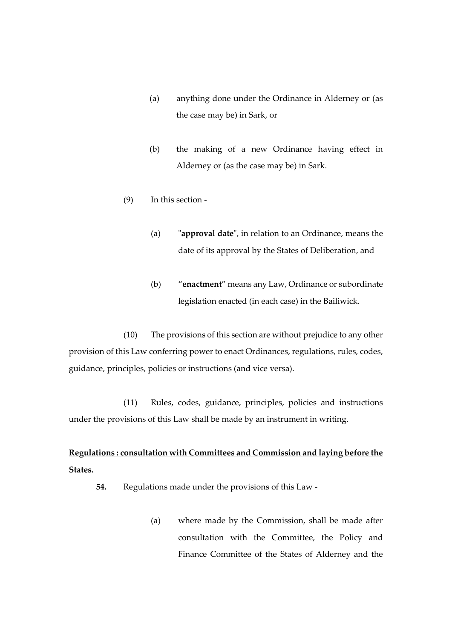- (a) anything done under the Ordinance in Alderney or (as the case may be) in Sark, or
- (b) the making of a new Ordinance having effect in Alderney or (as the case may be) in Sark.
- (9) In this section
	- (a) "**approval date**", in relation to an Ordinance, means the date of its approval by the States of Deliberation, and
	- (b) "**enactment**" means any Law, Ordinance or subordinate legislation enacted (in each case) in the Bailiwick.

(10) The provisions of this section are without prejudice to any other provision of this Law conferring power to enact Ordinances, regulations, rules, codes, guidance, principles, policies or instructions (and vice versa).

(11) Rules, codes, guidance, principles, policies and instructions under the provisions of this Law shall be made by an instrument in writing.

# **Regulations : consultation with Committees and Commission and laying before the States.**

- **54.** Regulations made under the provisions of this Law
	- (a) where made by the Commission, shall be made after consultation with the Committee, the Policy and Finance Committee of the States of Alderney and the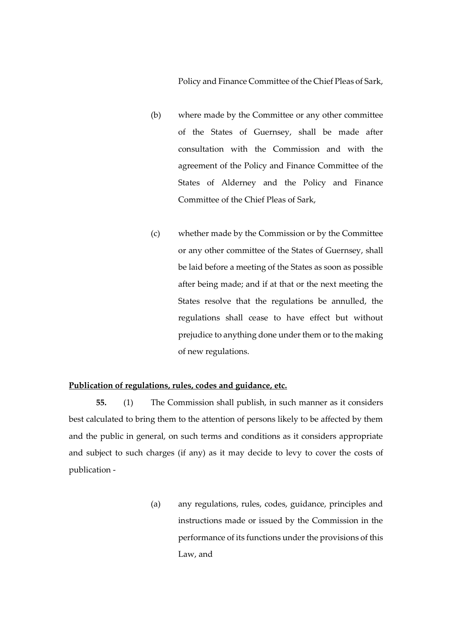Policy and Finance Committee of the Chief Pleas of Sark,

- (b) where made by the Committee or any other committee of the States of Guernsey, shall be made after consultation with the Commission and with the agreement of the Policy and Finance Committee of the States of Alderney and the Policy and Finance Committee of the Chief Pleas of Sark,
- (c) whether made by the Commission or by the Committee or any other committee of the States of Guernsey, shall be laid before a meeting of the States as soon as possible after being made; and if at that or the next meeting the States resolve that the regulations be annulled, the regulations shall cease to have effect but without prejudice to anything done under them or to the making of new regulations.

# **Publication of regulations, rules, codes and guidance, etc.**

**55.** (1) The Commission shall publish, in such manner as it considers best calculated to bring them to the attention of persons likely to be affected by them and the public in general, on such terms and conditions as it considers appropriate and subject to such charges (if any) as it may decide to levy to cover the costs of publication -

> (a) any regulations, rules, codes, guidance, principles and instructions made or issued by the Commission in the performance of its functions under the provisions of this Law, and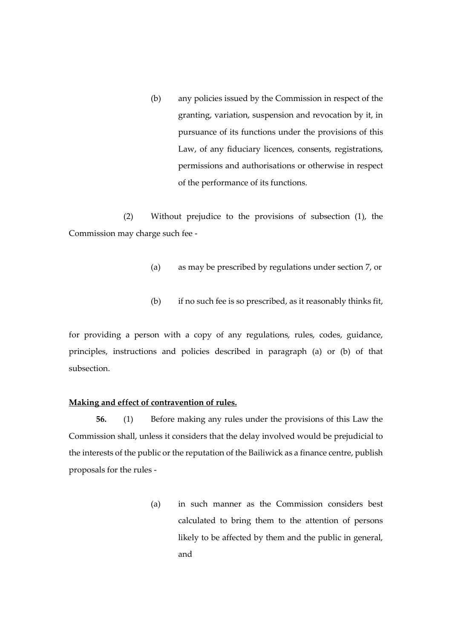(b) any policies issued by the Commission in respect of the granting, variation, suspension and revocation by it, in pursuance of its functions under the provisions of this Law, of any fiduciary licences, consents, registrations, permissions and authorisations or otherwise in respect of the performance of its functions.

(2) Without prejudice to the provisions of subsection (1), the Commission may charge such fee -

- (a) as may be prescribed by regulations under section 7, or
- (b) if no such fee is so prescribed, as it reasonably thinks fit,

for providing a person with a copy of any regulations, rules, codes, guidance, principles, instructions and policies described in paragraph (a) or (b) of that subsection.

# **Making and effect of contravention of rules.**

**56.** (1) Before making any rules under the provisions of this Law the Commission shall, unless it considers that the delay involved would be prejudicial to the interests of the public or the reputation of the Bailiwick as a finance centre, publish proposals for the rules -

> (a) in such manner as the Commission considers best calculated to bring them to the attention of persons likely to be affected by them and the public in general, and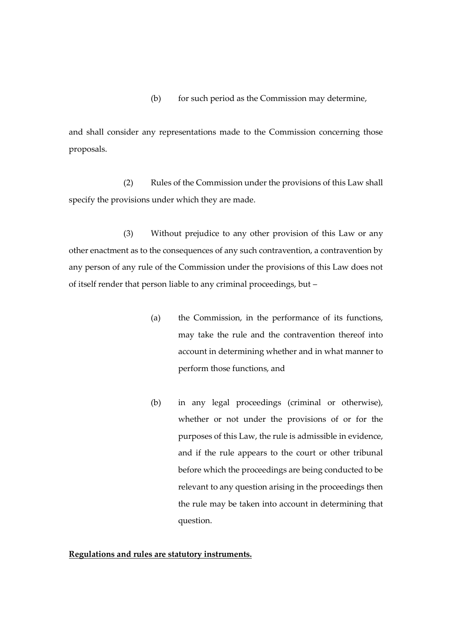# (b) for such period as the Commission may determine,

and shall consider any representations made to the Commission concerning those proposals.

(2) Rules of the Commission under the provisions of this Law shall specify the provisions under which they are made.

(3) Without prejudice to any other provision of this Law or any other enactment as to the consequences of any such contravention, a contravention by any person of any rule of the Commission under the provisions of this Law does not of itself render that person liable to any criminal proceedings, but –

- (a) the Commission, in the performance of its functions, may take the rule and the contravention thereof into account in determining whether and in what manner to perform those functions, and
- (b) in any legal proceedings (criminal or otherwise), whether or not under the provisions of or for the purposes of this Law, the rule is admissible in evidence, and if the rule appears to the court or other tribunal before which the proceedings are being conducted to be relevant to any question arising in the proceedings then the rule may be taken into account in determining that question.

# **Regulations and rules are statutory instruments.**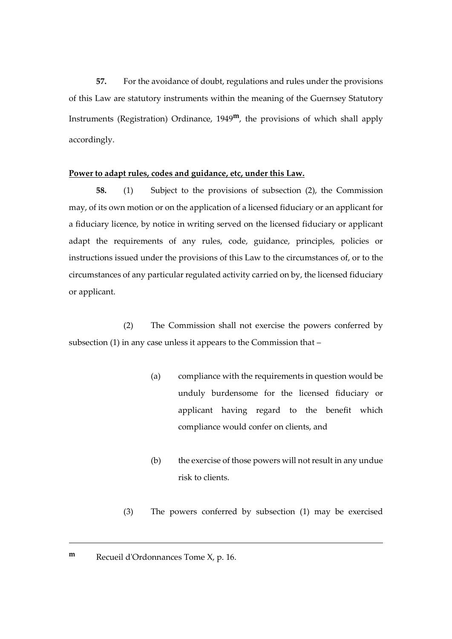**57.** For the avoidance of doubt, regulations and rules under the provisions of this Law are statutory instruments within the meaning of the Guernsey Statutory Instruments (Registration) Ordinance, 1949**m**, the provisions of which shall apply accordingly.

# **Power to adapt rules, codes and guidance, etc, under this Law.**

**58.** (1) Subject to the provisions of subsection (2), the Commission may, of its own motion or on the application of a licensed fiduciary or an applicant for a fiduciary licence, by notice in writing served on the licensed fiduciary or applicant adapt the requirements of any rules, code, guidance, principles, policies or instructions issued under the provisions of this Law to the circumstances of, or to the circumstances of any particular regulated activity carried on by, the licensed fiduciary or applicant.

(2) The Commission shall not exercise the powers conferred by subsection (1) in any case unless it appears to the Commission that –

- (a) compliance with the requirements in question would be unduly burdensome for the licensed fiduciary or applicant having regard to the benefit which compliance would confer on clients, and
- (b) the exercise of those powers will not result in any undue risk to clients.
- (3) The powers conferred by subsection (1) may be exercised

<u>.</u>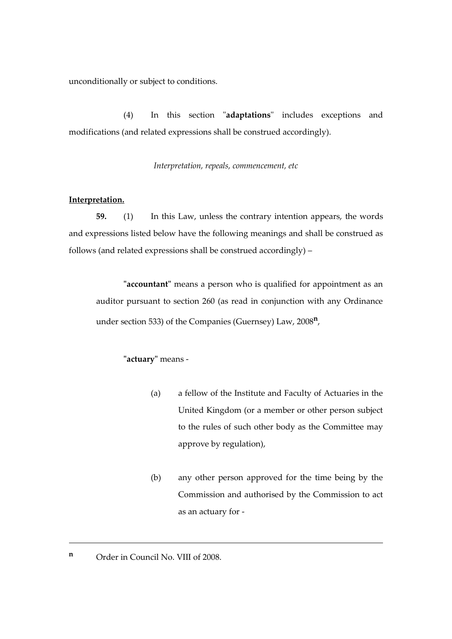unconditionally or subject to conditions.

(4) In this section "**adaptations**" includes exceptions and modifications (and related expressions shall be construed accordingly).

*Interpretation, repeals, commencement, etc*

# **Interpretation.**

**59.** (1) In this Law, unless the contrary intention appears, the words and expressions listed below have the following meanings and shall be construed as follows (and related expressions shall be construed accordingly) –

**"accountant"** means a person who is qualified for appointment as an auditor pursuant to section 260 (as read in conjunction with any Ordinance under section 533) of the Companies (Guernsey) Law, 2008**<sup>n</sup>** ,

# **"actuary"** means -

- (a) a fellow of the Institute and Faculty of Actuaries in the United Kingdom (or a member or other person subject to the rules of such other body as the Committee may approve by regulation),
- (b) any other person approved for the time being by the Commission and authorised by the Commission to act as an actuary for -
- **n** Order in Council No. VIII of 2008.

<u>.</u>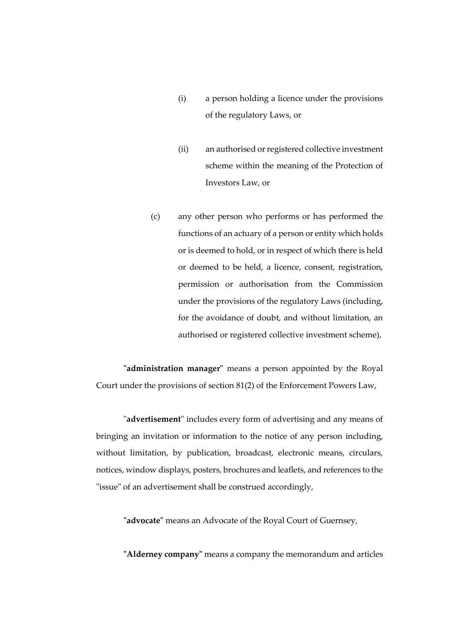- (i) a person holding a licence under the provisions of the regulatory Laws, or
- (ii) an authorised or registered collective investment scheme within the meaning of the Protection of Investors Law, or
- (c) any other person who performs or has performed the functions of an actuary of a person or entity which holds or is deemed to hold, or in respect of which there is held or deemed to be held, a licence, consent, registration, permission or authorisation from the Commission under the provisions of the regulatory Laws (including, for the avoidance of doubt, and without limitation, an authorised or registered collective investment scheme),

**"administration manager"** means a person appointed by the Royal Court under the provisions of section 81(2) of the Enforcement Powers Law,

"**advertisement**" includes every form of advertising and any means of bringing an invitation or information to the notice of any person including, without limitation, by publication, broadcast, electronic means, circulars, notices, window displays, posters, brochures and leaflets, and references to the "issue" of an advertisement shall be construed accordingly,

**"advocate"** means an Advocate of the Royal Court of Guernsey,

**"Alderney company"** means a company the memorandum and articles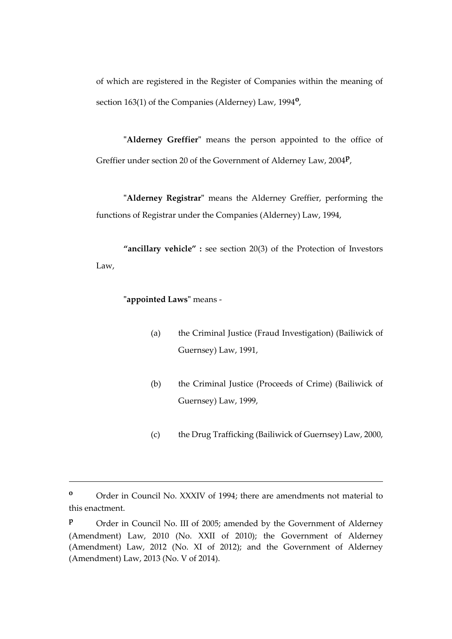of which are registered in the Register of Companies within the meaning of section 163(1) of the Companies (Alderney) Law, 1994**<sup>o</sup>** ,

**"Alderney Greffier"** means the person appointed to the office of Greffier under section 20 of the Government of Alderney Law, 2004**<sup>p</sup>** ,

**"Alderney Registrar"** means the Alderney Greffier, performing the functions of Registrar under the Companies (Alderney) Law, 1994,

**"ancillary vehicle" :** see section 20(3) of the Protection of Investors Law,

**"appointed Laws"** means -

<u>.</u>

- (a) the Criminal Justice (Fraud Investigation) (Bailiwick of Guernsey) Law, 1991,
- (b) the Criminal Justice (Proceeds of Crime) (Bailiwick of Guernsey) Law, 1999,
- (c) the Drug Trafficking (Bailiwick of Guernsey) Law, 2000,

**<sup>o</sup>** Order in Council No. XXXIV of 1994; there are amendments not material to this enactment.

**P** Order in Council No. III of 2005; amended by the Government of Alderney (Amendment) Law, 2010 (No. XXII of 2010); the Government of Alderney (Amendment) Law, 2012 (No. XI of 2012); and the Government of Alderney (Amendment) Law, 2013 (No. V of 2014).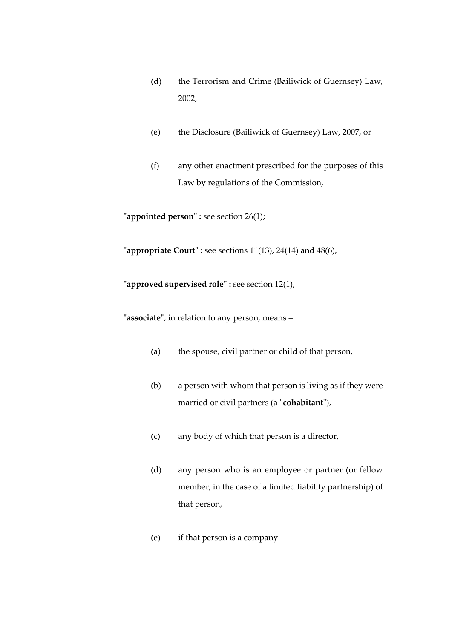- (d) the Terrorism and Crime (Bailiwick of Guernsey) Law, 2002,
- (e) the Disclosure (Bailiwick of Guernsey) Law, 2007, or
- (f) any other enactment prescribed for the purposes of this Law by regulations of the Commission,

**"appointed person" :** see section 26(1);

**"appropriate Court" :** see sections 11(13), 24(14) and 48(6),

**"approved supervised role" :** see section 12(1),

**"associate"**, in relation to any person, means –

- (a) the spouse, civil partner or child of that person,
- (b) a person with whom that person is living as if they were married or civil partners (a "**cohabitant**"),
- (c) any body of which that person is a director,
- (d) any person who is an employee or partner (or fellow member, in the case of a limited liability partnership) of that person,
- (e) if that person is a company –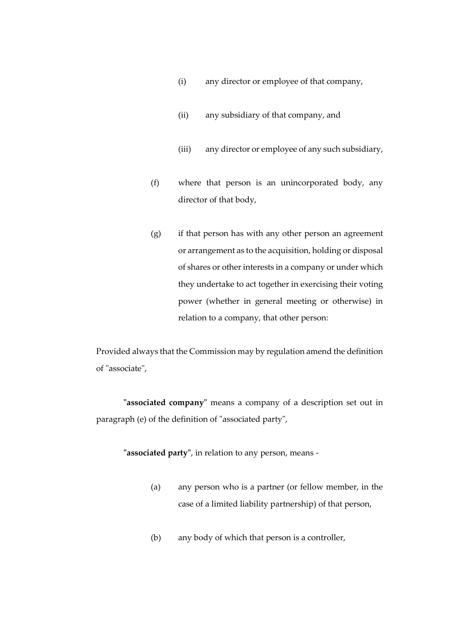- (i) any director or employee of that company,
- (ii) any subsidiary of that company, and
- (iii) any director or employee of any such subsidiary,
- (f) where that person is an unincorporated body, any director of that body,
- (g) if that person has with any other person an agreement or arrangement as to the acquisition, holding or disposal of shares or other interests in a company or under which they undertake to act together in exercising their voting power (whether in general meeting or otherwise) in relation to a company, that other person:

Provided always that the Commission may by regulation amend the definition of "associate",

**"associated company"** means a company of a description set out in paragraph (e) of the definition of "associated party",

**"associated party"**, in relation to any person, means -

- (a) any person who is a partner (or fellow member, in the case of a limited liability partnership) of that person,
- (b) any body of which that person is a controller,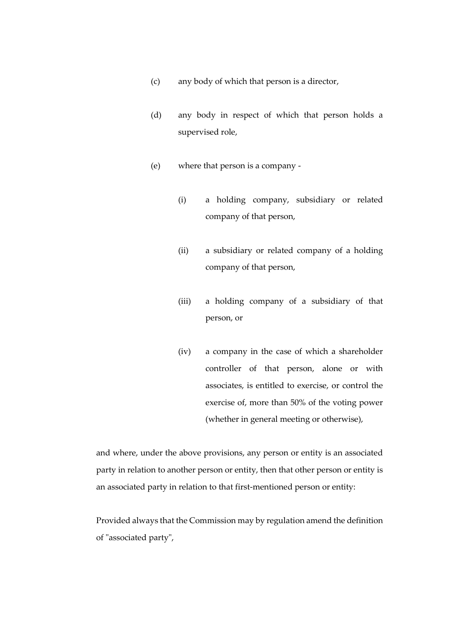- (c) any body of which that person is a director,
- (d) any body in respect of which that person holds a supervised role,
- (e) where that person is a company
	- (i) a holding company, subsidiary or related company of that person,
	- (ii) a subsidiary or related company of a holding company of that person,
	- (iii) a holding company of a subsidiary of that person, or
	- (iv) a company in the case of which a shareholder controller of that person, alone or with associates, is entitled to exercise, or control the exercise of, more than 50% of the voting power (whether in general meeting or otherwise),

and where, under the above provisions, any person or entity is an associated party in relation to another person or entity, then that other person or entity is an associated party in relation to that first-mentioned person or entity:

Provided always that the Commission may by regulation amend the definition of "associated party",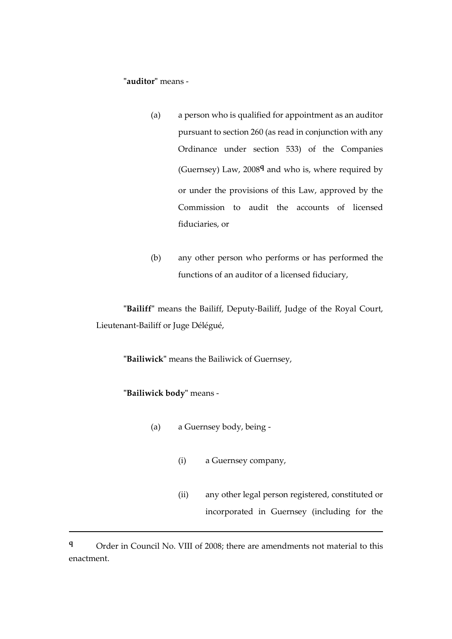# **"auditor"** means -

- (a) a person who is qualified for appointment as an auditor pursuant to section 260 (as read in conjunction with any Ordinance under section 533) of the Companies (Guernsey) Law, 2008**<sup>q</sup>** and who is, where required by or under the provisions of this Law, approved by the Commission to audit the accounts of licensed fiduciaries, or
- (b) any other person who performs or has performed the functions of an auditor of a licensed fiduciary,

**"Bailiff"** means the Bailiff, Deputy-Bailiff, Judge of the Royal Court, Lieutenant-Bailiff or Juge Délégué,

**"Bailiwick"** means the Bailiwick of Guernsey,

# **"Bailiwick body"** means -

1

- (a) a Guernsey body, being
	- (i) a Guernsey company,
	- (ii) any other legal person registered, constituted or incorporated in Guernsey (including for the

**<sup>q</sup>** Order in Council No. VIII of 2008; there are amendments not material to this enactment.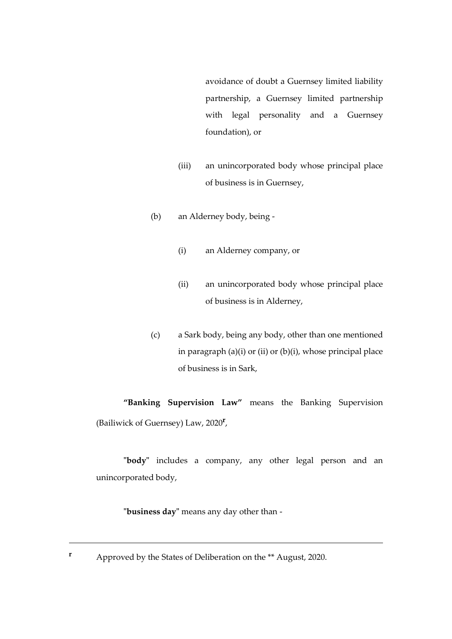avoidance of doubt a Guernsey limited liability partnership, a Guernsey limited partnership with legal personality and a Guernsey foundation), or

- (iii) an unincorporated body whose principal place of business is in Guernsey,
- (b) an Alderney body, being
	- (i) an Alderney company, or
	- (ii) an unincorporated body whose principal place of business is in Alderney,
- (c) a Sark body, being any body, other than one mentioned in paragraph  $(a)(i)$  or  $(ii)$  or  $(b)(i)$ , whose principal place of business is in Sark,

**"Banking Supervision Law"** means the Banking Supervision (Bailiwick of Guernsey) Law, 2020**<sup>r</sup>** ,

**"body"** includes a company, any other legal person and an unincorporated body,

**"business day"** means any day other than -

**r** Approved by the States of Deliberation on the \*\* August, 2020.

<u>.</u>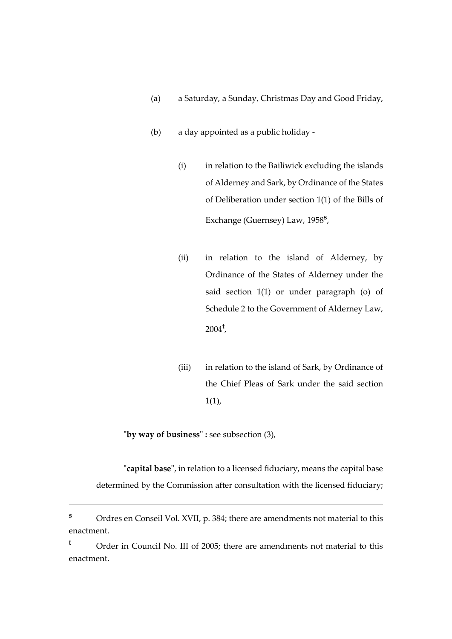- (a) a Saturday, a Sunday, Christmas Day and Good Friday,
- (b) a day appointed as a public holiday
	- (i) in relation to the Bailiwick excluding the islands of Alderney and Sark, by Ordinance of the States of Deliberation under section 1(1) of the Bills of Exchange (Guernsey) Law, 1958**<sup>s</sup>** ,
	- (ii) in relation to the island of Alderney, by Ordinance of the States of Alderney under the said section 1(1) or under paragraph (o) of Schedule 2 to the Government of Alderney Law, 2004**<sup>t</sup>** ,
	- (iii) in relation to the island of Sark, by Ordinance of the Chief Pleas of Sark under the said section  $1(1)$ ,

**"by way of business" :** see subsection (3),

1

**"capital base"**, in relation to a licensed fiduciary, means the capital base determined by the Commission after consultation with the licensed fiduciary;

**<sup>s</sup>** Ordres en Conseil Vol. XVII, p. 384; there are amendments not material to this enactment.

**<sup>t</sup>** Order in Council No. III of 2005; there are amendments not material to this enactment.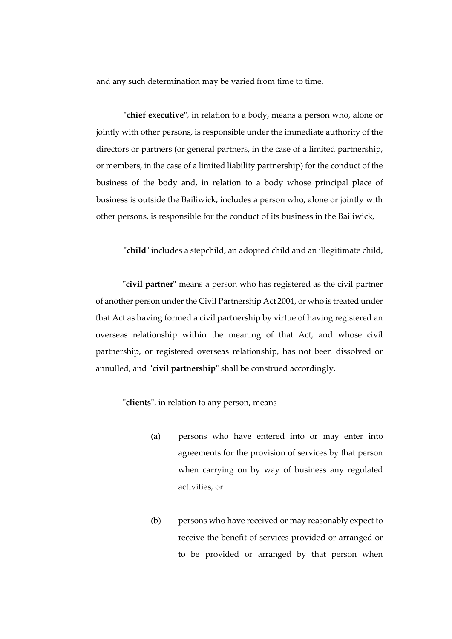and any such determination may be varied from time to time,

**"chief executive"**, in relation to a body, means a person who, alone or jointly with other persons, is responsible under the immediate authority of the directors or partners (or general partners, in the case of a limited partnership, or members, in the case of a limited liability partnership) for the conduct of the business of the body and, in relation to a body whose principal place of business is outside the Bailiwick, includes a person who, alone or jointly with other persons, is responsible for the conduct of its business in the Bailiwick,

**"child**" includes a stepchild, an adopted child and an illegitimate child,

**"civil partner"** means a person who has registered as the civil partner of another person under the Civil Partnership Act 2004, or who is treated under that Act as having formed a civil partnership by virtue of having registered an overseas relationship within the meaning of that Act, and whose civil partnership, or registered overseas relationship, has not been dissolved or annulled, and **"civil partnership"** shall be construed accordingly,

**"clients"**, in relation to any person, means –

- (a) persons who have entered into or may enter into agreements for the provision of services by that person when carrying on by way of business any regulated activities, or
- (b) persons who have received or may reasonably expect to receive the benefit of services provided or arranged or to be provided or arranged by that person when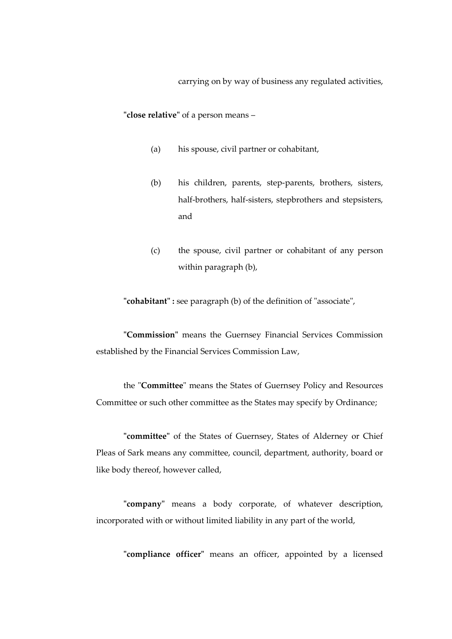carrying on by way of business any regulated activities,

**"close relative"** of a person means –

- (a) his spouse, civil partner or cohabitant,
- (b) his children, parents, step-parents, brothers, sisters, half-brothers, half-sisters, stepbrothers and stepsisters, and
- (c) the spouse, civil partner or cohabitant of any person within paragraph (b),

**"cohabitant" :** see paragraph (b) of the definition of "associate",

**"Commission"** means the Guernsey Financial Services Commission established by the Financial Services Commission Law,

the "**Committee**" means the States of Guernsey Policy and Resources Committee or such other committee as the States may specify by Ordinance;

**"committee"** of the States of Guernsey, States of Alderney or Chief Pleas of Sark means any committee, council, department, authority, board or like body thereof, however called,

**"company"** means a body corporate, of whatever description, incorporated with or without limited liability in any part of the world,

**"compliance officer"** means an officer, appointed by a licensed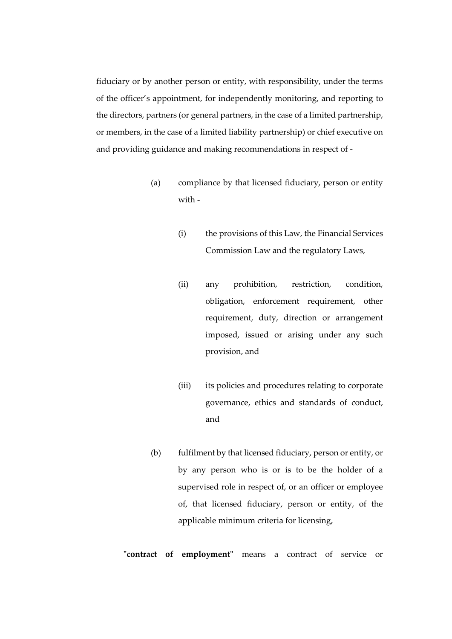fiduciary or by another person or entity, with responsibility, under the terms of the officer's appointment, for independently monitoring, and reporting to the directors, partners (or general partners, in the case of a limited partnership, or members, in the case of a limited liability partnership) or chief executive on and providing guidance and making recommendations in respect of -

- (a) compliance by that licensed fiduciary, person or entity with -
	- (i) the provisions of this Law, the Financial Services Commission Law and the regulatory Laws,
	- (ii) any prohibition, restriction, condition, obligation, enforcement requirement, other requirement, duty, direction or arrangement imposed, issued or arising under any such provision, and
	- (iii) its policies and procedures relating to corporate governance, ethics and standards of conduct, and
- (b) fulfilment by that licensed fiduciary, person or entity, or by any person who is or is to be the holder of a supervised role in respect of, or an officer or employee of, that licensed fiduciary, person or entity, of the applicable minimum criteria for licensing,

**"contract of employment"** means a contract of service or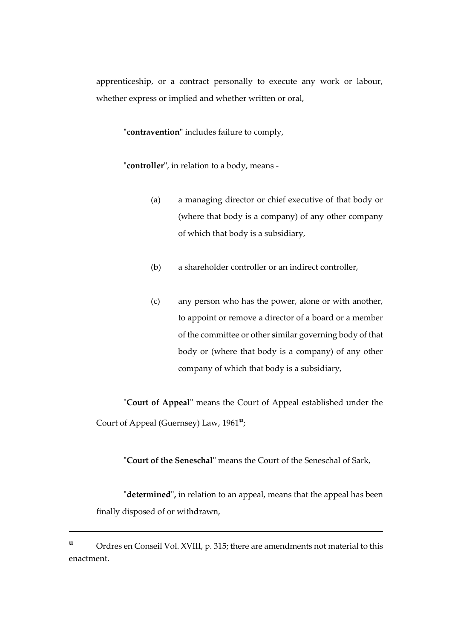apprenticeship, or a contract personally to execute any work or labour, whether express or implied and whether written or oral,

**"contravention"** includes failure to comply,

**"controller"**, in relation to a body, means -

- (a) a managing director or chief executive of that body or (where that body is a company) of any other company of which that body is a subsidiary,
- (b) a shareholder controller or an indirect controller,
- (c) any person who has the power, alone or with another, to appoint or remove a director of a board or a member of the committee or other similar governing body of that body or (where that body is a company) of any other company of which that body is a subsidiary,

"**Court of Appeal**" means the Court of Appeal established under the Court of Appeal (Guernsey) Law, 1961**<sup>u</sup>** ;

**"Court of the Seneschal"** means the Court of the Seneschal of Sark,

**"determined",** in relation to an appeal, means that the appeal has been finally disposed of or withdrawn,

1

**<sup>u</sup>** Ordres en Conseil Vol. XVIII, p. 315; there are amendments not material to this enactment.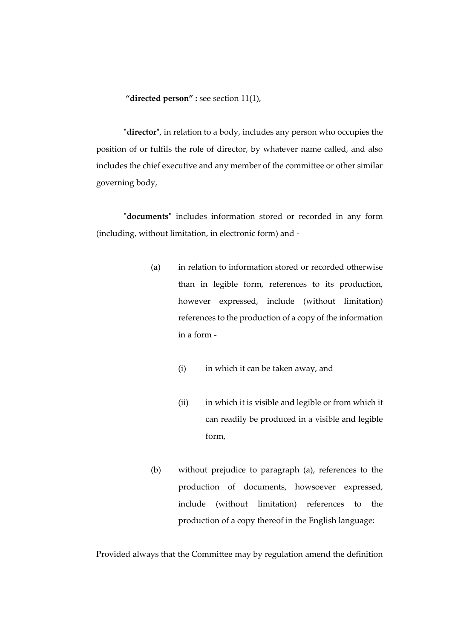**"directed person" :** see section 11(1),

**"director"**, in relation to a body, includes any person who occupies the position of or fulfils the role of director, by whatever name called, and also includes the chief executive and any member of the committee or other similar governing body,

**"documents"** includes information stored or recorded in any form (including, without limitation, in electronic form) and -

- (a) in relation to information stored or recorded otherwise than in legible form, references to its production, however expressed, include (without limitation) references to the production of a copy of the information in a form -
	- (i) in which it can be taken away, and
	- (ii) in which it is visible and legible or from which it can readily be produced in a visible and legible form,
- (b) without prejudice to paragraph (a), references to the production of documents, howsoever expressed, include (without limitation) references to the production of a copy thereof in the English language:

Provided always that the Committee may by regulation amend the definition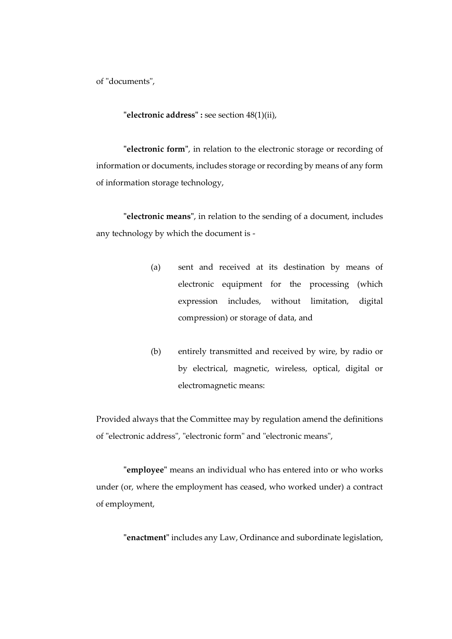of "documents",

**"electronic address" :** see section 48(1)(ii),

**"electronic form"**, in relation to the electronic storage or recording of information or documents, includes storage or recording by means of any form of information storage technology,

**"electronic means"**, in relation to the sending of a document, includes any technology by which the document is -

- (a) sent and received at its destination by means of electronic equipment for the processing (which expression includes, without limitation, digital compression) or storage of data, and
- (b) entirely transmitted and received by wire, by radio or by electrical, magnetic, wireless, optical, digital or electromagnetic means:

Provided always that the Committee may by regulation amend the definitions of "electronic address", "electronic form" and "electronic means",

**"employee"** means an individual who has entered into or who works under (or, where the employment has ceased, who worked under) a contract of employment,

**"enactment"** includes any Law, Ordinance and subordinate legislation,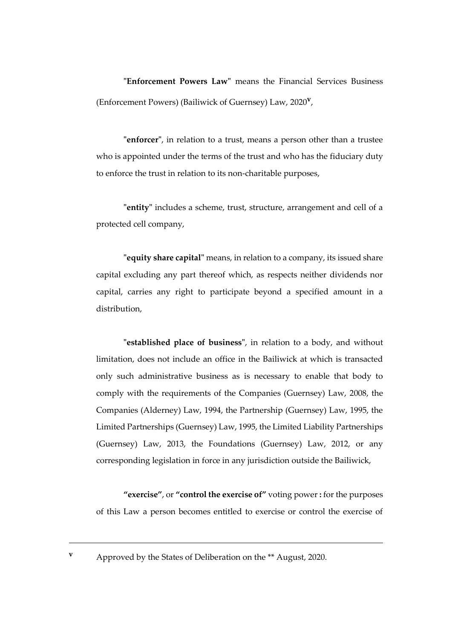**"Enforcement Powers Law"** means the Financial Services Business (Enforcement Powers) (Bailiwick of Guernsey) Law, 2020**<sup>v</sup>** ,

**"enforcer"**, in relation to a trust, means a person other than a trustee who is appointed under the terms of the trust and who has the fiduciary duty to enforce the trust in relation to its non-charitable purposes,

**"entity"** includes a scheme, trust, structure, arrangement and cell of a protected cell company,

**"equity share capital"** means, in relation to a company, its issued share capital excluding any part thereof which, as respects neither dividends nor capital, carries any right to participate beyond a specified amount in a distribution,

**"established place of business"**, in relation to a body, and without limitation, does not include an office in the Bailiwick at which is transacted only such administrative business as is necessary to enable that body to comply with the requirements of the Companies (Guernsey) Law, 2008, the Companies (Alderney) Law, 1994, the Partnership (Guernsey) Law, 1995, the Limited Partnerships (Guernsey) Law, 1995, the Limited Liability Partnerships (Guernsey) Law, 2013, the Foundations (Guernsey) Law, 2012, or any corresponding legislation in force in any jurisdiction outside the Bailiwick,

**"exercise"**, or **"control the exercise of"** voting power **:** for the purposes of this Law a person becomes entitled to exercise or control the exercise of

**v** Approved by the States of Deliberation on the \*\* August, 2020.

<u>.</u>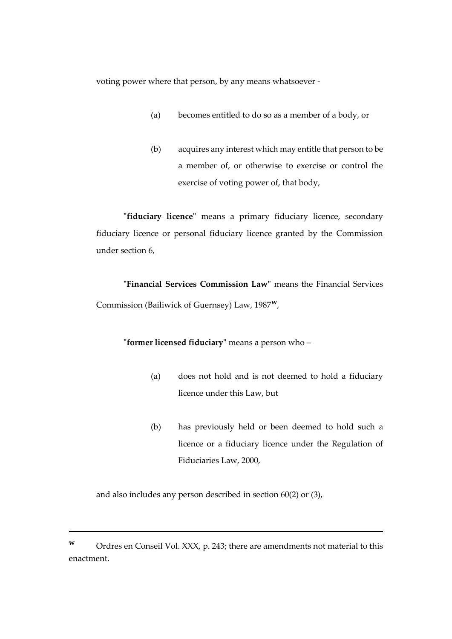voting power where that person, by any means whatsoever -

- (a) becomes entitled to do so as a member of a body, or
- (b) acquires any interest which may entitle that person to be a member of, or otherwise to exercise or control the exercise of voting power of, that body,

**"fiduciary licence"** means a primary fiduciary licence, secondary fiduciary licence or personal fiduciary licence granted by the Commission under section 6,

**"Financial Services Commission Law"** means the Financial Services Commission (Bailiwick of Guernsey) Law, 1987**w**,

## **"former licensed fiduciary"** means a person who –

- (a) does not hold and is not deemed to hold a fiduciary licence under this Law, but
- (b) has previously held or been deemed to hold such a licence or a fiduciary licence under the Regulation of Fiduciaries Law, 2000,

and also includes any person described in section 60(2) or (3),

**<sup>w</sup>** Ordres en Conseil Vol. XXX, p. 243; there are amendments not material to this enactment.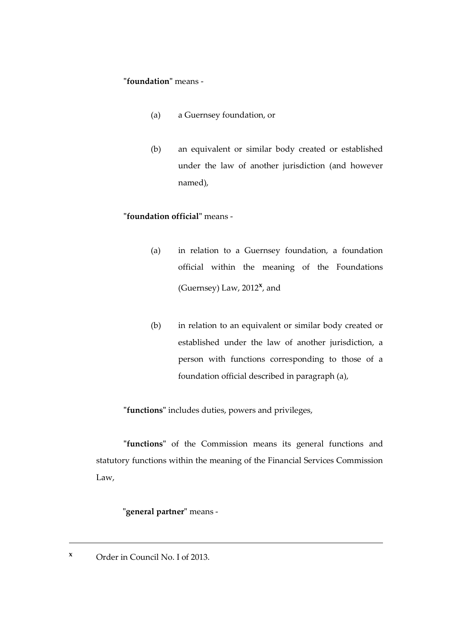### **"foundation"** means -

- (a) a Guernsey foundation, or
- (b) an equivalent or similar body created or established under the law of another jurisdiction (and however named),

## **"foundation official"** means -

- (a) in relation to a Guernsey foundation, a foundation official within the meaning of the Foundations (Guernsey) Law, 2012**<sup>x</sup>** , and
- (b) in relation to an equivalent or similar body created or established under the law of another jurisdiction, a person with functions corresponding to those of a foundation official described in paragraph (a),

**"functions"** includes duties, powers and privileges,

**"functions"** of the Commission means its general functions and statutory functions within the meaning of the Financial Services Commission Law,

# **"general partner"** means -

**<sup>x</sup>** Order in Council No. I of 2013.

<u>.</u>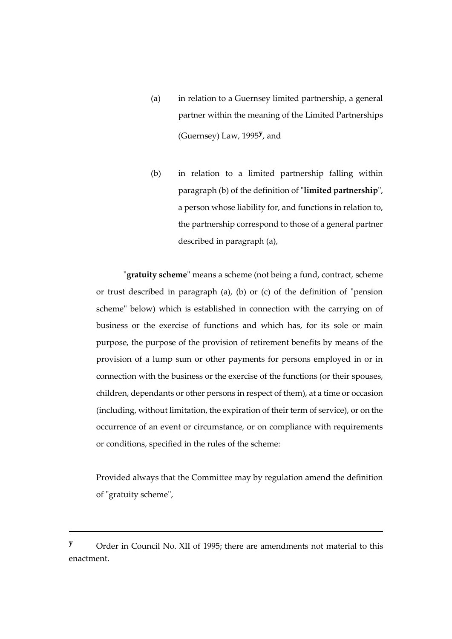- (a) in relation to a Guernsey limited partnership, a general partner within the meaning of the Limited Partnerships (Guernsey) Law, 1995**<sup>y</sup>** , and
- (b) in relation to a limited partnership falling within paragraph (b) of the definition of "**limited partnership**", a person whose liability for, and functions in relation to, the partnership correspond to those of a general partner described in paragraph (a),

"**gratuity scheme**" means a scheme (not being a fund, contract, scheme or trust described in paragraph (a), (b) or (c) of the definition of "pension scheme" below) which is established in connection with the carrying on of business or the exercise of functions and which has, for its sole or main purpose, the purpose of the provision of retirement benefits by means of the provision of a lump sum or other payments for persons employed in or in connection with the business or the exercise of the functions (or their spouses, children, dependants or other persons in respect of them), at a time or occasion (including, without limitation, the expiration of their term of service), or on the occurrence of an event or circumstance, or on compliance with requirements or conditions, specified in the rules of the scheme:

Provided always that the Committee may by regulation amend the definition of "gratuity scheme",

**<sup>y</sup>** Order in Council No. XII of 1995; there are amendments not material to this enactment.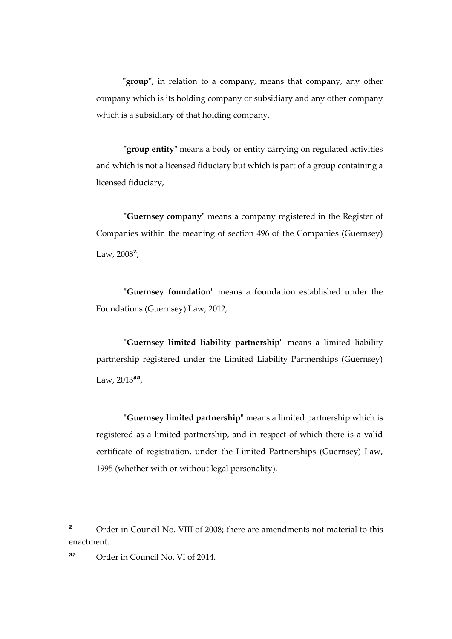**"group"**, in relation to a company, means that company, any other company which is its holding company or subsidiary and any other company which is a subsidiary of that holding company,

**"group entity"** means a body or entity carrying on regulated activities and which is not a licensed fiduciary but which is part of a group containing a licensed fiduciary,

**"Guernsey company"** means a company registered in the Register of Companies within the meaning of section 496 of the Companies (Guernsey) Law, 2008**<sup>z</sup>** ,

**"Guernsey foundation"** means a foundation established under the Foundations (Guernsey) Law, 2012,

**"Guernsey limited liability partnership"** means a limited liability partnership registered under the Limited Liability Partnerships (Guernsey) Law, 2013**aa** ,

**"Guernsey limited partnership"** means a limited partnership which is registered as a limited partnership, and in respect of which there is a valid certificate of registration, under the Limited Partnerships (Guernsey) Law, 1995 (whether with or without legal personality),

<sup>&</sup>lt;sup>z</sup> Order in Council No. VIII of 2008; there are amendments not material to this enactment.

**aa** Order in Council No. VI of 2014.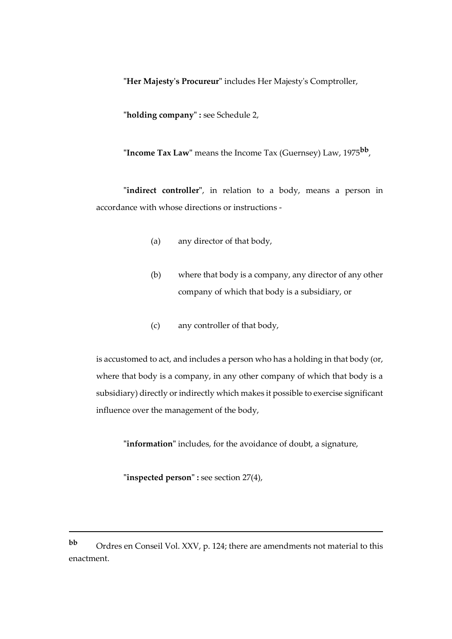**"Her Majesty's Procureur"** includes Her Majesty's Comptroller,

**"holding company" :** see Schedule 2,

**"Income Tax Law"** means the Income Tax (Guernsey) Law, 1975**bb** ,

**"indirect controller"**, in relation to a body, means a person in accordance with whose directions or instructions -

- (a) any director of that body,
- (b) where that body is a company, any director of any other company of which that body is a subsidiary, or
- (c) any controller of that body,

is accustomed to act, and includes a person who has a holding in that body (or, where that body is a company, in any other company of which that body is a subsidiary) directly or indirectly which makes it possible to exercise significant influence over the management of the body,

**"information"** includes, for the avoidance of doubt, a signature,

**"inspected person" :** see section 27(4),

**bb** Ordres en Conseil Vol. XXV, p. 124; there are amendments not material to this enactment.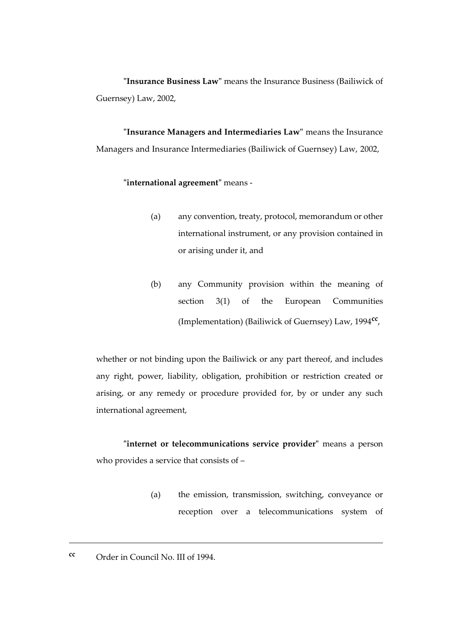**"Insurance Business Law"** means the Insurance Business (Bailiwick of Guernsey) Law, 2002,

**"Insurance Managers and Intermediaries Law"** means the Insurance Managers and Insurance Intermediaries (Bailiwick of Guernsey) Law, 2002,

### **"international agreement"** means -

- (a) any convention, treaty, protocol, memorandum or other international instrument, or any provision contained in or arising under it, and
- (b) any Community provision within the meaning of section 3(1) of the European Communities (Implementation) (Bailiwick of Guernsey) Law, 1994**cc** ,

whether or not binding upon the Bailiwick or any part thereof, and includes any right, power, liability, obligation, prohibition or restriction created or arising, or any remedy or procedure provided for, by or under any such international agreement,

**"internet or telecommunications service provider"** means a person who provides a service that consists of –

- (a) the emission, transmission, switching, conveyance or reception over a telecommunications system of
- **cc** Order in Council No. III of 1994.

<u>.</u>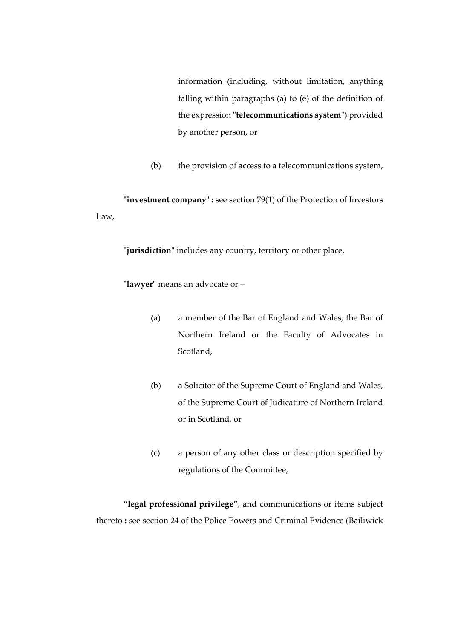information (including, without limitation, anything falling within paragraphs (a) to (e) of the definition of the expression **"telecommunications system"**) provided by another person, or

(b) the provision of access to a telecommunications system,

**"investment company" :** see section 79(1) of the Protection of Investors Law,

**"jurisdiction"** includes any country, territory or other place,

**"lawyer"** means an advocate or –

- (a) a member of the Bar of England and Wales, the Bar of Northern Ireland or the Faculty of Advocates in Scotland,
- (b) a Solicitor of the Supreme Court of England and Wales, of the Supreme Court of Judicature of Northern Ireland or in Scotland, or
- (c) a person of any other class or description specified by regulations of the Committee,

**"legal professional privilege"**, and communications or items subject thereto **:** see section 24 of the Police Powers and Criminal Evidence (Bailiwick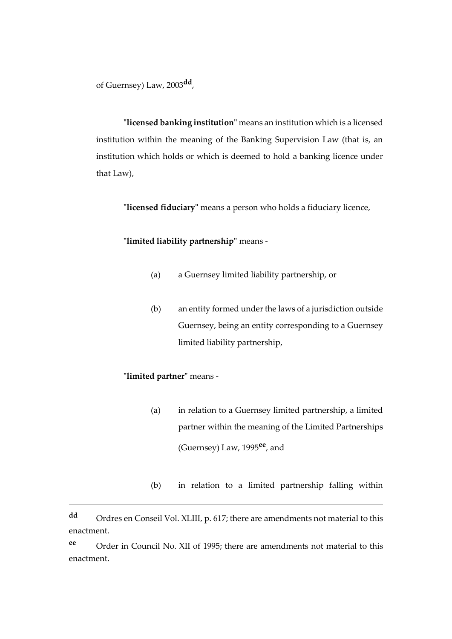of Guernsey) Law, 2003**dd** ,

**"licensed banking institution"** means an institution which is a licensed institution within the meaning of the Banking Supervision Law (that is, an institution which holds or which is deemed to hold a banking licence under that Law),

**"licensed fiduciary"** means a person who holds a fiduciary licence,

**"limited liability partnership"** means -

- (a) a Guernsey limited liability partnership, or
- (b) an entity formed under the laws of a jurisdiction outside Guernsey, being an entity corresponding to a Guernsey limited liability partnership,

# **"limited partner"** means -

1

- (a) in relation to a Guernsey limited partnership, a limited partner within the meaning of the Limited Partnerships (Guernsey) Law, 1995**ee**, and
- (b) in relation to a limited partnership falling within

**ee** Order in Council No. XII of 1995; there are amendments not material to this enactment.

**dd** Ordres en Conseil Vol. XLIII, p. 617; there are amendments not material to this enactment.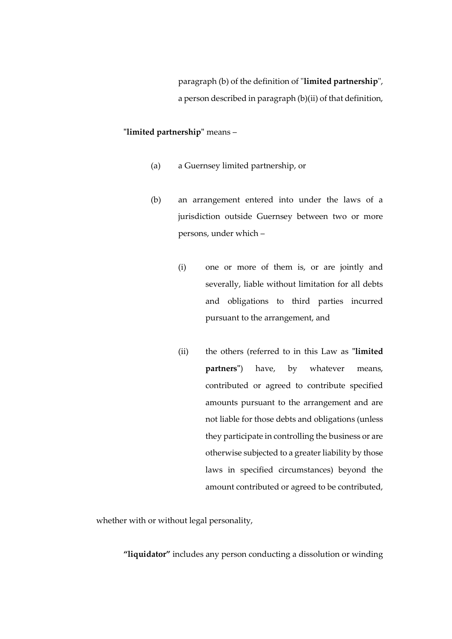paragraph (b) of the definition of "**limited partnership**", a person described in paragraph (b)(ii) of that definition,

## **"limited partnership"** means –

- (a) a Guernsey limited partnership, or
- (b) an arrangement entered into under the laws of a jurisdiction outside Guernsey between two or more persons, under which –
	- (i) one or more of them is, or are jointly and severally, liable without limitation for all debts and obligations to third parties incurred pursuant to the arrangement, and
	- (ii) the others (referred to in this Law as **"limited partners"**) have, by whatever means, contributed or agreed to contribute specified amounts pursuant to the arrangement and are not liable for those debts and obligations (unless they participate in controlling the business or are otherwise subjected to a greater liability by those laws in specified circumstances) beyond the amount contributed or agreed to be contributed,

whether with or without legal personality,

**"liquidator"** includes any person conducting a dissolution or winding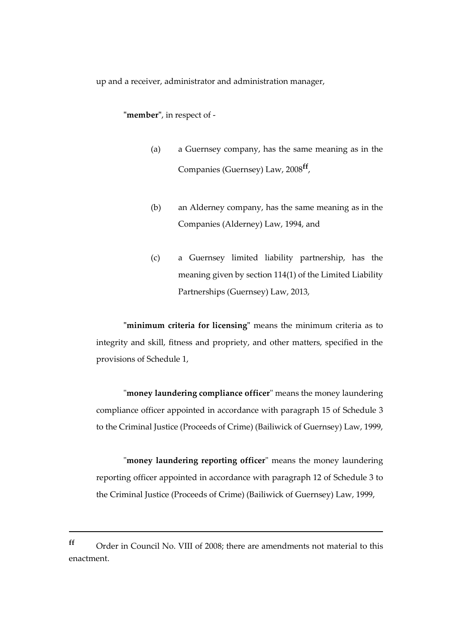up and a receiver, administrator and administration manager,

**"member"**, in respect of -

- (a) a Guernsey company, has the same meaning as in the Companies (Guernsey) Law, 2008**ff** ,
- (b) an Alderney company, has the same meaning as in the Companies (Alderney) Law, 1994, and
- (c) a Guernsey limited liability partnership, has the meaning given by section 114(1) of the Limited Liability Partnerships (Guernsey) Law, 2013,

**"minimum criteria for licensing"** means the minimum criteria as to integrity and skill, fitness and propriety, and other matters, specified in the provisions of Schedule 1,

"**money laundering compliance officer**" means the money laundering compliance officer appointed in accordance with paragraph 15 of Schedule 3 to the Criminal Justice (Proceeds of Crime) (Bailiwick of Guernsey) Law, 1999,

"**money laundering reporting officer**" means the money laundering reporting officer appointed in accordance with paragraph 12 of Schedule 3 to the Criminal Justice (Proceeds of Crime) (Bailiwick of Guernsey) Law, 1999,

**ff** Order in Council No. VIII of 2008; there are amendments not material to this enactment.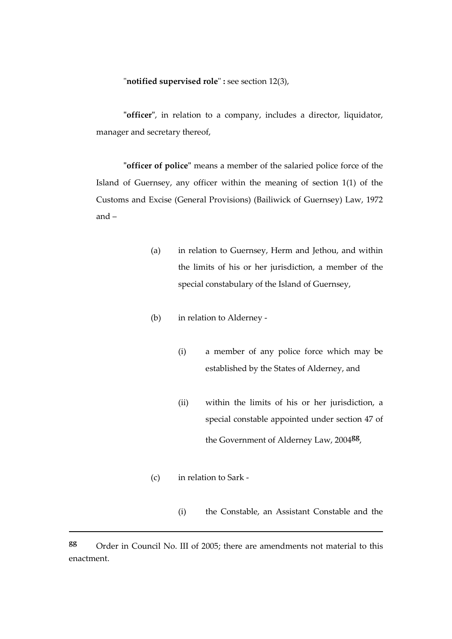#### "**notified supervised role**" **:** see section 12(3),

**"officer"**, in relation to a company, includes a director, liquidator, manager and secretary thereof,

**"officer of police"** means a member of the salaried police force of the Island of Guernsey, any officer within the meaning of section 1(1) of the Customs and Excise (General Provisions) (Bailiwick of Guernsey) Law, 1972 and –

- (a) in relation to Guernsey, Herm and Jethou, and within the limits of his or her jurisdiction, a member of the special constabulary of the Island of Guernsey,
- (b) in relation to Alderney
	- (i) a member of any police force which may be established by the States of Alderney, and
	- (ii) within the limits of his or her jurisdiction, a special constable appointed under section 47 of the Government of Alderney Law, 2004**gg** ,
- (c) in relation to Sark -

1

(i) the Constable, an Assistant Constable and the

**gg** Order in Council No. III of 2005; there are amendments not material to this enactment.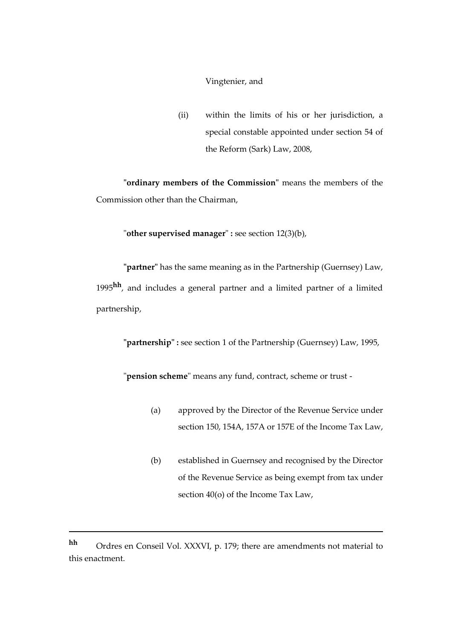#### Vingtenier, and

(ii) within the limits of his or her jurisdiction, a special constable appointed under section 54 of the Reform (Sark) Law, 2008,

**"ordinary members of the Commission"** means the members of the Commission other than the Chairman,

"**other supervised manager**" **:** see section 12(3)(b),

**"partner"** has the same meaning as in the Partnership (Guernsey) Law, 1995**hh**, and includes a general partner and a limited partner of a limited partnership,

**"partnership" :** see section 1 of the Partnership (Guernsey) Law, 1995,

"**pension scheme**" means any fund, contract, scheme or trust -

- (a) approved by the Director of the Revenue Service under section 150, 154A, 157A or 157E of the Income Tax Law,
- (b) established in Guernsey and recognised by the Director of the Revenue Service as being exempt from tax under section 40(o) of the Income Tax Law,

**hh** Ordres en Conseil Vol. XXXVI, p. 179; there are amendments not material to this enactment.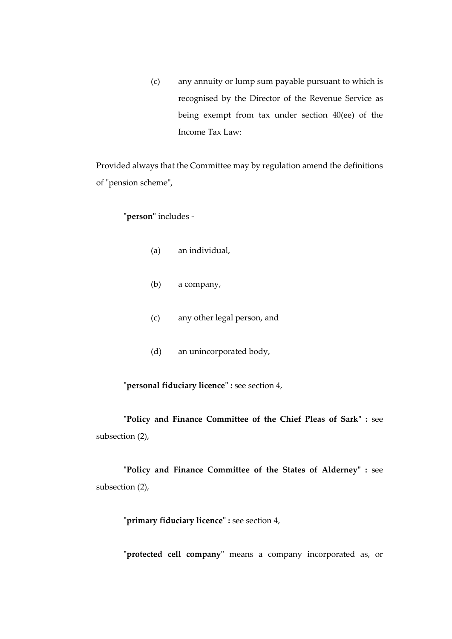(c) any annuity or lump sum payable pursuant to which is recognised by the Director of the Revenue Service as being exempt from tax under section 40(ee) of the Income Tax Law:

Provided always that the Committee may by regulation amend the definitions of "pension scheme",

# **"person"** includes -

- (a) an individual,
- (b) a company,
- (c) any other legal person, and
- (d) an unincorporated body,

**"personal fiduciary licence" :** see section 4,

**"Policy and Finance Committee of the Chief Pleas of Sark" :** see subsection (2),

**"Policy and Finance Committee of the States of Alderney" :** see subsection (2),

**"primary fiduciary licence" :** see section 4,

**"protected cell company"** means a company incorporated as, or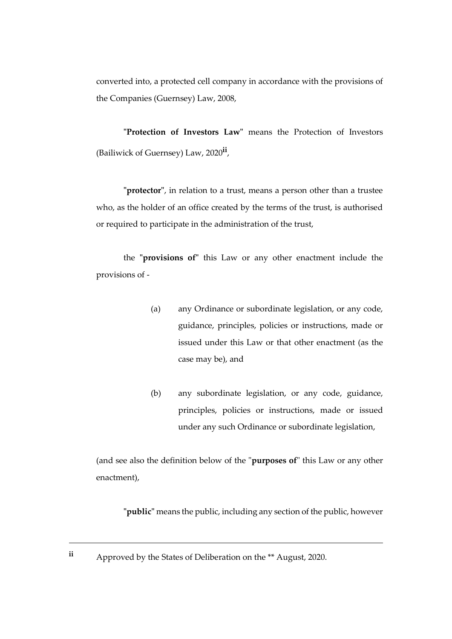converted into, a protected cell company in accordance with the provisions of the Companies (Guernsey) Law, 2008,

**"Protection of Investors Law"** means the Protection of Investors (Bailiwick of Guernsey) Law, 2020**ii** ,

**"protector"**, in relation to a trust, means a person other than a trustee who, as the holder of an office created by the terms of the trust, is authorised or required to participate in the administration of the trust,

the **"provisions of"** this Law or any other enactment include the provisions of -

- (a) any Ordinance or subordinate legislation, or any code, guidance, principles, policies or instructions, made or issued under this Law or that other enactment (as the case may be), and
- (b) any subordinate legislation, or any code, guidance, principles, policies or instructions, made or issued under any such Ordinance or subordinate legislation,

(and see also the definition below of the "**purposes of**" this Law or any other enactment),

**"public"** means the public, including any section of the public, however

**ii** Approved by the States of Deliberation on the \*\* August, 2020.

<u>.</u>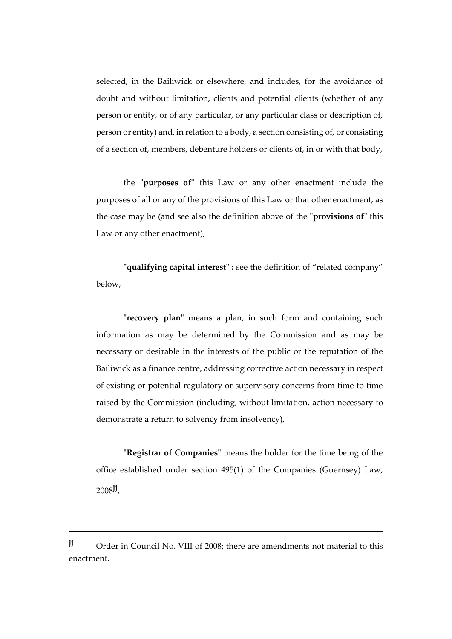selected, in the Bailiwick or elsewhere, and includes, for the avoidance of doubt and without limitation, clients and potential clients (whether of any person or entity, or of any particular, or any particular class or description of, person or entity) and, in relation to a body, a section consisting of, or consisting of a section of, members, debenture holders or clients of, in or with that body,

the **"purposes of"** this Law or any other enactment include the purposes of all or any of the provisions of this Law or that other enactment, as the case may be (and see also the definition above of the "**provisions of**" this Law or any other enactment),

**"qualifying capital interest" :** see the definition of "related company" below,

**"recovery plan"** means a plan, in such form and containing such information as may be determined by the Commission and as may be necessary or desirable in the interests of the public or the reputation of the Bailiwick as a finance centre, addressing corrective action necessary in respect of existing or potential regulatory or supervisory concerns from time to time raised by the Commission (including, without limitation, action necessary to demonstrate a return to solvency from insolvency),

**"Registrar of Companies"** means the holder for the time being of the office established under section 495(1) of the Companies (Guernsey) Law, 2008**jj** ,

**jj** Order in Council No. VIII of 2008; there are amendments not material to this enactment.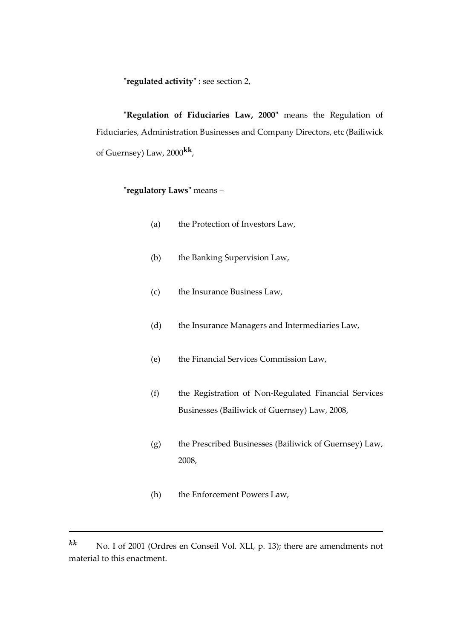**"regulated activity" :** see section 2,

**"Regulation of Fiduciaries Law, 2000"** means the Regulation of Fiduciaries, Administration Businesses and Company Directors, etc (Bailiwick of Guernsey) Law, 2000**kk** ,

# **"regulatory Laws"** means –

- (a) the Protection of Investors Law,
- (b) the Banking Supervision Law,
- (c) the Insurance Business Law,
- (d) the Insurance Managers and Intermediaries Law,
- (e) the Financial Services Commission Law,
- (f) the Registration of Non-Regulated Financial Services Businesses (Bailiwick of Guernsey) Law, 2008,
- (g) the Prescribed Businesses (Bailiwick of Guernsey) Law, 2008,
- (h) the Enforcement Powers Law,

*kk* No. I of 2001 (Ordres en Conseil Vol. XLI, p. 13); there are amendments not material to this enactment.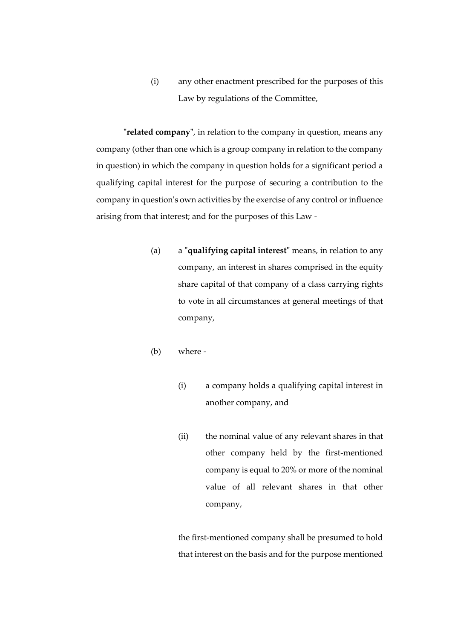(i) any other enactment prescribed for the purposes of this Law by regulations of the Committee,

**"related company"**, in relation to the company in question, means any company (other than one which is a group company in relation to the company in question) in which the company in question holds for a significant period a qualifying capital interest for the purpose of securing a contribution to the company in question's own activities by the exercise of any control or influence arising from that interest; and for the purposes of this Law -

- (a) a **"qualifying capital interest"** means, in relation to any company, an interest in shares comprised in the equity share capital of that company of a class carrying rights to vote in all circumstances at general meetings of that company,
- (b) where
	- (i) a company holds a qualifying capital interest in another company, and
	- (ii) the nominal value of any relevant shares in that other company held by the first-mentioned company is equal to 20% or more of the nominal value of all relevant shares in that other company,

the first-mentioned company shall be presumed to hold that interest on the basis and for the purpose mentioned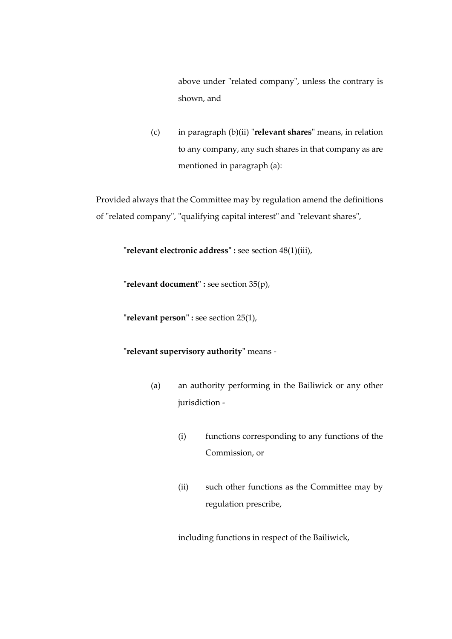above under "related company", unless the contrary is shown, and

(c) in paragraph (b)(ii) "**relevant shares**" means, in relation to any company, any such shares in that company as are mentioned in paragraph (a):

Provided always that the Committee may by regulation amend the definitions of "related company", "qualifying capital interest" and "relevant shares",

**"relevant electronic address" :** see section 48(1)(iii),

**"relevant document" :** see section 35(p),

**"relevant person" :** see section 25(1),

## **"relevant supervisory authority"** means -

- (a) an authority performing in the Bailiwick or any other jurisdiction -
	- (i) functions corresponding to any functions of the Commission, or
	- (ii) such other functions as the Committee may by regulation prescribe,

including functions in respect of the Bailiwick,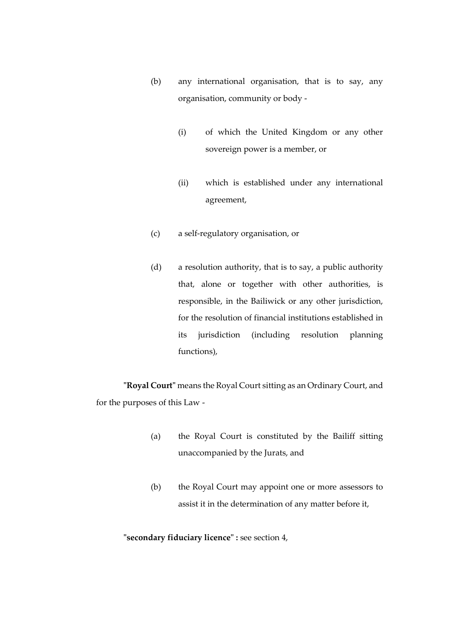- (b) any international organisation, that is to say, any organisation, community or body -
	- (i) of which the United Kingdom or any other sovereign power is a member, or
	- (ii) which is established under any international agreement,
- (c) a self-regulatory organisation, or
- (d) a resolution authority, that is to say, a public authority that, alone or together with other authorities, is responsible, in the Bailiwick or any other jurisdiction, for the resolution of financial institutions established in its jurisdiction (including resolution planning functions),

**"Royal Court"** means the Royal Court sitting as an Ordinary Court, and for the purposes of this Law -

- (a) the Royal Court is constituted by the Bailiff sitting unaccompanied by the Jurats, and
- (b) the Royal Court may appoint one or more assessors to assist it in the determination of any matter before it,

**"secondary fiduciary licence" :** see section 4,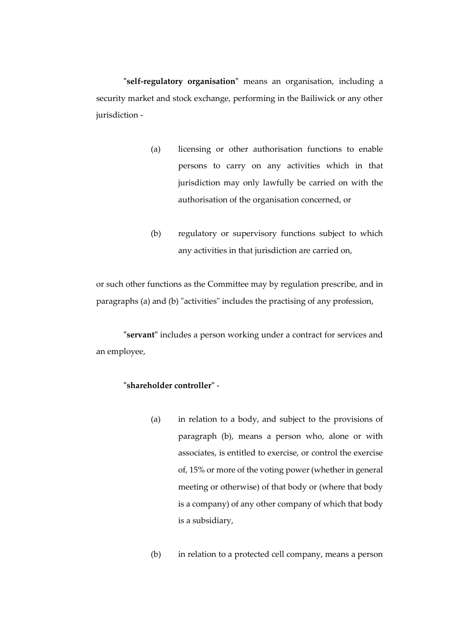**"self-regulatory organisation"** means an organisation, including a security market and stock exchange, performing in the Bailiwick or any other jurisdiction -

- (a) licensing or other authorisation functions to enable persons to carry on any activities which in that jurisdiction may only lawfully be carried on with the authorisation of the organisation concerned, or
- (b) regulatory or supervisory functions subject to which any activities in that jurisdiction are carried on,

or such other functions as the Committee may by regulation prescribe, and in paragraphs (a) and (b) "activities" includes the practising of any profession,

**"servant"** includes a person working under a contract for services and an employee,

### **"shareholder controller"** -

(a) in relation to a body, and subject to the provisions of paragraph (b), means a person who, alone or with associates, is entitled to exercise, or control the exercise of, 15% or more of the voting power (whether in general meeting or otherwise) of that body or (where that body is a company) of any other company of which that body is a subsidiary,

(b) in relation to a protected cell company, means a person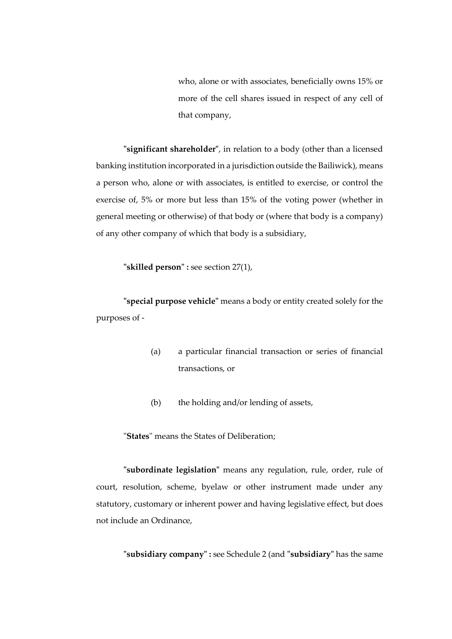who, alone or with associates, beneficially owns 15% or more of the cell shares issued in respect of any cell of that company,

**"significant shareholder"**, in relation to a body (other than a licensed banking institution incorporated in a jurisdiction outside the Bailiwick), means a person who, alone or with associates, is entitled to exercise, or control the exercise of, 5% or more but less than 15% of the voting power (whether in general meeting or otherwise) of that body or (where that body is a company) of any other company of which that body is a subsidiary,

**"skilled person" :** see section 27(1),

**"special purpose vehicle"** means a body or entity created solely for the purposes of -

- (a) a particular financial transaction or series of financial transactions, or
- (b) the holding and/or lending of assets,

"**States**" means the States of Deliberation;

**"subordinate legislation"** means any regulation, rule, order, rule of court, resolution, scheme, byelaw or other instrument made under any statutory, customary or inherent power and having legislative effect, but does not include an Ordinance,

**"subsidiary company" :** see Schedule 2 (and **"subsidiary"** has the same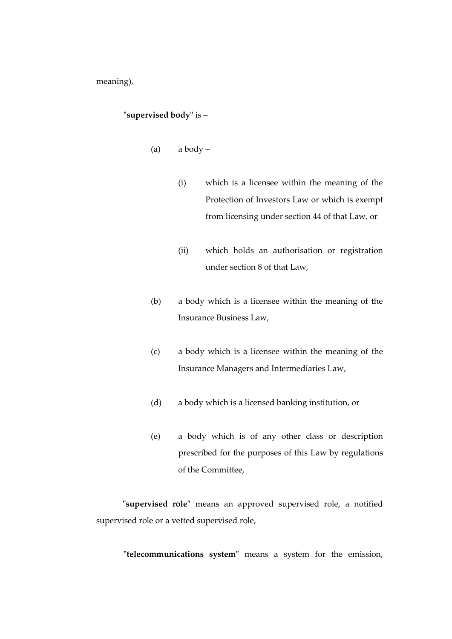meaning),

### **"supervised body"** is –

- (a) a body
	- (i) which is a licensee within the meaning of the Protection of Investors Law or which is exempt from licensing under section 44 of that Law, or
	- (ii) which holds an authorisation or registration under section 8 of that Law,
- (b) a body which is a licensee within the meaning of the Insurance Business Law,
- (c) a body which is a licensee within the meaning of the Insurance Managers and Intermediaries Law,
- (d) a body which is a licensed banking institution, or
- (e) a body which is of any other class or description prescribed for the purposes of this Law by regulations of the Committee,

**"supervised role"** means an approved supervised role, a notified supervised role or a vetted supervised role,

**"telecommunications system"** means a system for the emission,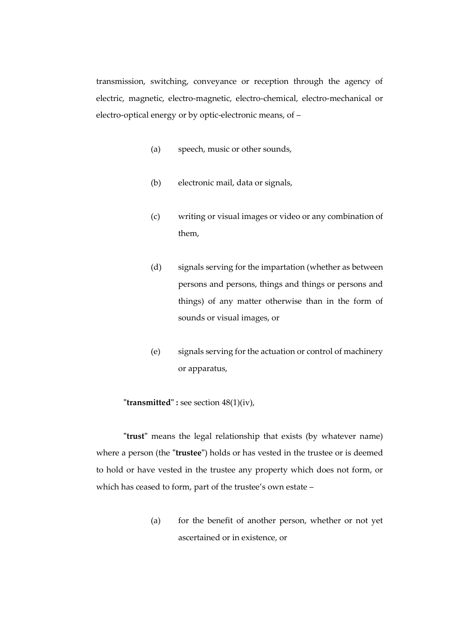transmission, switching, conveyance or reception through the agency of electric, magnetic, electro-magnetic, electro-chemical, electro-mechanical or electro-optical energy or by optic-electronic means, of –

- (a) speech, music or other sounds,
- (b) electronic mail, data or signals,
- (c) writing or visual images or video or any combination of them,
- (d) signals serving for the impartation (whether as between persons and persons, things and things or persons and things) of any matter otherwise than in the form of sounds or visual images, or
- (e) signals serving for the actuation or control of machinery or apparatus,

**"transmitted" :** see section 48(1)(iv),

**"trust"** means the legal relationship that exists (by whatever name) where a person (the **"trustee"**) holds or has vested in the trustee or is deemed to hold or have vested in the trustee any property which does not form, or which has ceased to form, part of the trustee's own estate –

> (a) for the benefit of another person, whether or not yet ascertained or in existence, or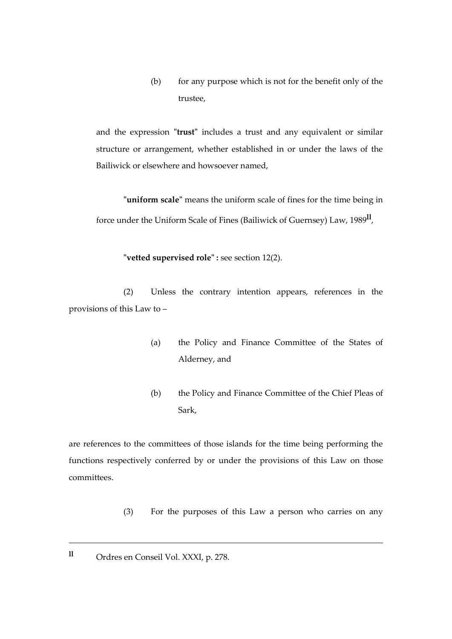(b) for any purpose which is not for the benefit only of the trustee,

and the expression **"trust"** includes a trust and any equivalent or similar structure or arrangement, whether established in or under the laws of the Bailiwick or elsewhere and howsoever named,

**"uniform scale"** means the uniform scale of fines for the time being in force under the Uniform Scale of Fines (Bailiwick of Guernsey) Law, 1989**ll** ,

**"vetted supervised role" :** see section 12(2).

(2) Unless the contrary intention appears, references in the provisions of this Law to –

- (a) the Policy and Finance Committee of the States of Alderney, and
- (b) the Policy and Finance Committee of the Chief Pleas of Sark,

are references to the committees of those islands for the time being performing the functions respectively conferred by or under the provisions of this Law on those committees.

- (3) For the purposes of this Law a person who carries on any
- **ll** Ordres en Conseil Vol. XXXI, p. 278.

<u>.</u>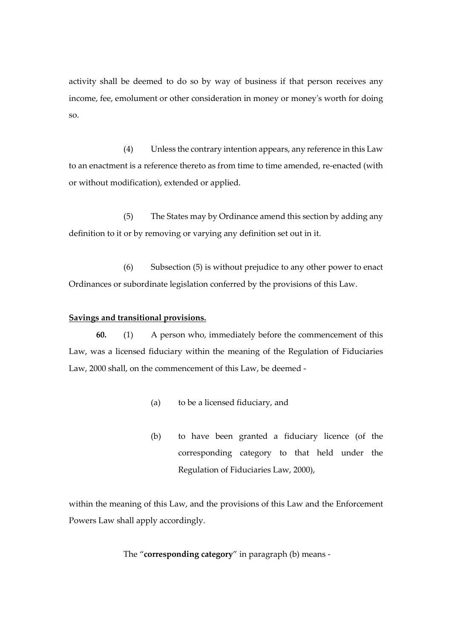activity shall be deemed to do so by way of business if that person receives any income, fee, emolument or other consideration in money or money's worth for doing so.

(4) Unless the contrary intention appears, any reference in this Law to an enactment is a reference thereto as from time to time amended, re-enacted (with or without modification), extended or applied.

(5) The States may by Ordinance amend this section by adding any definition to it or by removing or varying any definition set out in it.

(6) Subsection (5) is without prejudice to any other power to enact Ordinances or subordinate legislation conferred by the provisions of this Law.

#### **Savings and transitional provisions.**

**60.** (1) A person who, immediately before the commencement of this Law, was a licensed fiduciary within the meaning of the Regulation of Fiduciaries Law, 2000 shall, on the commencement of this Law, be deemed -

- (a) to be a licensed fiduciary, and
- (b) to have been granted a fiduciary licence (of the corresponding category to that held under the Regulation of Fiduciaries Law, 2000),

within the meaning of this Law, and the provisions of this Law and the Enforcement Powers Law shall apply accordingly.

## The "**corresponding category**" in paragraph (b) means -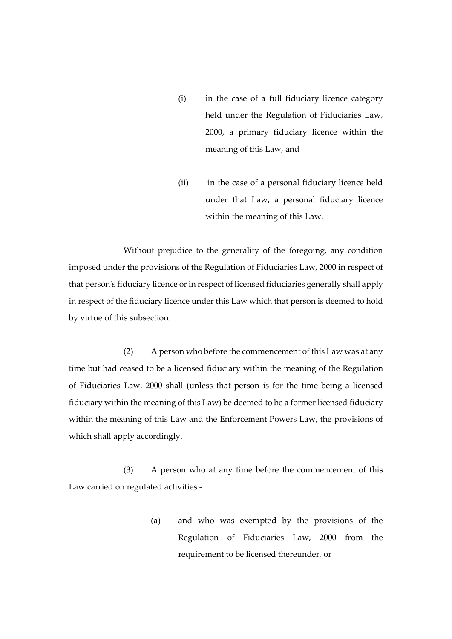- (i) in the case of a full fiduciary licence category held under the Regulation of Fiduciaries Law, 2000, a primary fiduciary licence within the meaning of this Law, and
- (ii) in the case of a personal fiduciary licence held under that Law, a personal fiduciary licence within the meaning of this Law.

Without prejudice to the generality of the foregoing, any condition imposed under the provisions of the Regulation of Fiduciaries Law, 2000 in respect of that person's fiduciary licence or in respect of licensed fiduciaries generally shall apply in respect of the fiduciary licence under this Law which that person is deemed to hold by virtue of this subsection.

(2) A person who before the commencement of this Law was at any time but had ceased to be a licensed fiduciary within the meaning of the Regulation of Fiduciaries Law, 2000 shall (unless that person is for the time being a licensed fiduciary within the meaning of this Law) be deemed to be a former licensed fiduciary within the meaning of this Law and the Enforcement Powers Law, the provisions of which shall apply accordingly.

(3) A person who at any time before the commencement of this Law carried on regulated activities -

> (a) and who was exempted by the provisions of the Regulation of Fiduciaries Law, 2000 from the requirement to be licensed thereunder, or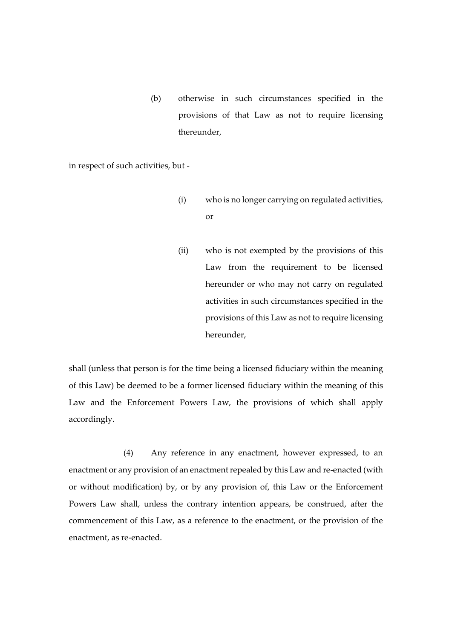(b) otherwise in such circumstances specified in the provisions of that Law as not to require licensing thereunder,

in respect of such activities, but -

- (i) who is no longer carrying on regulated activities, or
- (ii) who is not exempted by the provisions of this Law from the requirement to be licensed hereunder or who may not carry on regulated activities in such circumstances specified in the provisions of this Law as not to require licensing hereunder,

shall (unless that person is for the time being a licensed fiduciary within the meaning of this Law) be deemed to be a former licensed fiduciary within the meaning of this Law and the Enforcement Powers Law, the provisions of which shall apply accordingly.

(4) Any reference in any enactment, however expressed, to an enactment or any provision of an enactment repealed by this Law and re-enacted (with or without modification) by, or by any provision of, this Law or the Enforcement Powers Law shall, unless the contrary intention appears, be construed, after the commencement of this Law, as a reference to the enactment, or the provision of the enactment, as re-enacted.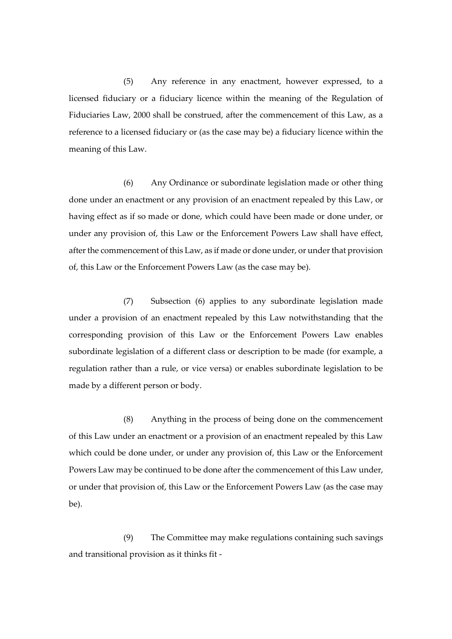(5) Any reference in any enactment, however expressed, to a licensed fiduciary or a fiduciary licence within the meaning of the Regulation of Fiduciaries Law, 2000 shall be construed, after the commencement of this Law, as a reference to a licensed fiduciary or (as the case may be) a fiduciary licence within the meaning of this Law.

(6) Any Ordinance or subordinate legislation made or other thing done under an enactment or any provision of an enactment repealed by this Law, or having effect as if so made or done, which could have been made or done under, or under any provision of, this Law or the Enforcement Powers Law shall have effect, after the commencement of this Law, as if made or done under, or under that provision of, this Law or the Enforcement Powers Law (as the case may be).

(7) Subsection (6) applies to any subordinate legislation made under a provision of an enactment repealed by this Law notwithstanding that the corresponding provision of this Law or the Enforcement Powers Law enables subordinate legislation of a different class or description to be made (for example, a regulation rather than a rule, or vice versa) or enables subordinate legislation to be made by a different person or body.

(8) Anything in the process of being done on the commencement of this Law under an enactment or a provision of an enactment repealed by this Law which could be done under, or under any provision of, this Law or the Enforcement Powers Law may be continued to be done after the commencement of this Law under, or under that provision of, this Law or the Enforcement Powers Law (as the case may be).

(9) The Committee may make regulations containing such savings and transitional provision as it thinks fit -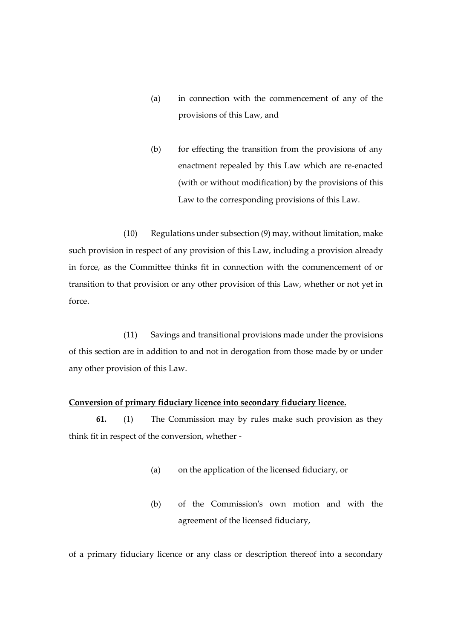- (a) in connection with the commencement of any of the provisions of this Law, and
- (b) for effecting the transition from the provisions of any enactment repealed by this Law which are re-enacted (with or without modification) by the provisions of this Law to the corresponding provisions of this Law.

(10) Regulations under subsection (9) may, without limitation, make such provision in respect of any provision of this Law, including a provision already in force, as the Committee thinks fit in connection with the commencement of or transition to that provision or any other provision of this Law, whether or not yet in force.

(11) Savings and transitional provisions made under the provisions of this section are in addition to and not in derogation from those made by or under any other provision of this Law.

## **Conversion of primary fiduciary licence into secondary fiduciary licence.**

**61.** (1) The Commission may by rules make such provision as they think fit in respect of the conversion, whether -

- (a) on the application of the licensed fiduciary, or
- (b) of the Commission's own motion and with the agreement of the licensed fiduciary,

of a primary fiduciary licence or any class or description thereof into a secondary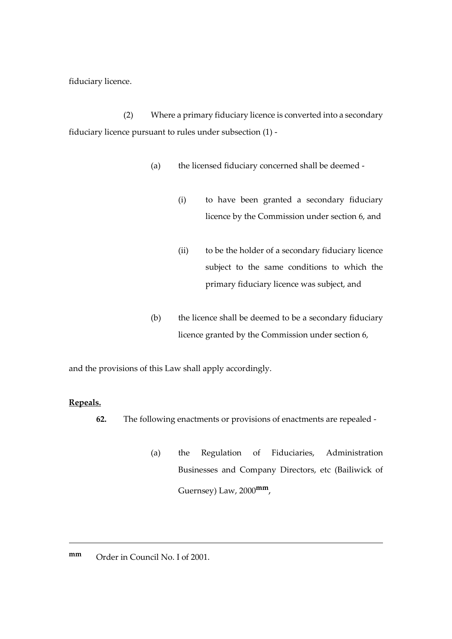fiduciary licence.

(2) Where a primary fiduciary licence is converted into a secondary fiduciary licence pursuant to rules under subsection (1) -

- (a) the licensed fiduciary concerned shall be deemed
	- (i) to have been granted a secondary fiduciary licence by the Commission under section 6, and
	- (ii) to be the holder of a secondary fiduciary licence subject to the same conditions to which the primary fiduciary licence was subject, and
- (b) the licence shall be deemed to be a secondary fiduciary licence granted by the Commission under section 6,

and the provisions of this Law shall apply accordingly.

# **Repeals.**

<u>.</u>

- **62.** The following enactments or provisions of enactments are repealed
	- (a) the Regulation of Fiduciaries, Administration Businesses and Company Directors, etc (Bailiwick of Guernsey) Law, 2000**mm**,
- **mm** Order in Council No. I of 2001.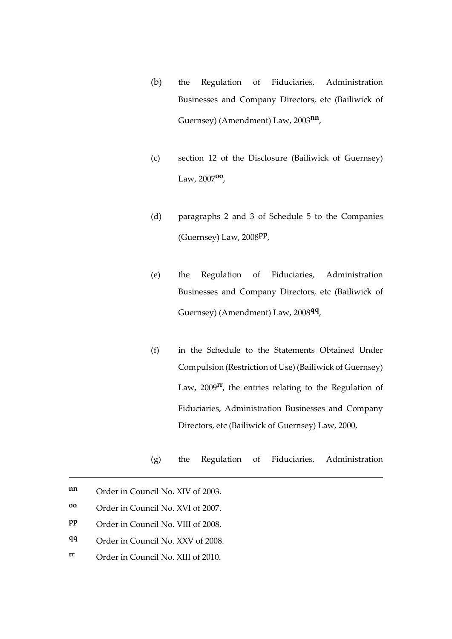- (b) the Regulation of Fiduciaries, Administration Businesses and Company Directors, etc (Bailiwick of Guernsey) (Amendment) Law, 2003**nn** ,
- (c) section 12 of the Disclosure (Bailiwick of Guernsey) Law, 2007**oo** ,
- (d) paragraphs 2 and 3 of Schedule 5 to the Companies (Guernsey) Law, 2008**pp** ,
- (e) the Regulation of Fiduciaries, Administration Businesses and Company Directors, etc (Bailiwick of Guernsey) (Amendment) Law, 2008**qq** ,
- (f) in the Schedule to the Statements Obtained Under Compulsion (Restriction of Use) (Bailiwick of Guernsey) Law, 2009**rr**, the entries relating to the Regulation of Fiduciaries, Administration Businesses and Company Directors, etc (Bailiwick of Guernsey) Law, 2000,
- (g) the Regulation of Fiduciaries, Administration

- **qq** Order in Council No. XXV of 2008.
- **rr** Order in Council No. XIII of 2010.

**nn** Order in Council No. XIV of 2003.

**oo** Order in Council No. XVI of 2007.

**pp** Order in Council No. VIII of 2008.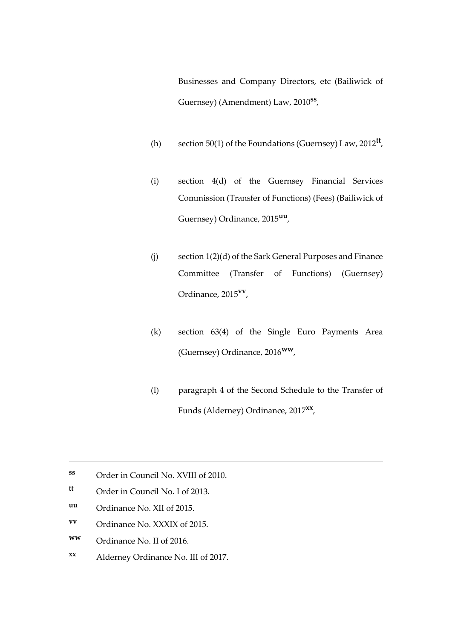Businesses and Company Directors, etc (Bailiwick of Guernsey) (Amendment) Law, 2010**ss** ,

- (h) section 50(1) of the Foundations (Guernsey) Law, 2012**tt** ,
- (i) section 4(d) of the Guernsey Financial Services Commission (Transfer of Functions) (Fees) (Bailiwick of Guernsey) Ordinance, 2015**uu** ,
- (j) section 1(2)(d) of the Sark General Purposes and Finance Committee (Transfer of Functions) (Guernsey) Ordinance, 2015**vv** ,
- (k) section 63(4) of the Single Euro Payments Area (Guernsey) Ordinance, 2016**ww**,
- (l) paragraph 4 of the Second Schedule to the Transfer of Funds (Alderney) Ordinance, 2017**xx** ,

**uu** Ordinance No. XII of 2015.

<u>.</u>

- **vv** Ordinance No. XXXIX of 2015.
- **ww** Ordinance No. II of 2016.
- **xx** Alderney Ordinance No. III of 2017.

**ss** Order in Council No. XVIII of 2010.

**tt** Order in Council No. I of 2013.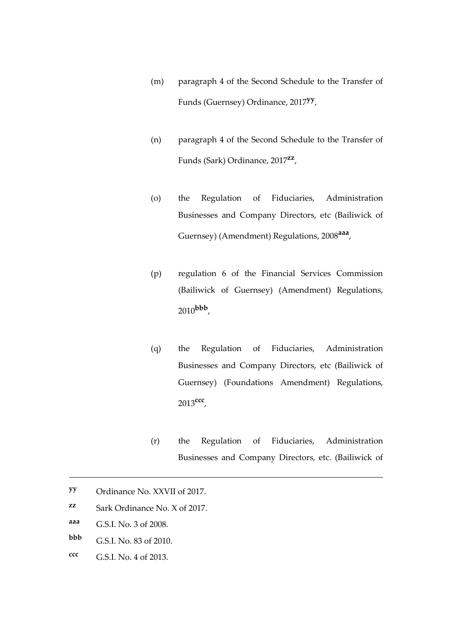- (m) paragraph 4 of the Second Schedule to the Transfer of Funds (Guernsey) Ordinance, 2017**yy** ,
- (n) paragraph 4 of the Second Schedule to the Transfer of Funds (Sark) Ordinance, 2017**zz** ,
- (o) the Regulation of Fiduciaries, Administration Businesses and Company Directors, etc (Bailiwick of Guernsey) (Amendment) Regulations, 2008**aaa** ,
- (p) regulation 6 of the Financial Services Commission (Bailiwick of Guernsey) (Amendment) Regulations, 2010**bbb** ,
- (q) the Regulation of Fiduciaries, Administration Businesses and Company Directors, etc (Bailiwick of Guernsey) (Foundations Amendment) Regulations, 2013**ccc** ,
- (r) the Regulation of Fiduciaries, Administration Businesses and Company Directors, etc. (Bailiwick of

- **zz** Sark Ordinance No. X of 2017.
- **aaa** G.S.I. No. 3 of 2008.

- **bbb** G.S.I. No. 83 of 2010.
- **ccc** G.S.I. No. 4 of 2013.

**yy** Ordinance No. XXVII of 2017.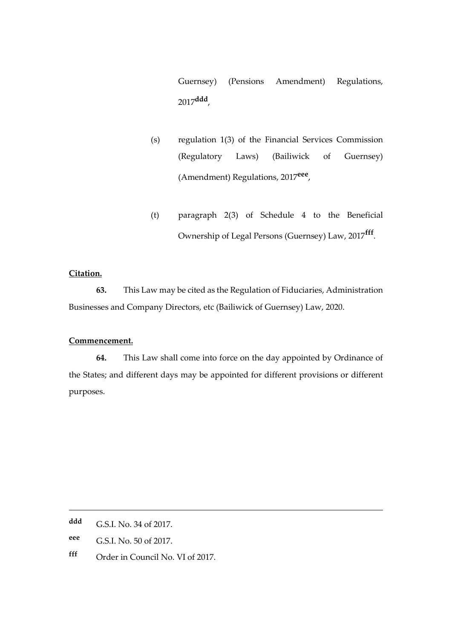Guernsey) (Pensions Amendment) Regulations, 2017**ddd** ,

- (s) regulation 1(3) of the Financial Services Commission (Regulatory Laws) (Bailiwick of Guernsey) (Amendment) Regulations, 2017**eee** ,
- (t) paragraph 2(3) of Schedule 4 to the Beneficial Ownership of Legal Persons (Guernsey) Law, 2017**fff** .

# **Citation.**

**63.** This Law may be cited as the Regulation of Fiduciaries, Administration Businesses and Company Directors, etc (Bailiwick of Guernsey) Law, 2020.

#### **Commencement.**

**64.** This Law shall come into force on the day appointed by Ordinance of the States; and different days may be appointed for different provisions or different purposes.

1

- **eee** G.S.I. No. 50 of 2017.
- **fff** Order in Council No. VI of 2017.

**ddd** G.S.I. No. 34 of 2017.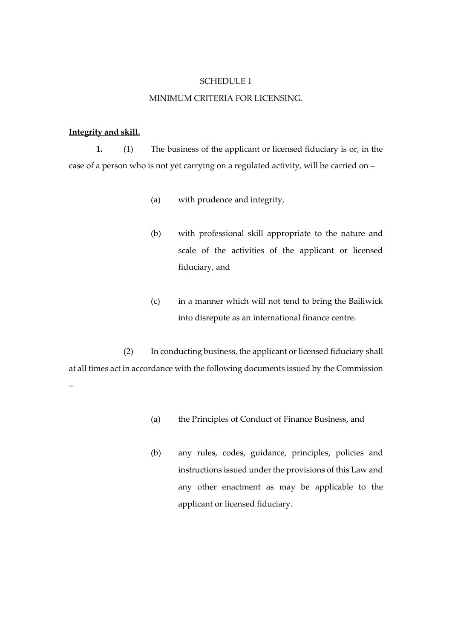#### SCHEDULE 1

#### MINIMUM CRITERIA FOR LICENSING.

### **Integrity and skill.**

**1.** (1) The business of the applicant or licensed fiduciary is or, in the case of a person who is not yet carrying on a regulated activity, will be carried on –

- (a) with prudence and integrity,
- (b) with professional skill appropriate to the nature and scale of the activities of the applicant or licensed fiduciary, and
- (c) in a manner which will not tend to bring the Bailiwick into disrepute as an international finance centre.

(2) In conducting business, the applicant or licensed fiduciary shall at all times act in accordance with the following documents issued by the Commission –

- (a) the Principles of Conduct of Finance Business, and
- (b) any rules, codes, guidance, principles, policies and instructions issued under the provisions of this Law and any other enactment as may be applicable to the applicant or licensed fiduciary.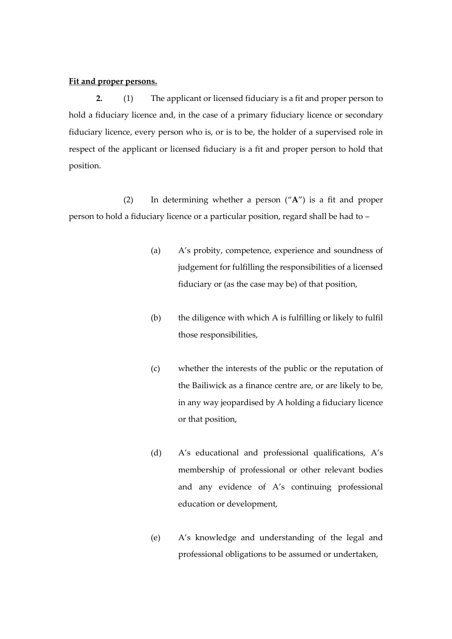### **Fit and proper persons.**

**2.** (1) The applicant or licensed fiduciary is a fit and proper person to hold a fiduciary licence and, in the case of a primary fiduciary licence or secondary fiduciary licence, every person who is, or is to be, the holder of a supervised role in respect of the applicant or licensed fiduciary is a fit and proper person to hold that position.

(2) In determining whether a person ("**A**") is a fit and proper person to hold a fiduciary licence or a particular position, regard shall be had to –

- (a) A's probity, competence, experience and soundness of judgement for fulfilling the responsibilities of a licensed fiduciary or (as the case may be) of that position,
- (b) the diligence with which A is fulfilling or likely to fulfil those responsibilities,
- (c) whether the interests of the public or the reputation of the Bailiwick as a finance centre are, or are likely to be, in any way jeopardised by A holding a fiduciary licence or that position,
- (d) A's educational and professional qualifications, A's membership of professional or other relevant bodies and any evidence of A's continuing professional education or development,
- (e) A's knowledge and understanding of the legal and professional obligations to be assumed or undertaken,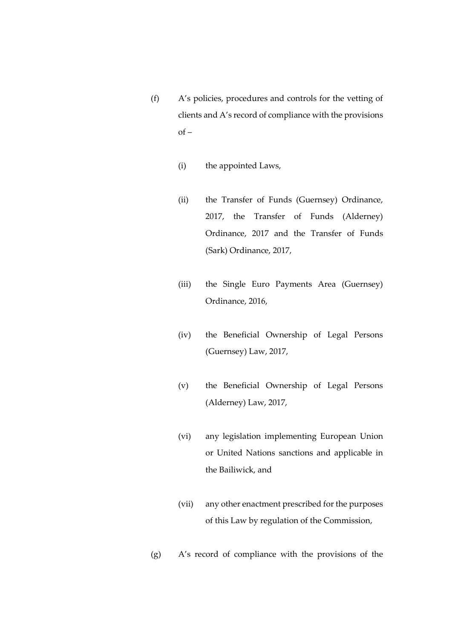- (f) A's policies, procedures and controls for the vetting of clients and A's record of compliance with the provisions  $of -$ 
	- (i) the appointed Laws,
	- (ii) the Transfer of Funds (Guernsey) Ordinance, 2017, the Transfer of Funds (Alderney) Ordinance, 2017 and the Transfer of Funds (Sark) Ordinance, 2017,
	- (iii) the Single Euro Payments Area (Guernsey) Ordinance, 2016,
	- (iv) the Beneficial Ownership of Legal Persons (Guernsey) Law, 2017,
	- (v) the Beneficial Ownership of Legal Persons (Alderney) Law, 2017,
	- (vi) any legislation implementing European Union or United Nations sanctions and applicable in the Bailiwick, and
	- (vii) any other enactment prescribed for the purposes of this Law by regulation of the Commission,
- (g) A's record of compliance with the provisions of the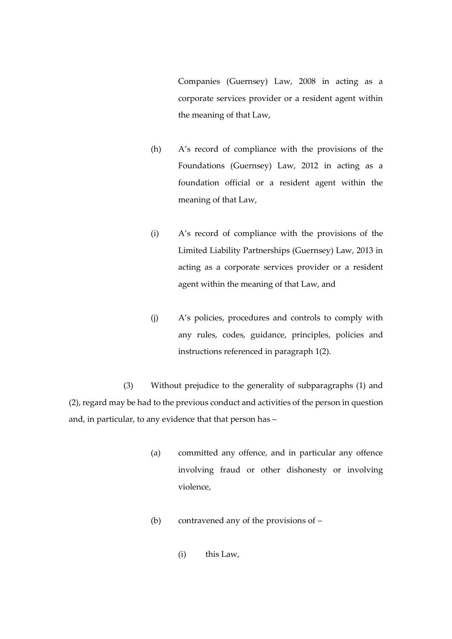Companies (Guernsey) Law, 2008 in acting as a corporate services provider or a resident agent within the meaning of that Law,

- (h) A's record of compliance with the provisions of the Foundations (Guernsey) Law, 2012 in acting as a foundation official or a resident agent within the meaning of that Law,
- (i) A's record of compliance with the provisions of the Limited Liability Partnerships (Guernsey) Law, 2013 in acting as a corporate services provider or a resident agent within the meaning of that Law, and
- (j) A's policies, procedures and controls to comply with any rules, codes, guidance, principles, policies and instructions referenced in paragraph 1(2).

(3) Without prejudice to the generality of subparagraphs (1) and (2), regard may be had to the previous conduct and activities of the person in question and, in particular, to any evidence that that person has –

- (a) committed any offence, and in particular any offence involving fraud or other dishonesty or involving violence,
- (b) contravened any of the provisions of
	- (i) this Law,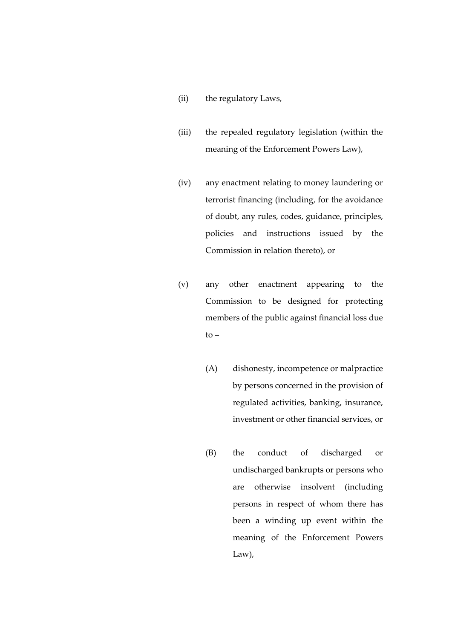- (ii) the regulatory Laws,
- (iii) the repealed regulatory legislation (within the meaning of the Enforcement Powers Law),
- (iv) any enactment relating to money laundering or terrorist financing (including, for the avoidance of doubt, any rules, codes, guidance, principles, policies and instructions issued by the Commission in relation thereto), or
- (v) any other enactment appearing to the Commission to be designed for protecting members of the public against financial loss due  $to -$ 
	- (A) dishonesty, incompetence or malpractice by persons concerned in the provision of regulated activities, banking, insurance, investment or other financial services, or
	- (B) the conduct of discharged or undischarged bankrupts or persons who are otherwise insolvent (including persons in respect of whom there has been a winding up event within the meaning of the Enforcement Powers Law),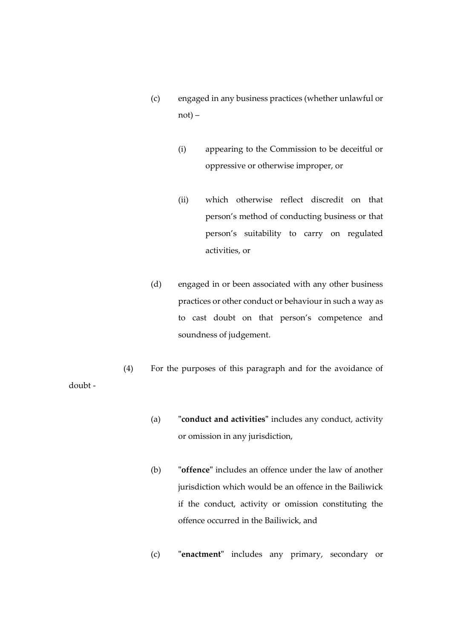- (c) engaged in any business practices (whether unlawful or not) –
	- (i) appearing to the Commission to be deceitful or oppressive or otherwise improper, or
	- (ii) which otherwise reflect discredit on that person's method of conducting business or that person's suitability to carry on regulated activities, or
- (d) engaged in or been associated with any other business practices or other conduct or behaviour in such a way as to cast doubt on that person's competence and soundness of judgement.
- (4) For the purposes of this paragraph and for the avoidance of doubt -
	- (a) **"conduct and activities"** includes any conduct, activity or omission in any jurisdiction,
	- (b) **"offence"** includes an offence under the law of another jurisdiction which would be an offence in the Bailiwick if the conduct, activity or omission constituting the offence occurred in the Bailiwick, and
	- (c) **"enactment"** includes any primary, secondary or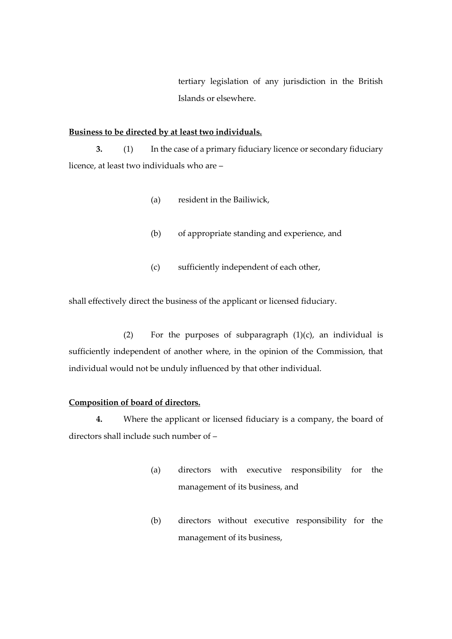tertiary legislation of any jurisdiction in the British Islands or elsewhere.

### **Business to be directed by at least two individuals.**

**3.** (1) In the case of a primary fiduciary licence or secondary fiduciary licence, at least two individuals who are –

- (a) resident in the Bailiwick,
- (b) of appropriate standing and experience, and
- (c) sufficiently independent of each other,

shall effectively direct the business of the applicant or licensed fiduciary.

(2) For the purposes of subparagraph  $(1)(c)$ , an individual is sufficiently independent of another where, in the opinion of the Commission, that individual would not be unduly influenced by that other individual.

### **Composition of board of directors.**

**4.** Where the applicant or licensed fiduciary is a company, the board of directors shall include such number of –

- (a) directors with executive responsibility for the management of its business, and
- (b) directors without executive responsibility for the management of its business,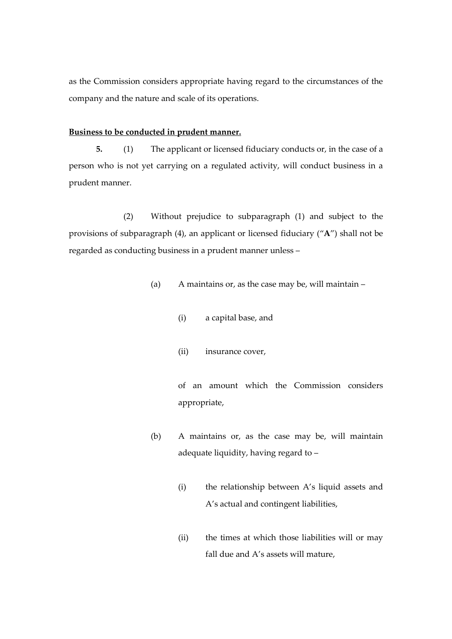as the Commission considers appropriate having regard to the circumstances of the company and the nature and scale of its operations.

### **Business to be conducted in prudent manner.**

**5.** (1) The applicant or licensed fiduciary conducts or, in the case of a person who is not yet carrying on a regulated activity, will conduct business in a prudent manner.

(2) Without prejudice to subparagraph (1) and subject to the provisions of subparagraph (4), an applicant or licensed fiduciary ("**A**") shall not be regarded as conducting business in a prudent manner unless –

- (a) A maintains or, as the case may be, will maintain
	- (i) a capital base, and
	- (ii) insurance cover,

of an amount which the Commission considers appropriate,

- (b) A maintains or, as the case may be, will maintain adequate liquidity, having regard to –
	- (i) the relationship between A's liquid assets and A's actual and contingent liabilities,
	- (ii) the times at which those liabilities will or may fall due and A's assets will mature,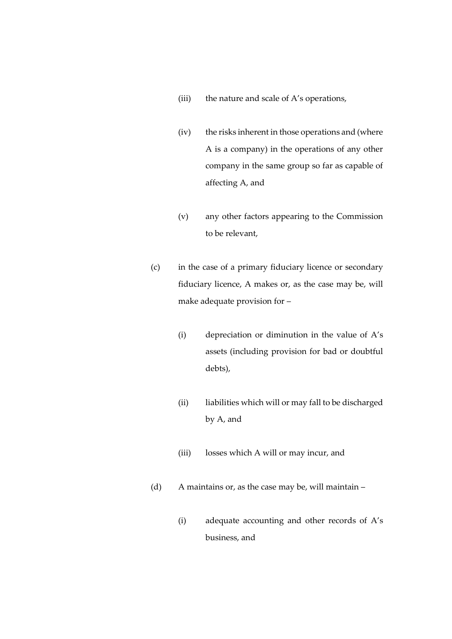- (iii) the nature and scale of A's operations,
- (iv) the risks inherent in those operations and (where A is a company) in the operations of any other company in the same group so far as capable of affecting A, and
- (v) any other factors appearing to the Commission to be relevant,
- (c) in the case of a primary fiduciary licence or secondary fiduciary licence, A makes or, as the case may be, will make adequate provision for –
	- (i) depreciation or diminution in the value of A's assets (including provision for bad or doubtful debts),
	- (ii) liabilities which will or may fall to be discharged by A, and
	- (iii) losses which A will or may incur, and
- (d) A maintains or, as the case may be, will maintain
	- (i) adequate accounting and other records of A's business, and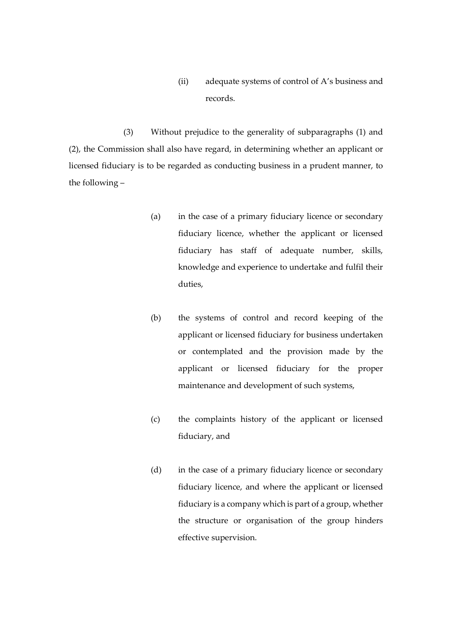(ii) adequate systems of control of A's business and records.

(3) Without prejudice to the generality of subparagraphs (1) and (2), the Commission shall also have regard, in determining whether an applicant or licensed fiduciary is to be regarded as conducting business in a prudent manner, to the following –

- (a) in the case of a primary fiduciary licence or secondary fiduciary licence, whether the applicant or licensed fiduciary has staff of adequate number, skills, knowledge and experience to undertake and fulfil their duties,
- (b) the systems of control and record keeping of the applicant or licensed fiduciary for business undertaken or contemplated and the provision made by the applicant or licensed fiduciary for the proper maintenance and development of such systems,
- (c) the complaints history of the applicant or licensed fiduciary, and
- (d) in the case of a primary fiduciary licence or secondary fiduciary licence, and where the applicant or licensed fiduciary is a company which is part of a group, whether the structure or organisation of the group hinders effective supervision.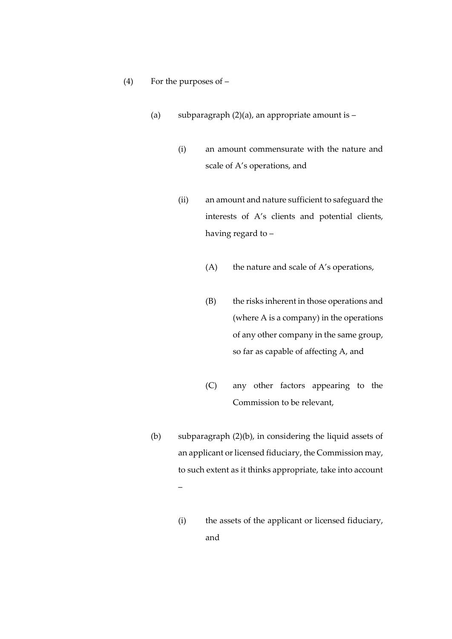- (4) For the purposes of
	- (a) subparagraph  $(2)(a)$ , an appropriate amount is
		- (i) an amount commensurate with the nature and scale of A's operations, and
		- (ii) an amount and nature sufficient to safeguard the interests of A's clients and potential clients, having regard to –
			- $(A)$  the nature and scale of A's operations,
			- (B) the risks inherent in those operations and (where A is a company) in the operations of any other company in the same group, so far as capable of affecting A, and
			- (C) any other factors appearing to the Commission to be relevant,
	- (b) subparagraph (2)(b), in considering the liquid assets of an applicant or licensed fiduciary, the Commission may, to such extent as it thinks appropriate, take into account –
		- (i) the assets of the applicant or licensed fiduciary, and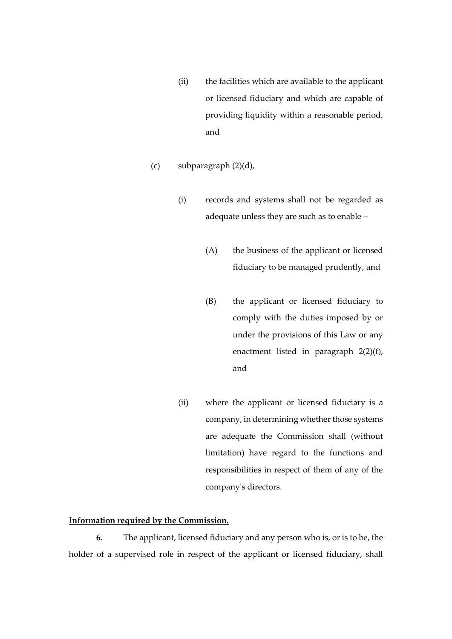- (ii) the facilities which are available to the applicant or licensed fiduciary and which are capable of providing liquidity within a reasonable period, and
- (c) subparagraph (2)(d),
	- (i) records and systems shall not be regarded as adequate unless they are such as to enable –
		- (A) the business of the applicant or licensed fiduciary to be managed prudently, and
		- (B) the applicant or licensed fiduciary to comply with the duties imposed by or under the provisions of this Law or any enactment listed in paragraph 2(2)(f), and
	- (ii) where the applicant or licensed fiduciary is a company, in determining whether those systems are adequate the Commission shall (without limitation) have regard to the functions and responsibilities in respect of them of any of the company's directors.

### **Information required by the Commission.**

**6.** The applicant, licensed fiduciary and any person who is, or is to be, the holder of a supervised role in respect of the applicant or licensed fiduciary, shall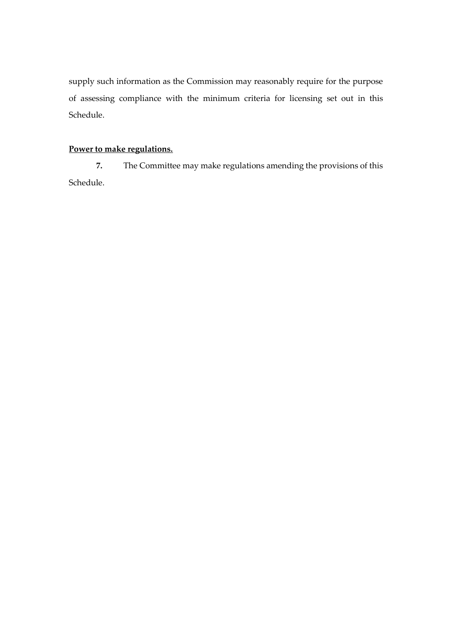supply such information as the Commission may reasonably require for the purpose of assessing compliance with the minimum criteria for licensing set out in this Schedule.

# **Power to make regulations.**

**7.** The Committee may make regulations amending the provisions of this Schedule.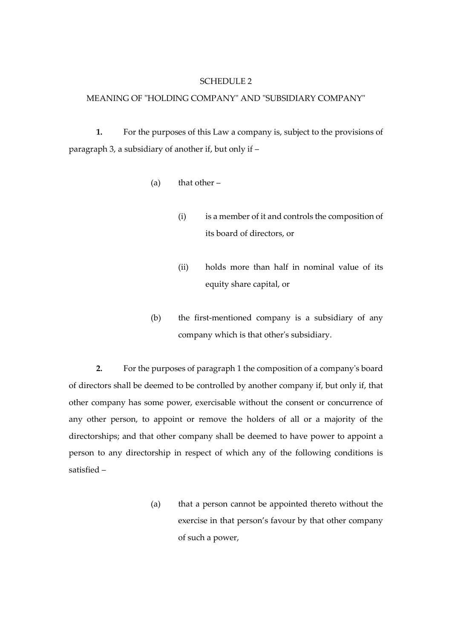#### SCHEDULE 2

## MEANING OF "HOLDING COMPANY" AND "SUBSIDIARY COMPANY"

**1.** For the purposes of this Law a company is, subject to the provisions of paragraph 3, a subsidiary of another if, but only if –

- (a) that other  $-$ 
	- (i) is a member of it and controls the composition of its board of directors, or
	- (ii) holds more than half in nominal value of its equity share capital, or
- (b) the first-mentioned company is a subsidiary of any company which is that other's subsidiary.

**2.** For the purposes of paragraph 1 the composition of a company's board of directors shall be deemed to be controlled by another company if, but only if, that other company has some power, exercisable without the consent or concurrence of any other person, to appoint or remove the holders of all or a majority of the directorships; and that other company shall be deemed to have power to appoint a person to any directorship in respect of which any of the following conditions is satisfied –

> (a) that a person cannot be appointed thereto without the exercise in that person's favour by that other company of such a power,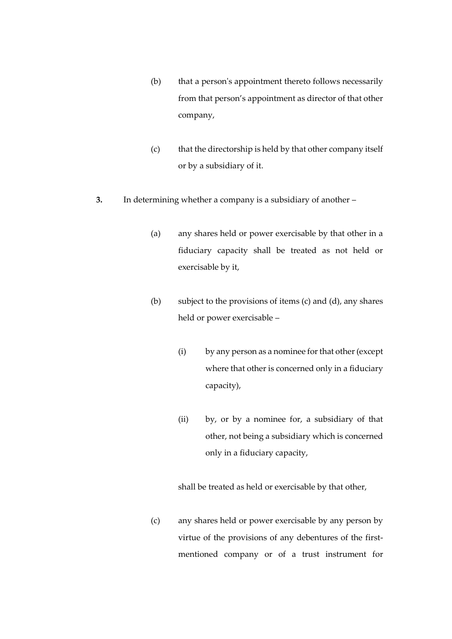- (b) that a person's appointment thereto follows necessarily from that person's appointment as director of that other company,
- (c) that the directorship is held by that other company itself or by a subsidiary of it.
- **3.** In determining whether a company is a subsidiary of another
	- (a) any shares held or power exercisable by that other in a fiduciary capacity shall be treated as not held or exercisable by it,
	- (b) subject to the provisions of items (c) and (d), any shares held or power exercisable –
		- (i) by any person as a nominee for that other (except where that other is concerned only in a fiduciary capacity),
		- (ii) by, or by a nominee for, a subsidiary of that other, not being a subsidiary which is concerned only in a fiduciary capacity,

shall be treated as held or exercisable by that other,

(c) any shares held or power exercisable by any person by virtue of the provisions of any debentures of the firstmentioned company or of a trust instrument for